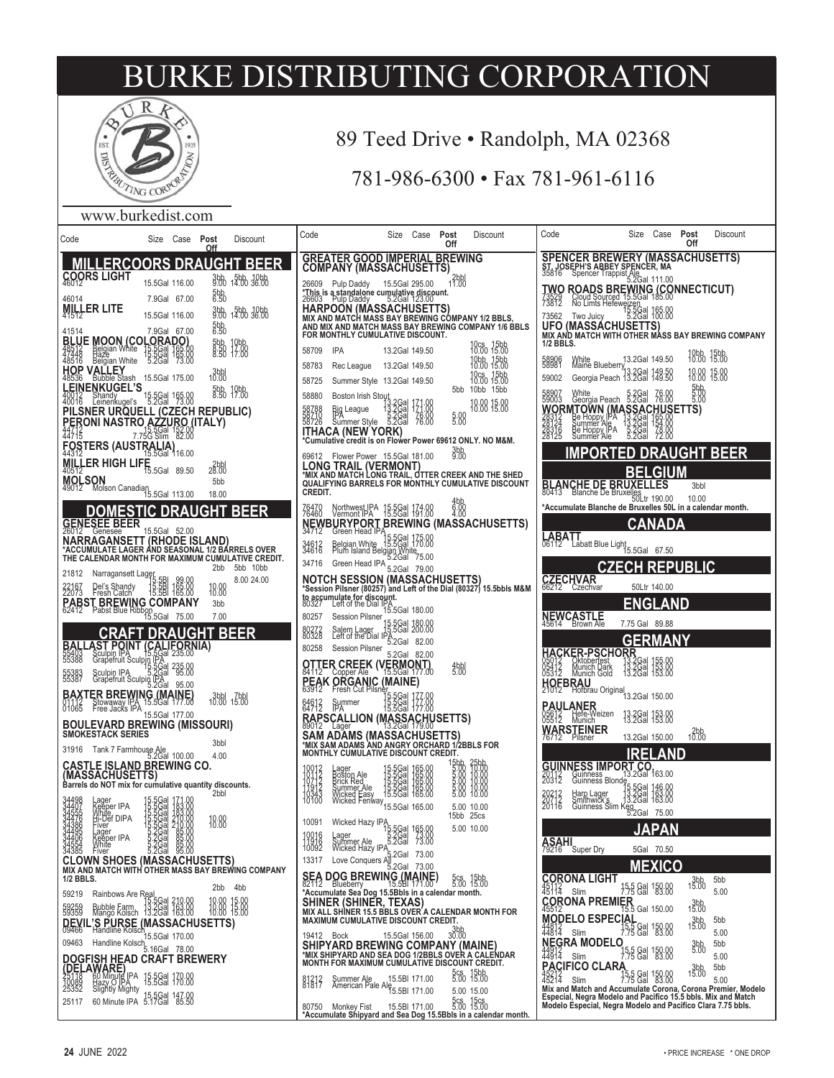

## 89 Teed Drive • Randolph, MA 02368

## 781-986-6300 • Fax 781-961-6116

#### www.burkedist.com

| Code<br>Post<br>Size Case<br>Discount<br><u>Off</u>                                                                                                                                                                                       | Code<br>Size Case<br>Post<br>Discount<br>Off                                                                                                               | Code<br>Size<br>Case<br>Post<br>Discount<br>Off                                                                                                     |
|-------------------------------------------------------------------------------------------------------------------------------------------------------------------------------------------------------------------------------------------|------------------------------------------------------------------------------------------------------------------------------------------------------------|-----------------------------------------------------------------------------------------------------------------------------------------------------|
| <b>MILLERCOORS DRAUGHT BEER</b>                                                                                                                                                                                                           | <b>GREATER GOOD IMPERIAL BREWING</b><br><b>COMPANY (MASSACHUSETTS)</b>                                                                                     | <b>SPENCER BREWERY (MASSACHUSETTS)</b><br>ST. JOSEPH'S ABBEY SPENCER, MA<br>35816 Spencer Trappist Ale<br>5.2Gal 111.00                             |
| COORS LIGHT<br>3bb 5bb 10bb<br>9.00 14.00 36.00<br>15.5Gal 116.00<br>5 <sub>b</sub> b <sub>0</sub><br>7.9Gal 67.00<br>46014                                                                                                               | $12$ bbl<br>11.00<br>26609 Pulp Daddy 15.5Gal 295.00<br>*This is a standalone cumulative discount.<br>26603 Pulp Daddy 5.2Gal 123.00                       | <b>TWO ROADS BREWING (CONNECTICUT)</b><br>73872 Riour Source 15,69a 185.00<br>73872 NoLimis Helewelzen 185.00<br>73562 Two Juley - 15.29a 185.00    |
| MILLER LITE<br>3bb 5bb 10bb<br>9.00 14.00 36.00<br>15.5Gal 116.00                                                                                                                                                                         | HARPOON (MASSACHUSETTS)<br>MIX AND MATCH MASS BAY BREWING COMPANY 1/2 BBLS,<br>AND MIX AND MATCH MASS BAY BREWING COMPANY 1/6 BBLS                         | 73562 Two Julcy 5.2Gal 10                                                                                                                           |
| 5bb<br>6.50<br>7.9Gal 67.00<br>41514<br><b>BLUE MOON (COLORADO)</b><br>18512 <b>Belgian White 15.5Gal 165.0</b><br>48516 Belgian White 5.2Gal 73.0<br>5bb<br>8:50<br>8:50<br>10bb<br>17:00<br>17:00                                       | FOR MONTHLY CUMULATIVE DISCOUNT.<br>10cs 15bb<br>10.00 15.00<br>58709<br><b>IPA</b><br>13.2Gal 149.50                                                      | MIX AND MATCH WITH OTHER MASS BAY BREWING COMPANY<br>1/2 BBLS.                                                                                      |
| 165.00<br>73.00<br>HOP VALLEY<br>48536 Bubble Stash 15.5Gal 175.00                                                                                                                                                                        | 10bb 15bb<br>10.00 15.00<br>13.2Gal 149.50<br>58783<br>Rec League                                                                                          | 10bb 15bb<br>10.00 15.00<br>13.2Gal 149.50<br>58906<br>White<br>Maine Blueberry                                                                     |
| $3b$ bbl<br><b>LEINENKUGEL'S</b><br>5bb 10bb<br>8.50 17.00<br>40012<br>40016<br>Shandy<br>Leinenkugel's<br>15.5Gal 165.00<br>5.2Gal 73.00                                                                                                 | 10cs 15bb<br>10.00 15.00<br>58725<br>Summer Style 13.2Gal 149.50<br>5bb 10bb 15bb<br>58880<br>Boston Irish Stout                                           | Georgia Peach 13.2Gal 149.50<br>18:88 15:88<br>59002<br>$500$<br>$5.00$<br>58907<br>59003<br>White 5.2Gal<br>Georgia Peach 5.2Gal<br>76.00<br>76.00 |
| PILSNER URQUELL (CZECH REPUBLIC)                                                                                                                                                                                                          | 13.2Gal 171.00<br>13.2Gal 171.00<br>5.2Gal 76.00<br>10.00 15.00<br>58788<br>58710<br>58726<br>Big League<br> PA<br>Summer Style<br>5.88                    | WORMTOWN (MASSACHUSETTS)                                                                                                                            |
| <b>PERONI NASTRO AZZURO (ITALY)</b><br>44715 <b>1955 - 1965 SGal 152.00</b><br>44715 7.75G Slim<br>FOSTERS (AUSTRALIA) 16.00                                                                                                              | <b>ITHACA (NEW YORK)</b><br>*Cumulative credit is on Flower Power 69612 ONLY. NO M&M.                                                                      |                                                                                                                                                     |
| MILLER HIGH LIFE<br>40512<br>19950<br>28.00                                                                                                                                                                                               | 3bb<br>9.00<br>69612 Flower Power 15.5Gal 181.00<br><b>LONG TRAIL (VERMONT)</b>                                                                            | <b>IMPORTED DRAUGHT BEER</b><br><b>BELGIUM</b>                                                                                                      |
| MOLSON<br>49012 Molson Canadia <sub>15.5Gal</sub> 113.00<br>5bb<br>18.00                                                                                                                                                                  | *MIX AND MATCH LONG TRAIL, OTTER CREEK AND THE SHED<br>QUALIFYING BARRELS FOR MONTHLY CUMULATIVE DISCOUNT<br>CREDIT.                                       | <b>BLANCHE DE BRUXELLES</b><br>80413 Blanche De Bruxelles<br>50Ltr 190.00<br>3bbl                                                                   |
| DOMESTIC DRAUGHT<br><b>BEER</b>                                                                                                                                                                                                           | $^{4bb}_{6.00}$<br>76470<br>Northwest JPA 15.5Gal 174.00                                                                                                   | 10.00<br>*Accumulate Blanche de Bruxelles 50L in a calendar month.                                                                                  |
| <b>GENESEE BEER</b><br>15.5Gal 52.00<br><b>NARRAGANSETT (RHODE ISLAND)</b>                                                                                                                                                                | NEWBURYPORT BREWING (MASSACHUSETTS)<br>34712 Green Head IPA E FOOL 47F 80                                                                                  | CANADA<br>LABATT<br>06112 Labatt Blue Light <sub>15.5Gal</sub> 67.50                                                                                |
| *ACCUMULATE LAGER ÂND SEASONAL 1/2 BÁRRELS OVER<br>THE CALENDAR MONTH FOR MAXIMUM CUMULATIVE CREDIT.<br>2bb 5bb 10bb                                                                                                                      | Sieeminead 11 15.5Gal 175.00<br>Belgian White 15.5Gal 170.00<br>Plum Island Belgian White<br>34612<br>34616<br>34716<br>Green Head IPA<br>5.2Gal 79.00     | <b>CZECH REPUBLIC</b>                                                                                                                               |
| 21812<br>Narragansett Lagep<br>8.00 24.00<br>15.5BI 99.00<br>15.5BI 165.00<br>15.5BI 165.00<br>18:88<br>Del's Shandy<br>Fresh Catch<br>22167<br>22073                                                                                     | <b>NOTCH SESSION (MASSACHUSETTS)</b><br>*Session Pilsner (80257) and Left of the Dial (80327) 15.5bbls M&M                                                 | CZECHVAR<br>66212 Czechvar<br>50Ltr 140.00                                                                                                          |
| PABST BREWING COMPANY<br>62412 Pabst Blue Ribbon<br>15.5Gal 75.00<br>3bb<br>7.00                                                                                                                                                          | to accumulate for discount.<br>80327 Left of the Dial IPA<br>IPA<br>15.5Gal 180.00<br>80257<br><b>Session Pilsner</b>                                      | <b>ENGLAND</b><br>NEWCASTLE<br>45614 Brown Ale                                                                                                      |
| <b>CRAFT DRAUGHT BEER</b>                                                                                                                                                                                                                 | 15.5Gal 180.00<br>15.5Gal 200.00<br>80272<br>80328<br>Salem Lager 15.5Gal 200.00<br>Left of the Dial IPA<br>5.2Gal 82.00                                   | 7.75 Gal 89.88<br><b>GERMANY</b>                                                                                                                    |
| <b>BALLAST POINT (CALIFORNIA)</b><br>55388 Scalperun Sculpia (235,000 PS388 Scalperun Sculpia (235,000 PS)<br>55388 Scalperun Sculpia (235,000 PS5,000 PS5,000 PS5,000 PS5,000 PS5,000 PS5,000 PS5,000 PS5,000 PS5,000 PS5,000 PS5,000 PS | 80258<br><b>Session Pilsner</b><br>5.2Gal 82.00<br><b>OTTER CREEK (VERMONT)</b><br>84112 Copper Ale 15.5Gal 177.00<br>$^{4bb}_{5.00}$                      | <u>HACKER-PSCHORR</u><br>Oktoberfest<br>Munich Dark<br>Munich Gold<br>05412<br>05312<br>13:28al 153.00<br>13.26al 153.00                            |
|                                                                                                                                                                                                                                           | <b>PEAK ORGANIC (MAINE)</b><br>63912 Fresh Cut Pilsner, Fort 47                                                                                            | HOFBRAU<br>21012 Hofbrau Original<br>13.2Gal 150.00                                                                                                 |
| <b>BAXTER BREWING (MAINE)</b><br>01112 Stowaway IPA 15.5Gal 177.00<br>01065 Free Jacks IPA 45.5Gal 177.00<br>3bbl 7bbl<br>10.00 15.00<br>15.5Gal 177.00                                                                                   | 5.5Ga <br> 5.5Ga <br>15.5Ga <br>84913<br>Summer                                                                                                            | <b>PAULANER</b><br>05612 Hefe-Weizen<br>05512 Munich__<br>13.2Gal 153.00                                                                            |
| <b>BOULEVARD BREWING (MISSOURI)</b><br>SMOKESTACK SERIES<br>3bbl                                                                                                                                                                          | RAPSCALLION (MASSACHUSETTS)<br>89012 Lager 13.2Gal 179.00<br><b>SAM ADAMS (MASSACHUSETTS)</b>                                                              | <b>WARSTEINER</b><br>$10^{2bb}$<br>13.2Gal 150.00                                                                                                   |
| 31916 Tank 7 Farmhouse Ale<br>5.2Gal 100.00<br>4.00<br><b>CASTLE ISLAND BREWING CO.</b>                                                                                                                                                   | *MIX SAM ADAMS AND ANGRY ORCHARD 1/2BBLS FOR<br>MONTHLY CUMULATIVE DISCOUNT CREDIT.                                                                        | <b>IRELAND</b>                                                                                                                                      |
| (MASSACHUSETTS)<br>Barrels do NOT mix for cumulative quantity discounts.<br>2bbl                                                                                                                                                          | 15bb<br>5.00<br>5.00<br>$\begin{array}{c} 10012 \\ 10112 \\ 1912 \\ 11912 \\ 10343 \\ 10100 \end{array}$<br>Boston Ale                                     | <b>GUINNESS IMPORT CO.</b><br>20112 Guinness Blond <sup>3,20</sup> al 163.00<br>20212 Harp Lager<br>20212 Harp Lager 13,20al 145.00                 |
| age<br>15.5<br>15.56<br>15.566<br>15.566<br>15.2668<br>15.2668<br>Keeper IPA<br>White<br>Hi-Def DIPA                                                                                                                                      | 5.00 10.00<br>15bb 25cs                                                                                                                                    | 20212<br>20118<br>Harp Lager<br>Smithwick's 13.2Gal 163.00<br>Guinness Slim Keg<br>5.2Gal 75.00                                                     |
| $210.00$<br>$210.00$<br>$85.00$<br>34476<br>34386<br>34485<br>18:88<br>Fiver<br>Lager<br>eper IPA                                                                                                                                         | 10091<br>Wicked Hazy IPA<br>15.5Gal 165.00<br>23.90 - 15.96<br>5.00 10.00<br>10016 Lager                                                                   | <b>JAPAN</b>                                                                                                                                        |
| 34406<br>34554<br>34385<br>Keĕpe<br>White<br>Fiver<br>5.2Gal<br>5.2Gal<br>5.2Gal<br>85.00<br>85.00<br>95.00<br><b>CLOWN SHOES (MASSACHUSETTS)</b>                                                                                         | Lager<br>Summer Ale 3.2Gal 73.00<br>Wicked Hazy IPA<br>Love Conquers All 73.00<br>Ne All The Terres All 73.00<br>11916<br>13317                            | $\underset{79216}{\textbf{ASAHI}}$<br>Super Dry<br>5Gal 70.50<br><b>MEXICO</b>                                                                      |
| MIX AND MATCH WITH OTHER MASS BAY BREWING COMPANY<br>1/2 BBLS.<br>2bb 4bb                                                                                                                                                                 | SEA DOG BREWING (MAINE) 5cs 15bl<br>82112 Blueberry 15.5Bl 171.00 5.00 15.0<br>*Accumulate Sea Dog 15.5Bbls in a calendar month.<br>5cs 15bb<br>5.00 15.00 | <b>CORONA LIGHT</b><br>5bb<br>$3bb \, 15.00$<br>$\frac{1}{45112}$<br>15 gal 150.00<br>Slim<br>5.00                                                  |
| 59219<br>Rainbows Are Real<br>15.5Gal 210.00<br>Bubble Farm 13.2Gal 163.00<br>Mango Kolsch 13.2Gal 163.00<br>59359<br>15.00<br>18:00                                                                                                      | <b>SHINER (SHINER, TEXAS)</b><br>MIX ALL SHINER 15.5 BBLS OVER A CALENDAR MONTH FOR                                                                        | CORONA PREMIER<br>$3bb$ <sub>15.00</sub><br>Gal 150.00<br><b>MODELO ESPECIAL</b>                                                                    |
| <b>DEVIL'S PURSE (MASSACHUSETTS)</b><br>DEVIL S FORSCh 170.00                                                                                                                                                                             | MAXIMUM CUMULATIVE DISCOUNT CREDIT.<br>30.00<br>15.5Gal 156.00<br>19412 Bock                                                                               | $3bb \, 15.00$<br>5bb<br>$15,5$ Gal<br>$44814$ Slim<br>150.00<br>83.00<br>5.00<br><b>NEGRA MODELO</b>                                               |
| 09463 Handline Kolsch 5.16Gal 78.00<br><u>DOGFISH HE</u> AD CRAFT BREWERY                                                                                                                                                                 | <b>SHIPYARD BREWING COMPANY (MAINE)</b><br>*MIX SHIPYARD AND SEA DOG 1/2BBLS OVER A CALENDAR<br>MONTH FOR MAXIMUM CUMULATIVE DISCOUNT CREDIT.              | 5bb<br>3bb <sub>5.00</sub><br>15.5 Gal 150.00<br>7.75 Gal 183.00<br>$44914$ Slim<br>5.00<br>PACIFICO CLARA<br>5bb                                   |
| <b>(DELAWARE)</b><br>25118 BO Minute IPA 15.5Gal 170.00<br>10089 Hazy O IPA 15.5Gal 170.00<br>25352 Slightly Mighty 15.5Gal 147.00                                                                                                        | 5cs 15bb<br>5.00 15.00<br>لان الباط 15.5 Summer Ale<br>American Pale Ale<br>15.5 SBI 171.00<br>81812<br>5.00 15.00                                         | $3bb$ <sub>15.00</sub><br>15.5 Gal 150.00<br>7.75 Gal 83.00<br>45214<br>Slim<br>5.00<br>Mix and Match and Accumulate Corona, Corona Premier, Modelo |
| 60 Minute IPA 5.17Gal<br>147.00<br>85.50<br>25117                                                                                                                                                                                         | 5cs 15cs<br>5.00 15.00<br>15.5BI 171.00<br>80750 Monkey Fist<br>*Accumulate Shipyard and Sea Dog 15.5Bbls in a calendar month.                             | Especial, Negra Modelo and Pacifico 15.5 bbls. Mix and Match<br>Modelo Especial, Negra Modelo and Pacifico Clara 7.75 bbls.                         |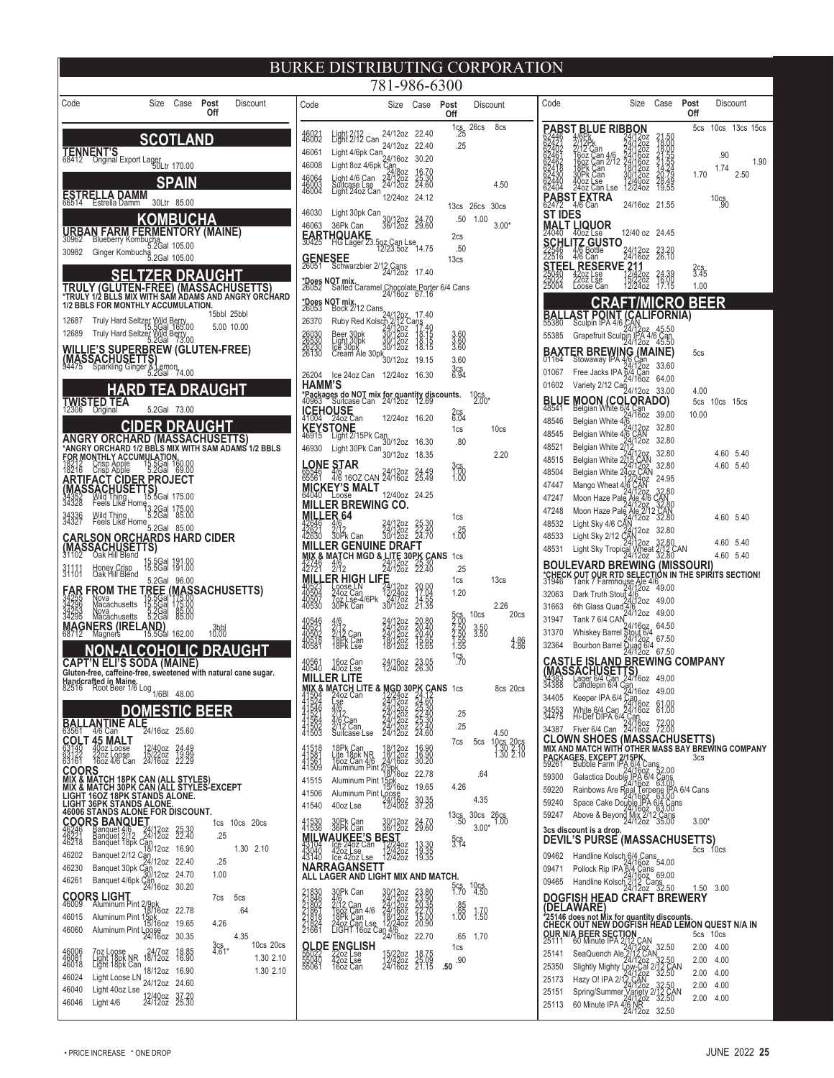|                                                                                                                                   |                                                                                                                                                                                                                                                                                                                                                                                                                                                                                                                                                                                                                                                                                                                                                                                                                                                                                                                                                                                                                                                                                                                                                                                                                                                                                                                                                                                                                                                                                                                                                                                                                                                                                                                                   |                                                                                                                                                                                                                                                                                   |                |                                                                |                                                  |                        |                                                                                                                                                                                                   |                                                                                                                                                                                                                                                              | 781-986-6300                                                                                                                                                                                                                                                                                                                                                                                                                                                                                                                                                                                                                                                                                                                                                                                                                                                                                                                                                                                                                                                                                                                                                                                                                                                                                                                                                                                                                                                                                                                                                                                                                                                                                                                   |                                                                                                                                                                                                                          |                                                                                                                                                                                                                                                                                                      |                                                                                         |                                                                                                                                                                  |                                                                                                                                                                                    |                                                                                                                                                                                                                                                                                                                                                                                                                                                                                                                                                                                                                                                                                                                                                                                                                                                                                                                                                                                                                                                                                                                                                                                                                                                                                                                                                                                                  |                                                                                                                                                                                                                                                                                                                                                                                                                                                                                                                                                                                                                                                                             |                                                                                                                                                                                                          |                                                                    |                                                   |                                                                                                 |
|-----------------------------------------------------------------------------------------------------------------------------------|-----------------------------------------------------------------------------------------------------------------------------------------------------------------------------------------------------------------------------------------------------------------------------------------------------------------------------------------------------------------------------------------------------------------------------------------------------------------------------------------------------------------------------------------------------------------------------------------------------------------------------------------------------------------------------------------------------------------------------------------------------------------------------------------------------------------------------------------------------------------------------------------------------------------------------------------------------------------------------------------------------------------------------------------------------------------------------------------------------------------------------------------------------------------------------------------------------------------------------------------------------------------------------------------------------------------------------------------------------------------------------------------------------------------------------------------------------------------------------------------------------------------------------------------------------------------------------------------------------------------------------------------------------------------------------------------------------------------------------------|-----------------------------------------------------------------------------------------------------------------------------------------------------------------------------------------------------------------------------------------------------------------------------------|----------------|----------------------------------------------------------------|--------------------------------------------------|------------------------|---------------------------------------------------------------------------------------------------------------------------------------------------------------------------------------------------|--------------------------------------------------------------------------------------------------------------------------------------------------------------------------------------------------------------------------------------------------------------|--------------------------------------------------------------------------------------------------------------------------------------------------------------------------------------------------------------------------------------------------------------------------------------------------------------------------------------------------------------------------------------------------------------------------------------------------------------------------------------------------------------------------------------------------------------------------------------------------------------------------------------------------------------------------------------------------------------------------------------------------------------------------------------------------------------------------------------------------------------------------------------------------------------------------------------------------------------------------------------------------------------------------------------------------------------------------------------------------------------------------------------------------------------------------------------------------------------------------------------------------------------------------------------------------------------------------------------------------------------------------------------------------------------------------------------------------------------------------------------------------------------------------------------------------------------------------------------------------------------------------------------------------------------------------------------------------------------------------------|--------------------------------------------------------------------------------------------------------------------------------------------------------------------------------------------------------------------------|------------------------------------------------------------------------------------------------------------------------------------------------------------------------------------------------------------------------------------------------------------------------------------------------------|-----------------------------------------------------------------------------------------|------------------------------------------------------------------------------------------------------------------------------------------------------------------|------------------------------------------------------------------------------------------------------------------------------------------------------------------------------------|--------------------------------------------------------------------------------------------------------------------------------------------------------------------------------------------------------------------------------------------------------------------------------------------------------------------------------------------------------------------------------------------------------------------------------------------------------------------------------------------------------------------------------------------------------------------------------------------------------------------------------------------------------------------------------------------------------------------------------------------------------------------------------------------------------------------------------------------------------------------------------------------------------------------------------------------------------------------------------------------------------------------------------------------------------------------------------------------------------------------------------------------------------------------------------------------------------------------------------------------------------------------------------------------------------------------------------------------------------------------------------------------------|-----------------------------------------------------------------------------------------------------------------------------------------------------------------------------------------------------------------------------------------------------------------------------------------------------------------------------------------------------------------------------------------------------------------------------------------------------------------------------------------------------------------------------------------------------------------------------------------------------------------------------------------------------------------------------|----------------------------------------------------------------------------------------------------------------------------------------------------------------------------------------------------------|--------------------------------------------------------------------|---------------------------------------------------|-------------------------------------------------------------------------------------------------|
| Code                                                                                                                              |                                                                                                                                                                                                                                                                                                                                                                                                                                                                                                                                                                                                                                                                                                                                                                                                                                                                                                                                                                                                                                                                                                                                                                                                                                                                                                                                                                                                                                                                                                                                                                                                                                                                                                                                   | Size Case <b>Post</b>                                                                                                                                                                                                                                                             |                | Off                                                            | Discount                                         |                        | Code                                                                                                                                                                                              |                                                                                                                                                                                                                                                              | Size                                                                                                                                                                                                                                                                                                                                                                                                                                                                                                                                                                                                                                                                                                                                                                                                                                                                                                                                                                                                                                                                                                                                                                                                                                                                                                                                                                                                                                                                                                                                                                                                                                                                                                                           | Case <b>Post</b>                                                                                                                                                                                                         |                                                                                                                                                                                                                                                                                                      |                                                                                         | Discount                                                                                                                                                         | Code                                                                                                                                                                               |                                                                                                                                                                                                                                                                                                                                                                                                                                                                                                                                                                                                                                                                                                                                                                                                                                                                                                                                                                                                                                                                                                                                                                                                                                                                                                                                                                                                  | Size                                                                                                                                                                                                                                                                                                                                                                                                                                                                                                                                                                                                                                                                        | Case                                                                                                                                                                                                     | Post<br>Off                                                        |                                                   | Discount                                                                                        |
| 30962<br>12687<br>12689<br>34336<br>34327<br>31131<br>34255<br>34296<br>34253<br>34295<br>63149<br>63122<br>63161<br><b>COORS</b> | TENNENT'S<br>68412 Original Export Lager<br>08412 Original Export Lager<br><b>ESTRELLA DAMM</b><br>66514 Estrella Damm<br><b>URBAN FARM FERMENTORY (MAINE)</b><br>Blueberry Kombucha<br>5.2Gal 105.00<br>30982 Ginger Kombucha<br>5.2Gal 105.00<br>TRULY (GLUTEN-FREE) (MASSACHUSETTS)<br>*TRULY 1/2 BLLS MIX WITH SAM ADAMS AND ANGRY ORCHARD<br>1/2 BBLS FOR MONTHLY ACCUMULATION.<br>Truly Hard Seltzer Wild Berry<br>15.5Gal 165.00<br>Truly Hard Seltzer Wild Berry<br>5.2Gal 73.00<br><b>WILLIE'S SUPERBREW (GLUTEN-FREE)</b><br>WILLIL <b>SACHUSETTS)</b><br>94475 Sparkling Ginger & Lemon<br>94475 Sparkling Ginger 5.2Gal 74.00<br><b>TWISTED TEA</b><br>12306 Original<br>ANGRY ORCHARD (MASSACHUSETTS)<br>*ANGRY ORCHARD 1/2 BBLS MIX WITH SAM ADAMS 1/2 BBLS<br><b>FOR MONTHLY ACCUMULATION.</b><br>FOR MONTHLY ACCUMULATION.<br>18216 Crisb Abble 5.2Gal 69.00<br><u>ARTIFACT CIDER P</u> ROJECT<br><b>ANTIFALL HUSETTS)</b><br>34328 Feels Like Home<br>34328 Feels Like Home<br>34336 Wild Thing Lame 5.2Gal 185.00<br>Wild Thing<br>Feels Like Home<br>5.2Gal 85.00<br>CARLSON ORCHARDS HARD CIDER<br>(MASSACHUSETTS)<br>31102 Oak Hill Blend 15 FCsL 101.00<br>Honey Crisp<br>Oak Hill Blend<br><u>FAR FROM THE TREE (MAS</u> SACHUSETTS)<br>Nova<br>Macachusetts<br>Nova<br>Macachusetts<br>MAGNERS (IRELAND)<br>68712 Magners 15.5Gal 162.00<br><u>NON-ALCOHOLIC DRAUGHT</u><br><b>CAPT'N ELI'S SODA (MAINE)</b><br>Gluten-free, caffeine-free, sweetened with natural cane sugar.<br>Giuten-mee, Junemee<br>Handcrafted in Maine.<br>82516 Root Beer 1/6 Log <sub>1/6BI</sub><br><b>BALLANTINE ALE</b><br>63561 4/6 Can <b>ALE</b> 24/16oz 25.60<br>COLT 45 MALT<br>40oz Loose<br>22oz Loose<br>16oz 4/6 Can | <b>SCOTLAND</b><br><b>SPAIN</b><br>30Ltr 85.00<br>KOMBUCHA<br><u>SELTZER DRAUGHT</u><br><u>HARD TEA DRAUGHT</u><br>5.2Gal 73.00<br>CIDER DRAUGHT<br>15.5Gal 191.00<br>15.5Gal 191.00<br>5.2Gal 96.00<br>Gal<br>$5.2$ Gal<br><b>DOMESTIC BEER</b><br>12/40oz<br>15/22oz<br>24/16oz | 85.00<br>48.00 | 15bbl 25bbl<br>3bbl<br>10.00                                   | 5.00 10.00                                       |                        | 46021<br>46061<br>46008<br>46064<br>46003<br>46004<br>46030<br>46063<br><b>HAMM'S</b><br>46930<br><b>MILLER 64</b><br>40502<br>40518<br>40581<br>48561<br>$\frac{41518}{41561}$<br>41515<br>41506 | Light 2/12<br>Light 2/12 Can<br>Light 4/6 Can<br>Suitcase Lse<br>Light 24oz Can<br>ICEHOUSE<br>41004 24oz Can<br>MICKEY'S MALT<br>Loose<br>30Pk Can<br>4/6<br>2/12 Can<br>18Pk Can<br>18Pk Lse<br>16oz Can<br>40oz Lse<br><b>MILLER LITE</b><br>Suitcase Lse | Light 4/6pk Can<br>24/16oz 30.20<br>---><br>Light 8oz 4/6pk 631<br>Light 4/6 Can 24/3oz 25.30<br>Suitcase Lse 24/12oz 24.60<br>Light 30pk Can<br>∩≏¤¤k Can 30/12oz 24.70<br>36/12oz 29.60<br>46063<br><b>EARTHOUAKE</b><br>30425 HG Lager 23.5oz Can Lse<br>12/23.5oz 14.75<br><b>GENESEE</b><br>26051 Schwarzbier 2/12 Cans<br>24/12oz 17.40<br>*Does NOT mix.<br>26052 Salted Caramel Chocolate Porter 6/4 Cans<br>2005<br>2005 North May 12 Cans<br>20053 Bock 2/12 Cans<br>20053 Bock 2/12 Cans<br>20070 Ruby Red Kolson 2/12 Cans<br>20030 Beer 30pk<br>30/1202 18:15<br>56530 Light 30pk<br>30/1202 18:15<br>2006 Per 30/1202 18:15<br>Beer 30pk 30/12oz<br>Light 30pk 30/12oz<br>Ice 30pk 30/12oz<br>Cream Ale 30pk <sub>30/12oz</sub><br>26204 Ice 24oz Can 12/24oz 16.30<br>*Packages do NOT mix for quantity discounts.<br>40963 Suitcase Can 24/12oz 12.69<br>$K$ EYSTONE<br>46915 Light 2/15Pk Can<br>46915 Light 2/15Pk Can 30/12oz 16.30<br>Light 30Pk Can $\frac{1}{30/12}$ oz 18.35<br><b>LONE STAR</b><br>85546 4/8 160 <u>7 CAN</u> 24/1207 24:48<br><b>MILLER BREWING CO.</b><br>24/12oz<br>24/12oz<br>30/12oz<br>MILLER GENUINE DRAFT<br><b>E MATCH MGD &amp; LITE 30PK CANS</b><br>24 2/12<br>24 2/12 24/12oz 22.40<br>24/120z<br>24/120z<br>34/120z<br>18/120z<br>24/1602<br>12/4002<br><b>MIX &amp; MATCH LITE &amp; MGD 30PX CANS</b> 1cs<br>41324 Lase 24/12/22 24:60<br>41324 Lase 24/12/22 24:60<br>41324 212<br>41362 2020 24/1202 25:30 25<br>41362 2020 24/1202 23:30 25<br>41363 Suitcase Lse 24/1202 24:60<br>18Pk Can<br>Life 18pk NR 18/1202 16.90<br>160z Can 4/6 24/1602 30.20<br>Aluminum Pint 279pk<br>Aluminum Pint 15/1602 22.78<br>Aluminum Pint 15/1602 19.65<br>Aluminum Pint Loose | 24/12oz 22.40<br>24/12oz 22.40<br>12/24oz 24.12<br>19.15<br>12/24oz 16.20<br>12/40oz 24.25<br>25.30<br>22.40<br>24.70<br>20.00<br>17:04<br>14:55<br>21:35<br>20.80<br>20.40<br>20.40<br>15.65<br>15.65<br>23.95<br>26.30 | Off<br>$\frac{1}{25}$<br>.25<br>.50<br>2cs<br>.50<br>13cs<br>3.60<br>3.60<br>3.60<br>3.60<br>3c <sub>5</sub> 6.94<br>$2cs$<br>$6.04$<br>1cs<br>.80<br>3cs<br>1:00<br>1:00<br>1cs<br>1.25<br>1cs<br>.25<br>1cs<br>1.20<br>5cs<br>2:00<br>2:50<br>2:55<br>1:55<br>1:55<br>$\frac{1}{5}$<br>7cs<br>4.26 | 26cs<br>13cs 26cs<br>1.00<br>$^{10}C_{2.00*}$<br>10cs<br>$3.50$<br>$3.50$<br>5cs<br>.64 | 8cs<br>4.50<br>30 <sub>cs</sub><br>$3.00*$<br>10 <sub>cs</sub><br>2.20<br>13cs<br>2.26<br>20 <sub>cs</sub><br>4.86<br>8cs 20cs<br>4.50<br>10cs 20cs<br>1.30 2.10 | 62440<br>62404<br>ST IDES<br>22318<br>01602<br>48545<br>48521<br>48515<br>48504<br>47447<br>47247<br>47248<br>48532<br>48533<br>48531<br>32063<br>31663<br>31947<br>31370<br>32364 | <b>PABST BLUE RIBBON</b><br>4/0PK<br>2/12 Can<br>16oz Can<br>16oz Can 4/6<br>18Pk Can<br>30Pk Can<br>30Pk Can<br>40oz Lse<br>24oz Can Lse<br>PABST EXTRA<br>MALT LIQUOR<br><b>SCHLITZ GUSTO</b><br>4/6 Bottle<br>4/6 Can<br><b>STEEL RESERVE 211</b><br>25040 420z Lse 12/420z<br>25022 220z Lse 15/220z<br>25004 Coose Can 12/240z<br><b>BALLAST POINT (CALIFORNIA)</b><br>55380 Sculpin IPA 46 CAN<br>55385 Grapefruit Sculpin IPA 46 Can<br>55385 Grapefruit Sculpin IPA 46 Can<br><b>BAXTER BREWING (MAINE)</b><br>01067 Free Jacks IPA 46 Can<br>01067 Free Jacks IPA 64 Can<br>01067 Mariah: 0149 Can 140 024 04.00<br><b>BLUE MOON (COLORADO)</b><br>48541 Belgian White $6/4$ Can<br>48546 Belgian White $4/6$<br>48546 Belgian White $4/6$<br>$4/12$ <sub>07</sub> 32.80<br>Belgian White 2/<br>Belgian White 2<br>Belgian White 2<br>Mango Wheat 4/6<br>Light Sky 4/6 CA<br>Light Sky 2/12 CA<br><b>BOULEVARD BREWING (MISSOURI)</b><br>*CHECK OUT OUR RTD SELECTION IN THE SPIRITS SECTION!<br>31946 Tank 7 Farmhouse Ale 4/6, 200<br>Tank 7 6/4 CAN<br><b>CASTLE ISLAND BREWING COMPANY</b><br><b>CLOWN SHOES (MASSACHUSETTS)</b><br>MIX AND MATCH WITH OTHER MASS BAY BREWING COMPANY<br><b>PACKAGES, EXCEPT 2/15PK.</b><br>59261 Bubble Farm IPA 6/4 Cans<br>59261 Bubble Farm IPA 6/4 Cans<br>59300 Galactica Double IPA 6/4 Cans<br>59220 Rainbows Are Real Terpens IPA 6/4 Cans | 20z<br>$\frac{160z}{160z}$<br>12/240z<br><b>CRAFT/MICRO</b><br>Variety 2/12 Can<br>24/12oz 33.00<br>Belgian White 476 CAN<br>24/12oz<br>4712oz<br>15. ÇAN<br>24/12oz<br>497 ÇAN<br>1972Aoz<br>/240Z<br>ÇAN<br>Marino Wilea 4/2<br>Moon Haze Pale Ale 4/6 CAN<br>Moon Haze Pale Ale 4/6 CAN<br>Moon Haze Pale Ale 2/12 CAN<br>Linh Sky 4/6 CKN 1202 32.80<br>Light Sky Tropical Wheat 2/12 CAN<br>Light Sky Tropical Wheat 2/12 CAN<br>24/12oz 32.80<br>$24/1202$<br>Dark Truth Stout $4/6$<br>CH: $2$ :<br>Bark Hutil Story<br>24/12oz 49.00<br>5th Glass Quad 4/6<br>Valley Barrel Stout 6/4<br>Bourbon Barrel Stout 6/4<br>Bourbon Barrel Quad 6/4<br>Power 24/1202 67.50 | 21.50<br>18.000<br>21.555<br>21.555<br>20.42<br>20.49<br>30.55<br>24/16oz 21.55<br>12/40 oz 24.45<br>24/1202 23.20<br>24.39<br>16.00<br>17.15<br>32.80<br>32.80<br>32.80<br>32.80<br>24.95<br>12oz 32.80 | 5cs<br>1.70<br>3.45<br>1.00<br><b>BEER</b><br>5cs<br>4.00<br>10.00 | .90<br>1.74<br>10c <sub>90</sub><br>5cs 10cs 15cs | 10cs 13cs 15cs<br>1.90<br>2.50<br>4.60 5.40<br>4.60 5.40<br>4.60 5.40<br>4.60 5.40<br>4.60 5.40 |
| 46218<br>46202<br>46230<br>46261<br>46015<br>46060                                                                                | <b>WUX AMATCH 18PK CAN (ALL STYLES)<br/>MIX &amp; MATCH 30PK CAN (ALL STYLES-EXCEPT<br/>LIGHT 160Z 18PK STANDS ALONE.<br/>LIGHT 36PK STANDS ALONE.<br/>46006 STANDS ALONE FOR DISCOUNT.</b><br><b>COORS BANQUET</b><br>Banquet 476 - 24/12oz 25.30<br>Banquet 2/12 24/12oz 22.40<br>Banquet 18pk Can<br>Banquet 2/12 Can<br>24/12oz 22.40<br>Banquet 30pk Can<br>30/12oz 24.70<br>Banquet 4/6pk Can<br>24/16oz 30.20<br><b>COORS LIGHT</b><br>46009 Aluminum Pint 2/9pk<br>Red 1602 22.78<br>Aluminum Pint 15pk<br>15/16oz 19.65<br>Aluminum Pint Loose<br>24/16oz 30.35                                                                                                                                                                                                                                                                                                                                                                                                                                                                                                                                                                                                                                                                                                                                                                                                                                                                                                                                                                                                                                                                                                                                                          |                                                                                                                                                                                                                                                                                   |                | .25<br>.25<br>1.00<br>7 <sub>CS</sub><br>4.26<br>$3c_{61}^{s}$ | 1cs 10cs 20cs<br>1.30 2.10<br>5cs<br>.64<br>4.35 | 10cs 20cs              | 41540<br>41530<br>41536<br>21846<br>21862<br>21861<br>21824<br>21661                                                                                                                              | 40oz Lse<br>30Pk Can<br>36Pk Can<br>NARRAGANSETT<br>30Pk Can<br><b>OLDE ENGLISH</b>                                                                                                                                                                          | 24/16oz<br>12/40oz<br>30/12oz<br>36/12oz<br><b>MILWAUKEE'S BEST</b><br>43104 loe 24oz Can 12/24oz<br>43040 42oz Lse 12/42oz<br>43140 loe 42oz Lse 12/42oz<br>ALL LAGER AND LIGHT MIX AND MATCH.<br>30/12oz<br>24/12oz<br>24/12oz<br>24/16oz<br>18/12oz<br>12/24oz<br>12/24oz<br>316<br>2012 Can 521/1202<br>1807 Can 416 34/1502<br>1807 Can Lise 12/2402<br>LIGHT 1602 Can 4/6<br>1911 1602 Can 4/602                                                                                                                                                                                                                                                                                                                                                                                                                                                                                                                                                                                                                                                                                                                                                                                                                                                                                                                                                                                                                                                                                                                                                                                                                                                                                                                         | 39.35<br>24.70<br>29.60<br>$\frac{13.36}{19.35}$<br>23.80<br>23.35<br>22.35<br>22.70<br>15.00<br>20.90<br>22.70                                                                                                          | 13c <sub>50</sub><br>$\frac{5}{3.14}$<br>5cs<br>1.70<br>$\begin{array}{c} .85 \\ .65 \\ 1.00 \end{array}$<br>.65<br>1cs                                                                                                                                                                              | 4.35<br>30cs 26cs<br>$3.00*$<br>$^{10}$ cs<br>4.50<br>1.58<br>1.70                      |                                                                                                                                                                  | 59240<br>59247<br>09462<br>09471<br>09465                                                                                                                                          | Space Cake Double IPA 64 Cans<br>Above & Beyond Mix 2/12 Cans<br>Above & Beyond Mix 2/12 Cans<br>3cs discount is a drop.<br><b>DEVIL'S PURSE (MASSACHUSETTS)</b><br>Handline Kolsch 6/4 Cans<br>Pollock Rip IPA 6/4 Cans<br>Handline Kolsch 24/160z<br>Handline Kolsch 24/120z 32.50<br>DOGFISH HEAD CRAFT BREWERY<br>(DELAWARE)<br>*25146 does not Mix for quantity discounts.<br>CHECK OUT NEW DOGFISH HEAD LEMON QUEST N/A IN<br><b>CHECK OUT NEW DOWN.</b><br>25111 60 Minute IPA 217-2021<br>25111 60 Minute IPA 217-2021<br>25141 SeaQuench Ale 2172 CAN<br>25350 Slightly Mighty Low-Cat 212 CAN<br>25350 Slightly Mighty Low-Cat 212 CAN                                                                                                                                                                                                                                                                                                                                                                                                                                                                                                                                                                                                                                                                                                                                                 |                                                                                                                                                                                                                                                                                                                                                                                                                                                                                                                                                                                                                                                                             |                                                                                                                                                                                                          | $3.00*$                                                            | 5cs 10cs<br>1.50 3.00<br>5cs 10cs<br>2.00 4.00    |                                                                                                 |
| 46081<br>46018<br>46024<br>46040<br>46046                                                                                         | 7oz Loose<br>Light 18pk NR<br>Light 18pk Can<br>Light Loose LN 24/12oz 24.60<br>Light 40oz Lse<br>Light 4/6                                                                                                                                                                                                                                                                                                                                                                                                                                                                                                                                                                                                                                                                                                                                                                                                                                                                                                                                                                                                                                                                                                                                                                                                                                                                                                                                                                                                                                                                                                                                                                                                                       | 24/7oz 18.85<br>18/12oz 16.90<br>18/12oz 16.90<br>12/40oz 37.20<br>24/12oz 25.30                                                                                                                                                                                                  |                |                                                                |                                                  | 1.30 2.10<br>1.30 2.10 | 55061                                                                                                                                                                                             | 22oz Lse<br>42oz Lse<br>16oz Can                                                                                                                                                                                                                             | 15/220z<br>12/420z<br>24/16oz                                                                                                                                                                                                                                                                                                                                                                                                                                                                                                                                                                                                                                                                                                                                                                                                                                                                                                                                                                                                                                                                                                                                                                                                                                                                                                                                                                                                                                                                                                                                                                                                                                                                                                  | $\frac{18.75}{21.15}$                                                                                                                                                                                                    | .90<br>.50                                                                                                                                                                                                                                                                                           |                                                                                         |                                                                                                                                                                  | 25173<br>25151<br>25113                                                                                                                                                            | Sunner 21/21/202 32.50<br>Spring/Summer Variety 21/2 CAN<br>60 Minute IPA 4/6 NR<br>24/12oz 32.50                                                                                                                                                                                                                                                                                                                                                                                                                                                                                                                                                                                                                                                                                                                                                                                                                                                                                                                                                                                                                                                                                                                                                                                                                                                                                                | Hazy O! IPA 2/12 CAN<br>24/12 24/12 24                                                                                                                                                                                                                                                                                                                                                                                                                                                                                                                                                                                                                                      |                                                                                                                                                                                                          |                                                                    | 2.00 4.00<br>2.00 4.00<br>2.00 4.00<br>2.00 4.00  |                                                                                                 |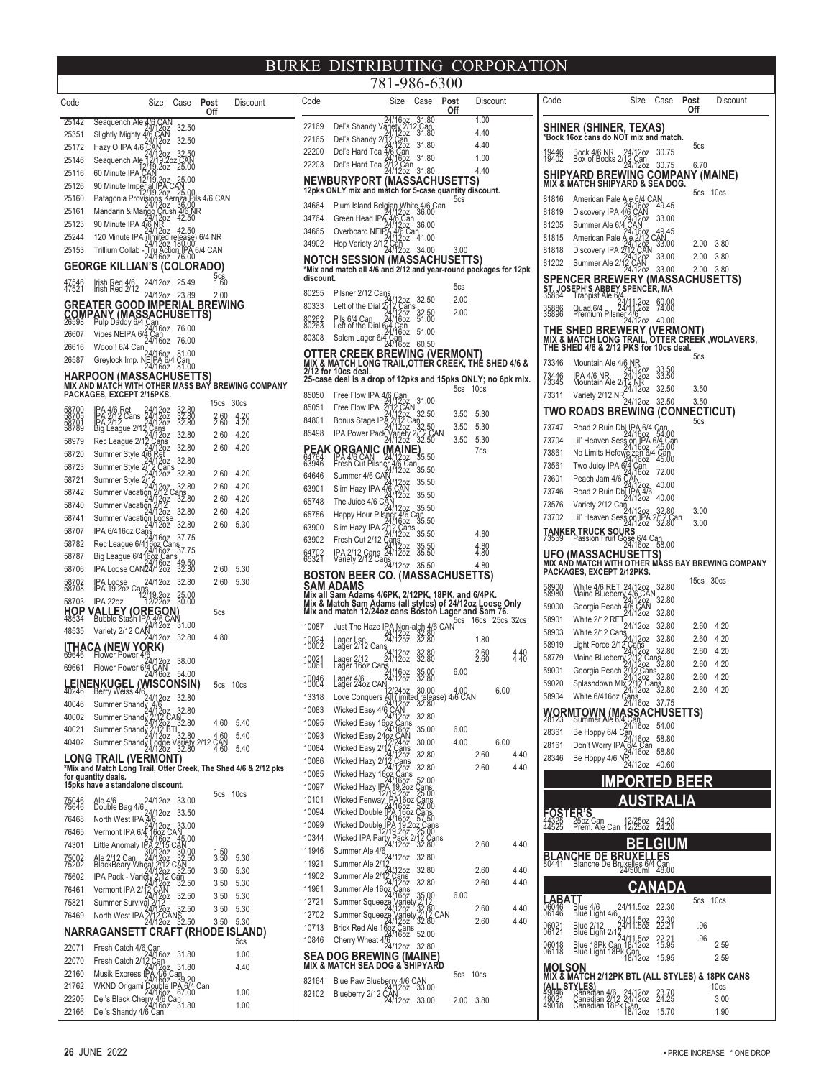| Code                 | Size                                                                                                                        | Case                                                                           | Post<br>Off                | Discount         | Cod               |
|----------------------|-----------------------------------------------------------------------------------------------------------------------------|--------------------------------------------------------------------------------|----------------------------|------------------|-------------------|
| 25142                |                                                                                                                             | 32.50                                                                          |                            |                  | 221               |
| 25351                | Seaquench Ale 4/6 CAN<br>24/1202<br>Slightly Mighty 4/6 CAN<br>Hazy O IPA 4/6 CAN                                           | 32.50                                                                          |                            |                  | 221               |
| 25172<br>25146       |                                                                                                                             |                                                                                |                            |                  | 222               |
| 25116                | Seaquench Ale<br>12/15.4.<br>/19.20 <mark>z</mark><br>60 Minute IPA CAN                                                     | /12oz - 32.50<br>/19.2oz CAN<br>9.2oz - 25.00                                  |                            |                  | 222               |
| 25126                | 90 Minute Imperial IPA                                                                                                      | 25.00                                                                          |                            |                  | ΝE                |
| 25160                |                                                                                                                             |                                                                                |                            |                  | 12p               |
| 25161                | r atagonia Provisions Kernza Pils 4/6 CAN<br>Mandarin & Mango Crush 4/6 NR<br>90 Minute IPA 476 NB 2 42.50                  |                                                                                |                            |                  | 346<br>347        |
| 25123                | 90 Minute IPA 4/6 NH                                                                                                        | 42.50                                                                          |                            |                  | 346               |
| 25244                | 120 Minute IPA (limited release) 6/4 NR                                                                                     |                                                                                |                            |                  | 349               |
| 25153                | Trillium Collab - Tru Action IPA 6/4 CAN<br>24/16oz 76.00                                                                   |                                                                                |                            |                  | NC                |
|                      | <b>GEORGE KILLIAN'S (COLORADO)</b>                                                                                          |                                                                                |                            |                  | *Mi:              |
| 47546<br>47521       | 24/12oz<br>Irish Red 4/6<br>Irish Red 2/12<br>24/12oz                                                                       | 25.49<br>23.89                                                                 | <u>၁၄၄</u><br>1.60<br>2.00 |                  | dis<br>802        |
| <b>COMP</b><br>26598 | <b>GREATER GOOD IMPERIAL</b><br>ANY (MASSACHUSETTS)                                                                         |                                                                                | <b>BREWING</b>             |                  | 803<br>802<br>802 |
| 26607                | Vibes NEIPA 6/4 Can                                                                                                         | 76.00                                                                          |                            |                  | 803               |
| 26616                | Wooo!! 6/4 Can 24/1607                                                                                                      | 81.00                                                                          |                            |                  | 01                |
| 26587                | Greylock Imp. NEJPA 6/4                                                                                                     | 81.00                                                                          |                            |                  | MI)<br>2/1        |
|                      | <b>HARPOON (MASSACHUSETTS)</b><br>MIX AND MATCH WITH OTHER MASS BAY BREWING COMPANY                                         |                                                                                |                            |                  | 25-               |
|                      | PACKAGES, EXCEPT 2/15PKS.                                                                                                   |                                                                                |                            |                  | 850               |
| 58700<br>58705       | 4/12oz<br>4/12oz                                                                                                            |                                                                                | 15cs                       | 30 <sub>cs</sub> | 850               |
| 58701<br>58789       | PA 4/6 Ret<br>PA 2/12 Cans<br>PA 2/12<br>$\frac{1}{4}$ /1202<br>Big League 2/12                                             | 32.80<br>32.80<br>32.80                                                        | 2.60<br>2.60               | $4.20$<br>$4.20$ | 848               |
| 58979                | 12oz<br>Rec League 2/12                                                                                                     | 32.80                                                                          | 2.60                       | 4.20             | 854               |
| 58720                | Cans<br>/12oz<br>Ret<br>/12oz<br>? Cans<br>Summer Style 476                                                                 | 32.80                                                                          | 2.60                       | 4.20             | РE                |
| 58723                | Summer Style 27                                                                                                             | 32.80                                                                          |                            |                  | 839               |
| 58721                | 12oz<br>Summer Style 2                                                                                                      | 32.80<br>32.80                                                                 | 2.60<br>2.60               | 4.20<br>4.20     | 646               |
| 58742                | Summer Vacatio                                                                                                              | ans<br>32.80                                                                   | 2.60                       | 4.20             | 639               |
| 58740                | Summer Vacation<br>726z                                                                                                     | 32.80                                                                          | 2.60                       | 4.20             | 657<br>657        |
| 58741                | Summer Vacation                                                                                                             | 32.80                                                                          | 2.60                       | 5.30             | 639               |
| 58707                | IPA 6/416oz Cans                                                                                                            | 37.75                                                                          |                            |                  | 639               |
| 58782<br>58787       | Rec League 6/416<br>16 <sub>QZ</sub><br>Big League 6/41607<br><b>Cans</b>                                                   | าร<br>37.75                                                                    |                            |                  | 647<br>653        |
| 58706                | IPA Loose CAN24/1202                                                                                                        | 49.50<br>32.80                                                                 | 2.60                       | 5.30             |                   |
| 58702                | 24/12oz<br>EA Loose<br> PA 19.2oz Cans                                                                                      | 32.80                                                                          | 2.60                       | 5.30             | вс                |
| 58703                | 12/19.2oz<br>12/22oz<br>IPA 22oz                                                                                            | 25.00<br>30.00                                                                 |                            |                  | SΑ<br>Mix         |
| HOP<br>48534         | <b>REGON</b><br><b>ALLEY (OI</b><br>Bubble Stash II<br>4/12oz                                                               | 31.00                                                                          | 5cs                        |                  | Mix<br>Mix<br>100 |
| 48535                | Variety 2/12 CAN<br>24/12oz                                                                                                 | 32.80                                                                          | 4.80                       |                  | 188               |
|                      | <b>ITHACA (NEW YORK)</b><br>69646 Flower Power 4/6                                                                          | 38.00                                                                          |                            |                  |                   |
| 69661                | <u>.4/12oz</u><br>4.CAN<br>Flower Power 674 CAN<br>24/16oz                                                                  | 54.00                                                                          |                            |                  | 100<br>100        |
|                      | LEINENKUGEL (WISCONSIN)<br>40246 Berry Weiss 4/6<br>40046 Summer Shandy 4/1/20z 32.80                                       |                                                                                | 5cs                        | 10cs             | 188               |
| 40046                |                                                                                                                             |                                                                                |                            |                  | 133               |
| 40002                | Summer Shandy                                                                                                               |                                                                                |                            |                  | 100               |
| 40021                | Summer Shandy                                                                                                               | /12<br>12oz<br><sup>112</sup> .9TL, 32.80<br>Tiety                             | 4.60                       | 5.40<br>5.40     | 100<br>100        |
| 40402                | Summer Shandy Lodge Variety 2/12                                                                                            |                                                                                | 4.60<br>CAN<br>4.60        | 5.40             | 100               |
|                      | LONG TRAIL (VERMONT)                                                                                                        |                                                                                |                            |                  | 100               |
|                      | *Mix and Match Long Trail, Otter Creek, The Shed 4/6 & 2/12 pks<br>for quantity deals.                                      |                                                                                |                            |                  | 100               |
|                      | 15pks have a standalone discount.                                                                                           |                                                                                | 5cs                        | 10 <sub>cs</sub> | 100               |
| 75046<br>75646       | 24/12oz<br>Ale 4/6<br>Double Bag 4/6                                                                                        | 33.00                                                                          |                            |                  | 101               |
| 76468                | 24/12oz<br>North West IPA 4/6<br>24/                                                                                        | 33.50                                                                          |                            |                  | 100               |
| 76465                | 12oz<br>Vermont IPA 6/4                                                                                                     | 33.00                                                                          |                            |                  | 100<br>103        |
| 74301                | Little Anomaly IPA.                                                                                                         | 1602 CAN<br>4/1602 - 45,00<br>4/2/15 CAN                                       |                            |                  | 119               |
| 75002<br>75202       | 30/12/02<br>Ale 2/12 Can<br>BlackBeary Wheat 2/12<br>IPA Pack - Variety 2/12<br>IPA Pack - Variety 2/12<br>Vermont IPA 2/13 | $\frac{30.00}{32.50}$                                                          | 3:58<br>3:58               | 5.30             | 119               |
| 75602                |                                                                                                                             | an<br>32.50                                                                    | 3.50                       | 5.30             | 119               |
| 76461                | Vermont IPA 2/12 CANT                                                                                                       |                                                                                | 3.50                       | 5.30             | 119               |
| 75821                | Summer Survival                                                                                                             | 32.50<br>32.50                                                                 | 3.50<br>3.50               | 5.30<br>5.30     | 127               |
| 76469                | North West IPA 2/12 CA                                                                                                      | $\frac{45}{32.50}$                                                             | 3.50                       | 5.30             | 127               |
|                      | NARRAGANSETT CRAFT (RHODE ISLAND)                                                                                           |                                                                                |                            |                  | 107               |
| 22071                | Fresh Catch 4/6 Can<br>24/16oz                                                                                              |                                                                                |                            | 5cs              | 108               |
| 22070                | Fresh Catch 2/1<br>Çan<br>1120z<br>Ι4                                                                                       | 31.80                                                                          |                            | 1.00             | SE<br>MI)         |
| 22160                | Musik Express IP.                                                                                                           | 31.80                                                                          |                            | 4.40             |                   |
| 21762                |                                                                                                                             | 4/1494<br>^A 4/6 Can<br>a/16oz - 39,20<br>Double IPA 6/4 Can<br>4/16oz - 67.00 |                            | 1.00             | 821<br>821        |
| 22205                | WKND Origami Double<br>Del's Black Cherry 4/6 C<br>Del's Shandy 4/6 Can                                                     | <sup>2</sup> an<br>31.80                                                       |                            | 1.00             |                   |
| 22166                | Del's Shandy                                                                                                                |                                                                                |                            |                  |                   |

|                | 781-986-6300                                                                                                                 |                                            |                                                                     |             |              |              |           |
|----------------|------------------------------------------------------------------------------------------------------------------------------|--------------------------------------------|---------------------------------------------------------------------|-------------|--------------|--------------|-----------|
| Code           |                                                                                                                              | Size                                       | Case                                                                | Post<br>Off |              | Discount     |           |
| 22169          | Del's Shandy V                                                                                                               |                                            | 24/16oz 31.80<br> ariety 2/12 Can<br> 24/12oz 31.80                 |             |              | 1.00         |           |
| 22165          | Del's Shandy 2/                                                                                                              | 2 Can<br>4/12 oz                           | 31.80                                                               |             |              | 4.40<br>4.40 |           |
| 22200          | Del's Hard Tea 4/6 Can                                                                                                       | 16oz                                       | 31.80                                                               |             |              | 1.00         |           |
| 22203          | Del's Hard Tea 2                                                                                                             | T2oz                                       | 31.80                                                               |             |              | 4.40         |           |
|                | <b>NEWBURYPORT (MASSACHUSETTS)</b><br>12pks ONLY mix and match for 5-case quantity discount.                                 |                                            |                                                                     |             |              |              |           |
| 34664          |                                                                                                                              |                                            |                                                                     |             | 5cs          |              |           |
| 34764          | Plum Island Belgian White 4/6 Can<br>Green Head IPA 4/1202<br>Overboard NEIPA 4/6 Can<br>Overboard NEIPA 4/6 Can<br>All Can  |                                            |                                                                     |             |              |              |           |
| 34665          |                                                                                                                              |                                            |                                                                     |             |              |              |           |
| 34902          | Hop Variety 2/12                                                                                                             | /12oz<br>4/12oz                            | 41.00<br>34.00                                                      |             |              |              |           |
|                | <b>NOTCH SESSION (MASSACHUSETTS)</b>                                                                                         |                                            |                                                                     |             | 3.00         |              |           |
| discount.      | *Mix and match all 4/6 and 2/12 and year-round packages for 12pk                                                             |                                            |                                                                     |             |              |              |           |
| 80255          | Pilsner 2/12 Cans                                                                                                            |                                            |                                                                     |             | 5cs          |              |           |
| 80333          | Left of the Dial 2                                                                                                           | 24/12oz<br>/12 Cans<br><sup>/17 2</sup> 02 | 32.50                                                               |             | 2.00         |              |           |
| 80262<br>80263 | Pils 6/4 Can<br>Left of the Dial 6/4                                                                                         | :/12oz<br>:/16oz                           | 32.50<br>51.00                                                      |             | 2.00         |              |           |
| 80308          |                                                                                                                              | Can<br>16oz                                | 51.00                                                               |             |              |              |           |
|                | Salem Lager 6/4                                                                                                              | , Can<br>:4/16oz                           | 60.50                                                               |             |              |              |           |
|                | OTTER CREEK BREWING (VERMONT)<br>MIX & MATCH LONG TRAIL,OTTER CREEK, THE SHED 4/6 &                                          |                                            |                                                                     |             |              |              |           |
|                | 2/12 for 10cs deal.<br>25-case deal is a drop of 12pks and 15pks ONLY; no 6pk mix.                                           |                                            |                                                                     |             |              |              |           |
| 85050          |                                                                                                                              |                                            |                                                                     |             |              | 5cs 10cs     |           |
| 85051          | Free Flow IPA 4/6 Can<br>24/12oz<br>Free Flow IPA 2/12 CAN                                                                   |                                            | 31.00                                                               |             |              | 5.30         |           |
| 84801          | Bonus Stage IPA                                                                                                              |                                            | 32.50                                                               |             | 3.50<br>3.50 | 5.30         |           |
| 85498          | <b>IPA Power Pack</b>                                                                                                        |                                            | 32,50<br>12 C<br>32.50                                              | AN,         | 3.50         | 5.30         |           |
|                | PEAK ORGANIC                                                                                                                 |                                            | 35.50                                                               |             |              | 7cs          |           |
| 64764<br>63946 | IPA 4/6 CAN 24/1202<br>Fresh Cut Pilsner 4/6 C                                                                               |                                            | 35.50                                                               |             |              |              |           |
| 64646          | Summer 4/6 CAN                                                                                                               |                                            | 35.50                                                               |             |              |              |           |
| 63901          | Slim Hazy IPA 4                                                                                                              | 1207<br>1208<br>1202                       | 35.50                                                               |             |              |              |           |
| 65748<br>65756 | The Juice 4/6 CA<br>Happy Hour Pilsner 4/6 C                                                                                 |                                            | 35.50                                                               |             |              |              |           |
| 63900          |                                                                                                                              | $\frac{1160z}{2}$<br>ans;                  | an<br>35.50                                                         |             |              |              |           |
| 63902          |                                                                                                                              |                                            | 35.50                                                               |             |              | 4.80         |           |
| 64702<br>65321 | 12 <sup>1</sup> 02/12 Presh Cut<br>24/12 24/12 Presh Cut<br>24/12 Cans<br>24/12 Cans                                         |                                            | 35.50<br>35.50                                                      |             |              | 4.80         |           |
|                | IPA 4/16<br>Variety 2/12 Cans<br>24/12oz                                                                                     |                                            | 35.50                                                               |             |              | 4.80         |           |
|                | <b>BOSTON BEER CO. (MASSACHUSETTS)</b><br>SAM ADAMS                                                                          |                                            |                                                                     |             |              |              |           |
|                | Mix all Sam Adams 4/6PK, 2/12PK, 18PK, and 6/4PK.<br>Mix & Match Sam Adams (all styles) of 24/12oz Loose Only                |                                            |                                                                     |             |              |              |           |
|                | Mix and match 12/24oz cans Boston Lager and Sam 76.                                                                          |                                            |                                                                     |             |              | 16cs         | 25cs 32cs |
| 10087          | 5cs<br>Just The Haze IPA Non-alch 4/6 CAN<br>Logar Late 24/12oz 32 80                                                        | 24/12öż<br>24/12öz                         | 32.80                                                               |             |              | 1.80         |           |
| 10024          | Lager Lse<br>Lager 2/12 Cans                                                                                                 | 24/12oz<br>24/12oz                         | 32.88                                                               |             |              | 3.60         | 4.48      |
| 10021<br>10061 | ager 2/12<br>.ager 16oz Cang<br>_ağer                                                                                        |                                            |                                                                     |             |              |              |           |
| 18846          | Lager 4/6<br>Lager 24oz CAN                                                                                                  | 24/16oz<br>24/12oz                         | 35.00<br>32.80                                                      |             | 6.00         |              |           |
| 13318          | Lager 2402 UAIY<br>Love Conquers All filmited release) 4/6 CAN<br>Wicked Easy 4/5 CAN2 32.80<br>Wicked Easy 4/5 2132x2 32.80 |                                            |                                                                     |             |              |              | 6.00      |
| 10083          |                                                                                                                              |                                            |                                                                     |             |              |              |           |
| 10095          | Wicked Easy 1602 Cans                                                                                                        | 120Z                                       | 32.80<br>35.00                                                      |             | 6.00         |              |           |
| 10093          | Wicked Easy 24pz                                                                                                             | biloz<br>240z                              | 30.00                                                               |             | 4.00         |              | 6.00      |
| 10084          | Wicked Easy 2/1                                                                                                              |                                            | 32.80                                                               |             |              | 2.60         | 4.40      |
| 10086<br>10085 | Wicked Hazy 2/<br>Wicked Hazy 16g                                                                                            |                                            | 32.80                                                               |             |              | 2.60         | 4.40      |
| 10097          | Wicked Hazy IJ                                                                                                               | , 1<br>19,262<br>19,262<br>A1602<br>Q2,    | 52.00                                                               |             |              |              |           |
| 10101          | Wicked Fenway                                                                                                                |                                            | zans<br>25.00<br>.ans<br>2.00                                       |             |              |              |           |
| 10094          | Wicked Double l                                                                                                              |                                            |                                                                     |             |              |              |           |
| 10099          | <b>Wicked Double</b>                                                                                                         |                                            |                                                                     |             |              |              |           |
| 10344          | Wicked IPA Part                                                                                                              | 1/12oz                                     | <i>oz Cans<br/>0z Cans<br/>1.20z Cans<br/>22 25.00<br/>22 32.80</i> |             |              | 2.60         | 4.40      |
| 11946<br>11921 | Summer Ale 4/6                                                                                                               | 12oz                                       | 32.80                                                               |             |              |              |           |
| 11902          | Summer Ale 2/1<br>Summer Ale 2/1                                                                                             | 12oz                                       | 32.80                                                               |             |              | 2.60         | 4.40      |
| 11961          | Summer Ale 16oz                                                                                                              | ∴ans<br>12oz<br>ans                        | 32.80                                                               |             |              | 2.60         | 4.40      |
| 12721          | Summer Squeeze                                                                                                               | í 6oz<br>variety<br>/12oz                  | 35.00<br>2/12                                                       |             | 6.00         |              |           |
| 12702          | Summer Squeeze                                                                                                               |                                            | 32.80<br>2212<br>4/12 CAN<br>32.80                                  |             |              | 2.60         | 4.40      |
| 10713          | Brick Red Ale 16qz (                                                                                                         |                                            | 52.00                                                               |             |              | 2.60         | 4.40      |
| 10846          | Cherry Wheat 4/                                                                                                              | .4/12oz                                    | 32.80                                                               |             |              |              |           |
|                | SEA DOG BREWING                                                                                                              |                                            | (MAINE                                                              |             |              |              |           |
|                | MIX & MATCH SEA DOG & SHIPYARD                                                                                               |                                            |                                                                     |             | 5cs          | 10cs         |           |
| 82164<br>82102 | Blue Paw Blueberry 4/6 CAN<br>24/12oz 33.<br>Blueberry 2/12 CAN<br>24/12oz 33.                                               |                                            | 33.00                                                               |             |              |              |           |
|                |                                                                                                                              |                                            | 33.00                                                               |             | 2.00         | 3.80         |           |
|                |                                                                                                                              |                                            |                                                                     |             |              |              |           |

| Code                     |                                                                                                                                                         | Size                        | Case                            | Post                 | Discount               |
|--------------------------|---------------------------------------------------------------------------------------------------------------------------------------------------------|-----------------------------|---------------------------------|----------------------|------------------------|
|                          |                                                                                                                                                         |                             |                                 | Off                  |                        |
|                          | SHINER (SHINER, TEXAS)<br>*Bock 16oz cans do NOT mix and match.                                                                                         |                             | 30.75                           | 5cs                  |                        |
| 19446                    | Bock 4/6 NR 24/12oz<br>Box of Bocks 2/12 Can<br>24/12oz<br>SHIPYARD BREWING COMPANY (MAINE)                                                             |                             | 30.75                           | 6.70                 |                        |
|                          | MIX & MATCH SHIPYARD & SEA DOG.                                                                                                                         |                             |                                 | 5cs                  | 10cs                   |
| 81816<br>81819           | American Pale Ale 6/4 CAN<br>Discovery IPA 4/6 (CAN 49.45<br>Summer Ale 6/4 (CAN 49.47)<br>Summer Ale 6/4/6 (CAN 49.45<br>American Pale Ale 7212 CAN 00 |                             |                                 |                      |                        |
| 81205                    |                                                                                                                                                         |                             |                                 |                      |                        |
| 81815                    |                                                                                                                                                         |                             | 49.45<br>-AN<br>-33.00          | 2.00                 | 3.80                   |
| 81818<br>81202           | Discovery IPA 2<br>Summer Ale 2/12 (                                                                                                                    | ΆN<br>0Z                    | 33.00                           | 2.00                 | 3.80                   |
|                          | <b>SPENCER BREWERY (MASSACHUSETTS)</b>                                                                                                                  | :AN<br>12oz                 | 33.00                           | 2.00                 | 3.80                   |
|                          | ST. JOSEPH'S ABBEY SPENCER, MA<br>35864 Trappist Ale 6/4/11.207 60.00<br>Quad 6/4                                                                       |                             | 60.00<br>74.00                  |                      |                        |
| 35886                    | 24/11.2oz<br>24/11.2ozyuad 6/4<br>16.24/11.2ozyum Pilsner<br>24/12oz                                                                                    |                             | 40.00                           |                      |                        |
|                          | THE SHED BREWERY (VERMONT)<br>MIX & MATCH LONG TRAIL, OTTER CRI<br>THE SHED 4/6 & 2/12 PKS for 10cs deal.                                               |                             |                                 |                      | OTTER CREEK, WOLAVERS, |
| 73346                    | Mountain Ale 4/6                                                                                                                                        | <i>NR</i><br>4/1202<br>2 NR | 33.50<br>33.50                  | 5cs                  |                        |
| 73446                    | IPA 4/6 NR<br>Mountain Ale 2/<br>١Δ١                                                                                                                    | 12oz                        | 32.50                           | 3.50                 |                        |
| 73311                    | Variety 2/12 NF                                                                                                                                         | 24/12oz                     | 32.50                           | 3.50                 |                        |
| 73747                    | TWO ROADS BREWING                                                                                                                                       |                             |                                 | (CONNECTICUT)<br>5cs |                        |
| 73704                    | Road 2 Ruin Dbl IPA 6/4 Can<br>24/16oz 54.00<br>Lil' Heaven Session IPA 6/4 Can<br>24/16oz 11-6020790 R/4 Can                                           |                             |                                 |                      |                        |
| 73861                    |                                                                                                                                                         |                             | Can<br>45.00                    |                      |                        |
| 73561                    |                                                                                                                                                         | Can<br>16oz                 | 72.00                           |                      |                        |
| 73601<br>73746           | Peach Jam 4/6 24/1207<br>Road 2 Ruin DbJ IPA 4/6<br>Road 2 Ruin DbJ IPA 4/6                                                                             |                             | 40.00                           |                      |                        |
| 73576                    | Variety 2/12 Can                                                                                                                                        |                             | 40.00                           | 3.00                 |                        |
| 73702                    |                                                                                                                                                         |                             | 32.80<br>/12 Can<br>32.80<br>21 | 3.00                 |                        |
| <b>TANKEF</b><br>73569   | <b>TRUCK SOURS</b><br>Passion Fruit Gose 6/4 Can<br>24/16oz 58.00                                                                                       |                             |                                 |                      |                        |
|                          | UFO (MASSACHUSETTS)<br>MIX AND MATCH WITH OTHER MASS BAY BREWING COMPANY<br>PACKAGES, EXCEPT 2/12PKS.                                                   |                             |                                 |                      |                        |
| 58900<br>58980           | White 4/6 RET                                                                                                                                           | 24/12oz                     | 32.80                           | 15cs                 | 30 <sub>cs</sub>       |
| 59000                    | Write 410 INC 1716<br>Maine Blueberry 4/6 CAN<br>CAN                                                                                                    |                             | 32.80                           |                      |                        |
| 58901                    | Georgia Peach 4/6<br>White 2/12 RET                                                                                                                     | CAN<br>1202                 | 32.80                           |                      |                        |
| 58903                    | White 2/12 Cans                                                                                                                                         | 24/12oz<br>12oz             | 32.80<br>32.80                  | 2.60<br>2.60         | 4.20<br>4.20           |
| 58919                    | Light Force 2/12                                                                                                                                        | $\frac{102}{20}$            | 32.80                           | 2.60                 | 4.20                   |
| 58779<br>59001           | Maine Blueberry<br>Manic<br>Georgia Peach 27<br>4.4.4.4                                                                                                 | 2oz<br>Cans                 | :<br>ans<br>7 32.80             | 2.60                 | 4.20                   |
| 59020                    | Splashdown Mlx                                                                                                                                          | $\frac{202}{207}$           | 32.80<br>ans<br>32.80           | 2.60<br>2.60         | 4.20<br>4.20           |
| 58904                    | White 6/416oz Cans<br>24/16oz                                                                                                                           |                             | 37.75                           |                      |                        |
|                          | <b>WORMTOWN (MASSACHUSETTS)</b><br>28123 Summer Ale 6/4 Can<br>224/16oz 54.00                                                                           |                             |                                 |                      |                        |
| 28361                    | Be Hoppy 6/4 Can                                                                                                                                        |                             | 58.80                           |                      |                        |
| 28161<br>28346           | Don't Worry IPA 6/4 Can<br>Be Hoppy 4/6 NR <sup>411</sup>                                                                                               |                             | 58.80                           |                      |                        |
|                          |                                                                                                                                                         |                             | 40.60                           |                      |                        |
|                          | ΠМ                                                                                                                                                      | <b>POR</b>                  | ED)                             | BEER<br>A            |                        |
|                          |                                                                                                                                                         |                             |                                 |                      |                        |
| 1555                     | <b>OSTER'S</b><br>1325 - 25oz Can<br>1525 - Prem. Ale Can                                                                                               | 12/25oz<br>12/25oz          | 24.20<br>24.20                  |                      |                        |
|                          | <b>BLANCHE DE BRUXE</b>                                                                                                                                 |                             |                                 | JM                   |                        |
|                          | Blanche De Bruxelles 6                                                                                                                                  |                             | Can<br>48 no                    |                      |                        |
|                          |                                                                                                                                                         | Б<br>;А<br>ι                | N۸<br>DA                        |                      |                        |
| LABATT<br>06946<br>06146 | Blue 4/6<br>Blue Light 4/6                                                                                                                              | 24/11.5oz                   | 22.30                           | 5 <sub>cs</sub>      | 10cs                   |
| 06021<br>06121           |                                                                                                                                                         |                             | 22.39<br>22.21                  | .96                  |                        |
|                          | Blue Light 1/94/11.502<br>Blue 2/12 24/11.502<br>Blue Light 2/12<br>Blue 18Pk Can 18/1202                                                               |                             | 15.65                           | .96                  | 2.59                   |
| 06018<br>06118           | Blue 18Pk Can 18/12oz<br>Blue Light 18Pk Can<br>18/12oz                                                                                                 |                             | 15.95                           |                      | 2.59                   |
|                          | MOLSON<br>MIX & MATCH 2/12PK BTL (ALL STYLES) & 18PK CANS                                                                                               |                             |                                 |                      |                        |
| <u>і І</u> SТ<br>046     | .ES)<br>χı                                                                                                                                              |                             | 23.70<br>24.25                  |                      | 10cs<br>3.00           |
| 49021<br>49018           | ∑anadian 4/6     24/12oz<br>∑anadian 2/12  24/12oz<br>∑anadian 18Pk Can<br>18/12oz                                                                      |                             | 15.70                           |                      | 1.90                   |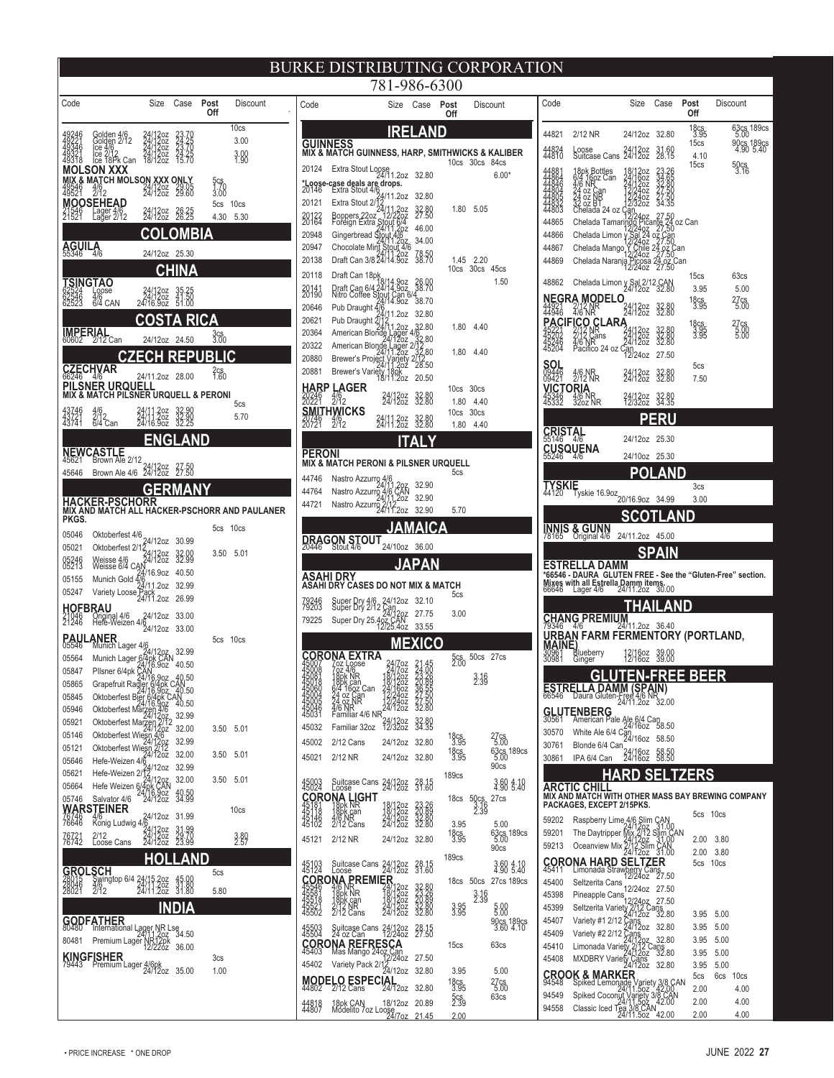#### BURKE DISTRIBUTING CORPORATION 781-986-6300

| Code                             |                                                                                                                                                                                                                                              | Size                                                | Case                                      | Post<br>Off | Discount                                      |
|----------------------------------|----------------------------------------------------------------------------------------------------------------------------------------------------------------------------------------------------------------------------------------------|-----------------------------------------------------|-------------------------------------------|-------------|-----------------------------------------------|
| 49246<br>49221<br>49346<br>49321 | Golden 4/6<br>Golden 2/12<br>Ice 4/6<br>Ice 18Pk Can<br>SON XXX                                                                                                                                                                              | 24/12oz<br>24/12oz<br>24/12oz<br>24/12oz<br>18/12oz | 23.70<br>24.25<br>23.70<br>24.25<br>15.70 |             | 10 <sub>cs</sub><br>3.00<br>3.00<br>1.98      |
| мïх<br>49546<br>49521            | ,& MATCH MOLSON XXX ONLY<br>$\frac{4}{9}$                                                                                                                                                                                                    | 24/1202                                             | 29.05<br>29.60                            | 5cş         |                                               |
| 529                              | <b>MOOSEHEAD</b><br>Lager 4/6<br>Lager 2/12                                                                                                                                                                                                  | 24/120z<br>24/120z                                  | 26.25                                     | 5cs<br>4.30 | 10cs<br>5.30                                  |
|                                  |                                                                                                                                                                                                                                              |                                                     |                                           | BIA         |                                               |
| AGUII<br>55346                   | $\frac{A}{4}$                                                                                                                                                                                                                                | 24/12oz                                             | 25.30                                     |             |                                               |
|                                  | <b>SINGTAO</b>                                                                                                                                                                                                                               |                                                     | J<br>Δ                                    |             |                                               |
| 023246<br>62546<br>62523         | Loose<br>4/6<br>6/4 CAN                                                                                                                                                                                                                      | 24/12oz<br>24/12oz<br>24/16.9oz                     | 35.25<br>41.50<br>51.00                   |             |                                               |
|                                  |                                                                                                                                                                                                                                              |                                                     | A                                         | RICA        |                                               |
|                                  | <b>IMPERIAL</b><br>60602 2/12 Can                                                                                                                                                                                                            | 24/12oz                                             | 24.50                                     | 3cs<br>3.00 |                                               |
|                                  | C,                                                                                                                                                                                                                                           |                                                     | ΞP                                        |             | IC                                            |
|                                  | CZECHVAR<br>PILSNER URQUELI                                                                                                                                                                                                                  | 24/11.2oz                                           | 28.00                                     | 2cs<br>1.60 |                                               |
|                                  | IX & MATCH PILSNER URQUELL & PERONI                                                                                                                                                                                                          |                                                     |                                           |             | 5cs                                           |
| 43746<br>43721<br>43741          | $\frac{4}{6}$<br>6/4 (<br>Can                                                                                                                                                                                                                | $1.20z$<br>$1.20z$<br>$6.90z$                       | 32.90<br>32.90<br>32.25                   |             | 5.70                                          |
|                                  |                                                                                                                                                                                                                                              | G                                                   | Δ                                         | <b>ND</b>   |                                               |
| <b>NEWC</b><br>45621             | ASTLE<br>Brown Ale 2/12                                                                                                                                                                                                                      |                                                     |                                           |             |                                               |
| 45646                            | Brown Ale 4/6                                                                                                                                                                                                                                | 24/12oz<br>24/12oz                                  | 27.50<br>27.50                            |             |                                               |
|                                  | <b>HACKER-PSCHORR</b>                                                                                                                                                                                                                        | <b>GERI</b>                                         | $\overline{ }$                            |             |                                               |
| PKGS.                            |                                                                                                                                                                                                                                              |                                                     |                                           |             | MIX AND MATCH ALL HACKER-PSCHORR AND PAULANER |
| 05046                            |                                                                                                                                                                                                                                              |                                                     |                                           | 5cs         | 10cs                                          |
| 05021                            | Oktoberfest 4/6<br>Oktoberfest 2/12<br>24/12oz                                                                                                                                                                                               |                                                     | 30.99                                     | 3.50        | 5.01                                          |
| 85246                            | 24/12oz<br>Weisse 4/6<br>Weisse 6/4 CAN,                                                                                                                                                                                                     |                                                     | 32.00<br>32.99<br>40.50                   |             |                                               |
| 05155<br>05247                   | Weisse 014 024/16.9oz<br>Munich Gold 4/6<br>24/11.2oz<br>Vid<br>Variety Loose Pack<br>24/11.2oz                                                                                                                                              |                                                     | 32.99                                     |             |                                               |
| <b>HOFBRAU</b>                   |                                                                                                                                                                                                                                              |                                                     | 26.99<br>33.00                            |             |                                               |
| 21246                            | Original 4/6 24/12oz<br>Hefe-Weizen 4/6<br>24/12oz                                                                                                                                                                                           |                                                     | 33.00                                     |             |                                               |
|                                  | <b>PAULANER</b><br>05546 Munich Lager 4/6                                                                                                                                                                                                    |                                                     |                                           | 5cs         | 10cs                                          |
| 05564<br>05847                   | Munich Lager 4/5<br>Munich Lager 6/4p/1207 32.99<br>Plisner 6/4pk 6/4pk 6/92<br>Plisner 6/4pk 6/4pk 6/92<br>Grapefruit Radier 6/4pk 6/4pk<br>Christeneriest Bier 9/4pk 6/4pk<br>Christeneriest Bier 9/4pk 6/4pk<br>Christeneriest Bier 9/4pk |                                                     |                                           |             |                                               |
| 05865                            |                                                                                                                                                                                                                                              |                                                     |                                           |             |                                               |
| 05845                            |                                                                                                                                                                                                                                              | 16.90.                                              | 40.50                                     |             |                                               |
| 05946<br>05921                   | Oktoberfest Marze<br>Oktoberfest Mar                                                                                                                                                                                                         |                                                     | 32.99                                     |             |                                               |
| 05146                            | Oktoberfest V                                                                                                                                                                                                                                |                                                     | 32.00<br>32.99                            | 3.50        | 5.01                                          |
| 05121<br>05646                   | Oktoberfest Wiesn<br>Hefe-Weizen 4/                                                                                                                                                                                                          |                                                     | 32.00                                     | 3.50        | 5.01                                          |
| 05621                            | Hefe-Weizen 2/12                                                                                                                                                                                                                             | 12oz                                                | 32.99<br>32.00                            | 3.50        | 5.01                                          |
| 05664<br>05746                   | Hefe Weizen 6/4p<br>Salvator 4/6                                                                                                                                                                                                             | 28 <sub>K</sub><br>i/16.9oz<br>24/12oz              | 49.59                                     |             |                                               |
| 48746<br>76646                   | WARSTEINER<br>4/6<br>Konig Ludwig 4/6                                                                                                                                                                                                        |                                                     | 31.99                                     |             | 10cs                                          |
| 76721<br>76742                   | 2/12<br>Loose Cans                                                                                                                                                                                                                           | /120z<br>/120z<br>/120z                             | 1.99<br>9.70<br>3.99                      |             | $3.80$<br>$2.57$                              |
|                                  |                                                                                                                                                                                                                                              |                                                     | ≙                                         | ND          |                                               |
| Grol                             | <b>SCH</b>                                                                                                                                                                                                                                   |                                                     |                                           | 5cs         |                                               |
| 28015<br>28046<br>28021          | Swingtop 6/4<br>4/6<br>2/12                                                                                                                                                                                                                  | $\frac{24}{24}$<br>202.<br>202.<br>202.             |                                           | 5.80        |                                               |
|                                  | GODFATHER                                                                                                                                                                                                                                    | IN                                                  | V)<br>A                                   |             |                                               |
| 80480                            | International Lager NR Lse<br>24/11.20z 34.50<br>Premium Lager NR12pk<br>12/220z 36.00                                                                                                                                                       |                                                     |                                           |             |                                               |
| 80481                            | KINGFISHER                                                                                                                                                                                                                                   |                                                     |                                           |             |                                               |
| 79443                            | Premium Lager 4/6pk<br>24/12oz                                                                                                                                                                                                               |                                                     | 35.00                                     | 3cs<br>1.00 |                                               |
|                                  |                                                                                                                                                                                                                                              |                                                     |                                           |             |                                               |
|                                  |                                                                                                                                                                                                                                              |                                                     |                                           |             |                                               |

|                                                 |                                                                                                                   | 701-900-0300                                        |                                            |                             |                      |                         |
|-------------------------------------------------|-------------------------------------------------------------------------------------------------------------------|-----------------------------------------------------|--------------------------------------------|-----------------------------|----------------------|-------------------------|
| Code                                            |                                                                                                                   | Size                                                | Case                                       | Post<br>Off                 | Discount             |                         |
|                                                 |                                                                                                                   |                                                     | N<br>≜                                     |                             |                      |                         |
| GUINNESS                                        | MIX & MATCH GUINNESS, HARP, SMITHWICKS & KALIBER                                                                  |                                                     |                                            |                             |                      |                         |
| 20124                                           | Extra Stout Loose<br>24/11.2oz                                                                                    |                                                     |                                            | 10cs                        | 30 <sub>cs</sub>     | 84cs                    |
| * <b>Loose</b><br>20146                         | case deals are drops.<br>Extra Stout 4/6                                                                          |                                                     | 32.80                                      |                             |                      | $6.00*$                 |
| 20121                                           | Extra Stout 2/12                                                                                                  | 11.2oz                                              | 32.80                                      |                             |                      |                         |
| 20122<br>20164                                  | Boppers 22oz<br>Foreign Extra                                                                                     | 11,20z<br>12/220z                                   | 32.80                                      | 1.80                        | 5.05                 |                         |
| 20948                                           |                                                                                                                   |                                                     | 46.00                                      |                             |                      |                         |
| 20947                                           | Foreign Extra Stout 6/4<br>24/11/202<br>Gingerbread Stout 4/6<br>Chocolate Mint Stout 4/6<br>Profi City 24/11 202 |                                                     | 34.00<br>38.50<br>38.70                    |                             |                      |                         |
| 20138                                           | Draft Can 3/8 24/11.202                                                                                           |                                                     |                                            | 1.45<br>10cs                | 2.20<br>30cs 45cs    |                         |
| 20118<br>20141<br>20190                         | Draft Can 18pk                                                                                                    |                                                     | 26.00<br>38.70                             |                             |                      | 1.50                    |
| 20646                                           | -<br>Draft Can 6/4 24/14.9oz<br>Nitro Coffee Stout Can 6/4<br>24/14.9oz                                           |                                                     | 38.70                                      |                             |                      |                         |
| 20621                                           | Pub Draught 4/6<br>24/11.202<br>Pub Draught 2/                                                                    |                                                     | 32.80                                      |                             |                      |                         |
| 20364                                           | American Blonde Lager<br>24/12oz                                                                                  | 41.207                                              | 32.80                                      | 1.80                        | 4.40                 |                         |
| 20322<br>20880                                  | American Blonde Lager<br>24/11.20z                                                                                |                                                     | $\frac{2}{32}$ , 80<br>$\frac{2}{32}$ , 80 | 1.80                        | 4.40                 |                         |
| 20881                                           | Brewer's Project Variety<br>Brewer's Variety 18pk<br>18/11.2oz                                                    |                                                     | 28.50                                      |                             |                      |                         |
| HARP L                                          |                                                                                                                   |                                                     | 20.50                                      | 10cs                        | 30cs                 |                         |
| 20246<br>20221                                  | <b>LAGER</b><br>2/12                                                                                              | 24/12oz<br>24/12oz                                  | 32.80                                      | 1.80                        | 4.40                 |                         |
|                                                 | <b>SMITHWICKS</b><br>20746<br>20721 2/12                                                                          | 24/11.20z<br>24/11.20z                              | 32.80<br>32.80                             | 10cs<br>1.80                | 30cs<br>4.40         |                         |
|                                                 |                                                                                                                   |                                                     | A                                          |                             |                      |                         |
| PERONI                                          |                                                                                                                   |                                                     |                                            |                             |                      |                         |
|                                                 | MIX & MATCH PERONI & PILSNER URQUELL                                                                              |                                                     |                                            | 5 <sub>cs</sub>             |                      |                         |
| 44746<br>44764                                  | Nastro Azzurro 4/6                                                                                                |                                                     | 32.90                                      |                             |                      |                         |
| 44721                                           | 24/11.2077<br>Nastro Azzurro 4/6 CAN<br>24/11.2022 - Nastro Azzurro<br>.<br>Nastro Azzurro 2/12<br>24/11.2oz      |                                                     | 32.90<br>32.90                             | 5.70                        |                      |                         |
|                                                 |                                                                                                                   | A                                                   | ICA<br>/≜                                  |                             |                      |                         |
|                                                 | DRAGON STOUT                                                                                                      |                                                     |                                            |                             |                      |                         |
| 20446                                           | Stout 4/6                                                                                                         | 24/10oz                                             | 36.00                                      |                             |                      |                         |
| ASAHI DRY                                       |                                                                                                                   | A                                                   | A                                          |                             |                      |                         |
|                                                 | ASAHI DRY CASES DO NOT MIX & MATCH                                                                                |                                                     |                                            | 5cs                         |                      |                         |
| 79246<br>79203                                  | Super Dry 4/6 24/12oz<br>Super Dry 2/12 Can                                                                       |                                                     | 32.10                                      |                             |                      |                         |
| 79225                                           | Super Dry 25.462 CAN                                                                                              | 12pz                                                | 27.75<br>33.55                             | 3.00                        |                      |                         |
|                                                 |                                                                                                                   | <b>MEXI</b>                                         | CO                                         |                             |                      |                         |
|                                                 | ORONA EXTRA                                                                                                       |                                                     |                                            | 5cs<br>2.00                 | 50 <sub>cs</sub>     | 27cs                    |
|                                                 | 7öz Loose<br>7öz 4/6<br>18pk NR<br>18pk can<br>6/4 16öz Can<br>24 oz Can                                          | /Zoz<br>/Zoz<br>2oz<br>2oz                          |                                            |                             | 3.16<br>2.39         |                         |
|                                                 | 0Z                                                                                                                | ჩიჳ                                                 |                                            |                             |                      |                         |
| 45005<br>45005<br>45031                         | 24 oz NR<br>4/6 NR<br>Familiar 4/6 NR,                                                                            | 12/24oz<br>24/12oz                                  | 27.50<br>32.80                             |                             |                      |                         |
| 45032                                           | Familiar 32oz                                                                                                     | 24/12oz<br>12/32oz                                  | 32.80<br>34.35                             |                             |                      |                         |
| 45002                                           | 2/12 Cans                                                                                                         | 24/12oz                                             | 32.80                                      | 18cs<br>3.95                |                      | 27cs<br>5.00            |
| 45021                                           | 2/12 NR                                                                                                           | 24/12oz                                             | 32.80                                      | 18cs<br>3.95                |                      | 63cs 189cs<br>90cs      |
|                                                 |                                                                                                                   |                                                     |                                            | 189cs                       |                      |                         |
| 45893                                           | Suitcase Cans<br>Loose<br>:ORONA L<br>.IGHT                                                                       | 24/12oz                                             | 39.15                                      | 18cs                        |                      | 3.60 4.10<br>27cs       |
| $\frac{45181}{45146}$                           | 18pk NR<br>18pk can<br>4/6 NR                                                                                     | 18/12oz<br>18/12oz<br>24/12oz<br>24/12oz            | 23.26<br>23.89<br>32.80<br>32.80           |                             | 50cs<br>3:16<br>2:39 |                         |
|                                                 |                                                                                                                   |                                                     |                                            | 3.95                        |                      | 5.00                    |
| 45121                                           | 2/12 NR                                                                                                           | 24/12oz                                             | 32.80                                      | 18cs<br>3.95                |                      | 63cs 189cs<br>90cs      |
|                                                 | Suitcase Cans                                                                                                     | 24/12oz<br>24/12oz                                  | 28.15<br>31.60                             | 189cs                       |                      | 3.60 4.10<br>4.90 5.40  |
| 45103<br>45124                                  | Loose<br>'NA<br><b>PREM</b>                                                                                       | ΞR                                                  |                                            | 18cs                        | 50cs                 | 27cs 189cs              |
| <b>CORC</b><br>45546<br>45561<br>45518<br>45521 | <b>NATION</b><br>18pk NR<br>18pk NR<br>2/12 Cans                                                                  | 24/12oz<br>18/12oz<br>18/12oz<br>24/12oz<br>24/12oz | 32.80<br>23.26<br>20.89<br>32.80<br>32.80  |                             | $3.16$<br>2.39       |                         |
|                                                 |                                                                                                                   |                                                     |                                            | $3.95$<br>$3.95$            |                      | 5.00                    |
| 45503<br>45504                                  | Suitcase Cans<br>24 oz Can                                                                                        | 24/12oz<br>12/24oz                                  | 28.15<br>27.50                             |                             |                      | 90cs 189cs<br>3.60 4.10 |
|                                                 | <b>CORONA REFRESCA</b><br>45403 Mas Mango 24oz.Can                                                                |                                                     |                                            | 15cs                        |                      | 63 <sub>cs</sub>        |
| 45402                                           | Mas Mango 24oz Can<br>12/24oz                                                                                     |                                                     | 27.50                                      |                             |                      |                         |
|                                                 | MODELO ESPECIAL<br>44802 2/12 Cans 24/12oz                                                                        |                                                     | 32.80                                      | 3.95                        |                      | 5.00                    |
|                                                 |                                                                                                                   |                                                     | 32.80                                      | 18cs<br>3.95<br>5cs<br>2.39 |                      | 27cs<br>5.00<br>63cs    |
| 44818                                           | 18pk CAN<br>Modelito 7oz Loose<br>24/7oz                                                                          |                                                     | 20.89<br><u> 21.45</u>                     | 2.00                        |                      |                         |

| Code                                               |                                                                                                                                                                                                                                                                          | Size                                                | Case                                               | Post<br>Off          | Discount                                                    |
|----------------------------------------------------|--------------------------------------------------------------------------------------------------------------------------------------------------------------------------------------------------------------------------------------------------------------------------|-----------------------------------------------------|----------------------------------------------------|----------------------|-------------------------------------------------------------|
| 44821                                              | 2/12 NR                                                                                                                                                                                                                                                                  | 24/12oz                                             | 32.80                                              | 18cs<br>3.95         | 63cs 189cs<br>5.00                                          |
| 44824<br>44810                                     | Loose                 24/12oz<br>Suitcase Cans  24/12oz                                                                                                                                                                                                                  |                                                     | 31.60<br>28.15                                     | 15cs<br>4.10         | 90cs 189cs<br>4.90 5.40                                     |
|                                                    |                                                                                                                                                                                                                                                                          |                                                     |                                                    | 15cs                 | 50cs<br>3.16                                                |
| 44881<br>44864<br>44846<br>44805<br>44805<br>44805 | 18pk Bottles<br>6/4 16oz Can<br>4/6 NR<br>24 oz NR<br>32 oz BT<br>32 oz BT<br>Chelada 24 0                                                                                                                                                                               | 18/12oz<br>24/16oz<br>24/12oz<br>12/24oz<br>12/32oz | 23.26<br>34.65<br>32.80<br>27.50<br>27.50<br>34.35 |                      |                                                             |
|                                                    |                                                                                                                                                                                                                                                                          |                                                     |                                                    |                      |                                                             |
|                                                    | $\frac{47}{32} \frac{8}{62} \frac{1}{61}$ Chelada 24 oz $\frac{7}{32}$<br>Chelada 7amaringo Picante 24 oz Can<br>Chelada Tamaringo Picante 24 oz Can<br>Chelada Limon $\frac{1}{32}$<br>24 oz Can<br>Chelada Mango 12 Can<br>Chelada Naranja Picosa 24 oz Can<br>Chelada |                                                     |                                                    |                      |                                                             |
| 44865                                              |                                                                                                                                                                                                                                                                          |                                                     |                                                    |                      |                                                             |
| 44866                                              |                                                                                                                                                                                                                                                                          |                                                     |                                                    |                      |                                                             |
| 44867                                              |                                                                                                                                                                                                                                                                          |                                                     |                                                    |                      |                                                             |
| 44869                                              |                                                                                                                                                                                                                                                                          |                                                     |                                                    |                      |                                                             |
| 48862                                              | Chelada Limon y Sal 2/12 CAN<br>24/12oz 32.80                                                                                                                                                                                                                            |                                                     |                                                    | 15cs<br>3.95         | 63cs<br>5.00                                                |
| NEGRA                                              | <b>MODELO</b>                                                                                                                                                                                                                                                            |                                                     |                                                    | 18cs<br>3.95         | 27cs<br>5.00                                                |
| 4921<br>4946                                       | 2/12 NR<br>4/6 NR                                                                                                                                                                                                                                                        | 24/12oz                                             | 32.80<br>32.80                                     |                      |                                                             |
|                                                    |                                                                                                                                                                                                                                                                          |                                                     |                                                    | 18cs<br>3:95<br>3:95 | 27cs<br>5.00                                                |
| 45221<br>45202<br>45246<br>45204                   |                                                                                                                                                                                                                                                                          |                                                     | 32.80<br>32.80<br>32.80                            |                      |                                                             |
|                                                    | 1946 410 ivideo 1946<br><b>ACIFICO CLARA</b><br>2262 2112 Nans 24/1202<br>2246 416 NR<br>2204 Pacifico 24 oz Call                                                                                                                                                        |                                                     | 27.50                                              |                      |                                                             |
| <b>SOL</b><br>09446<br>09421                       | <b>纵隔</b>                                                                                                                                                                                                                                                                | 24/1202<br>24/1202                                  | 32.80<br>32.80                                     | 5cs                  |                                                             |
|                                                    | )ria                                                                                                                                                                                                                                                                     |                                                     |                                                    | 7.50                 |                                                             |
| <b>JICT</b><br>5346<br>5332                        | 4/6 NR<br>32oz NR                                                                                                                                                                                                                                                        | 24/12oz<br>12/32oz                                  | 32.80<br>34.35                                     |                      |                                                             |
|                                                    |                                                                                                                                                                                                                                                                          |                                                     | Rl<br>ı                                            |                      |                                                             |
| <b>CRISTAL</b><br>55146                            |                                                                                                                                                                                                                                                                          |                                                     |                                                    |                      |                                                             |
|                                                    |                                                                                                                                                                                                                                                                          | 24/12oz                                             | 25.30                                              |                      |                                                             |
|                                                    | CUSQUENA                                                                                                                                                                                                                                                                 | 24/10oz                                             | 25.30                                              |                      |                                                             |
|                                                    |                                                                                                                                                                                                                                                                          |                                                     | R<br>١<br>A                                        |                      |                                                             |
| TYSKIE                                             | $\bar{F}$ yskie 16.9oz $_{20/16.9$ oz                                                                                                                                                                                                                                    |                                                     |                                                    | 3 <sub>cs</sub>      |                                                             |
|                                                    |                                                                                                                                                                                                                                                                          |                                                     | 34.99                                              | 3.00                 |                                                             |
|                                                    |                                                                                                                                                                                                                                                                          |                                                     | ≜                                                  |                      |                                                             |
| <b>INNIS</b><br>78165                              | & GUNN<br>Original 4/6                                                                                                                                                                                                                                                   | 24/11.2oz                                           | 45.00                                              |                      |                                                             |
|                                                    |                                                                                                                                                                                                                                                                          |                                                     |                                                    |                      |                                                             |
|                                                    |                                                                                                                                                                                                                                                                          |                                                     | A                                                  |                      |                                                             |
| ESTRELL                                            | .A DAMM                                                                                                                                                                                                                                                                  |                                                     | IN                                                 |                      |                                                             |
|                                                    |                                                                                                                                                                                                                                                                          |                                                     |                                                    |                      | *66546 - DAURA GLUTEN FREE - See the "Gluten-Free" section. |
|                                                    | Mixes with all Estrella Damm items.<br>66646 Lager 4/6 24/11.2oz 30.00                                                                                                                                                                                                   |                                                     |                                                    |                      |                                                             |
|                                                    |                                                                                                                                                                                                                                                                          | $\overline{\phantom{a}}$                            | ≜                                                  | ND                   |                                                             |
| <b>CHANG</b>                                       | $R_{6}$ PREMIUM                                                                                                                                                                                                                                                          |                                                     | 36.40                                              |                      |                                                             |
|                                                    | URBAN FARM FERMENTORY (PORTLAND,                                                                                                                                                                                                                                         |                                                     |                                                    |                      |                                                             |
|                                                    |                                                                                                                                                                                                                                                                          | 12/160 <mark>z</mark><br>12/160z                    | 39.00<br>39.00                                     |                      |                                                             |
| <b>MAINE</b>                                       | Blueberry<br>Ginger                                                                                                                                                                                                                                                      |                                                     |                                                    |                      |                                                             |
|                                                    | c<br><u>ESTRELLA DAMM</u>                                                                                                                                                                                                                                                |                                                     |                                                    | EE BEER              |                                                             |
| 00040                                              | Daura Gluten-Free 4/6 N<br>24/11.2oz                                                                                                                                                                                                                                     | <b>SPAIN</b><br><b>NF</b>                           | 32.00                                              |                      |                                                             |
|                                                    |                                                                                                                                                                                                                                                                          |                                                     |                                                    |                      |                                                             |
| 30570                                              | GLUTENBERG<br>30561 American Pale Ale 6/4 Can                                                                                                                                                                                                                            |                                                     | 58.50                                              |                      |                                                             |
| 30761                                              | White Ale 6/4 Can<br>24/16oz<br>Blonde 6/4 Can                                                                                                                                                                                                                           |                                                     | 58.50                                              |                      |                                                             |
| 30861                                              | IPA 6/4 Can                                                                                                                                                                                                                                                              | 24/1602                                             | 58.50<br>58.50                                     |                      |                                                             |
|                                                    | Н                                                                                                                                                                                                                                                                        |                                                     | 태                                                  | <b>TZERS</b>         |                                                             |
|                                                    | ARCTIC CHILL                                                                                                                                                                                                                                                             |                                                     |                                                    |                      |                                                             |
|                                                    | PACKAGES, EXCEPT 2/15PKS.                                                                                                                                                                                                                                                |                                                     |                                                    |                      | MIX AND MATCH WITH OTHER MASS BAY BREWING COMPANY           |
| 59202                                              | Raspberry Lime 4/6                                                                                                                                                                                                                                                       |                                                     |                                                    | 5cs                  | 10cs                                                        |
| 59201                                              | The Daytripper                                                                                                                                                                                                                                                           | Mix                                                 | Slim CAN<br>120z - 31.00<br>2/12 Slim Co           |                      |                                                             |
| 59213                                              |                                                                                                                                                                                                                                                                          |                                                     | Slim ČAN<br>31.00                                  | 2.00<br>2.00         | 3.80<br>3.80                                                |
|                                                    | Oceanview Mix 2/12 Slin<br>24/12oz                                                                                                                                                                                                                                       |                                                     | CAN<br>31.00                                       | 5cs                  | 10cs                                                        |
|                                                    | <b>CORONA HARD SELTZER</b><br>45411 Limonada Strawberry Cans<br>15488 - 2 June 2021                                                                                                                                                                                      |                                                     |                                                    |                      |                                                             |
| 45400<br>45398                                     | Seltzerita Cans<br>Pineapple Cans                                                                                                                                                                                                                                        | 12/24oz                                             | 27.50                                              |                      |                                                             |
| 45399                                              | Seltzerita Variety                                                                                                                                                                                                                                                       | 12<br>/24oz                                         | 27.50                                              |                      |                                                             |
| 45407                                              | Variety #1 2/12                                                                                                                                                                                                                                                          | 2712 C<br>4/12oz                                    | $\frac{ans}{32.80}$                                | 3.95                 | 5.00                                                        |
| 45409                                              | Variety #2 2/12 }                                                                                                                                                                                                                                                        | ≿äns<br>4/12oz                                      | 32.80                                              | 3.95                 | 5.00                                                        |
| 45410                                              | Limonada Variety                                                                                                                                                                                                                                                         |                                                     | 32.80<br>ans<br>32.80                              | 3.95<br>3.95         | 5.00<br>5.00                                                |
| 45408                                              | MXDBRY Variety Cans                                                                                                                                                                                                                                                      | ns<br>1202<br>2/12 C<br>(1202                       | 32.80                                              | 3.95                 | 5.00                                                        |
| <b>CROO</b>                                        |                                                                                                                                                                                                                                                                          |                                                     |                                                    | 5cs                  | 6cs<br>10cs                                                 |
| 94549                                              |                                                                                                                                                                                                                                                                          |                                                     |                                                    | 2.00                 | 4.00                                                        |
| 94558                                              | <b>K. &amp; MARKER</b><br>Spiked Lemonade Variety 3/8 CAN<br>Spiked Coconut Variety 3/8 CAN<br>Classic loed Tea 3/8 CAN<br>Classic loed Tea 3/8 CAN 2.00                                                                                                                 |                                                     |                                                    | 2.00<br>2.00         | 4.00<br>4.00                                                |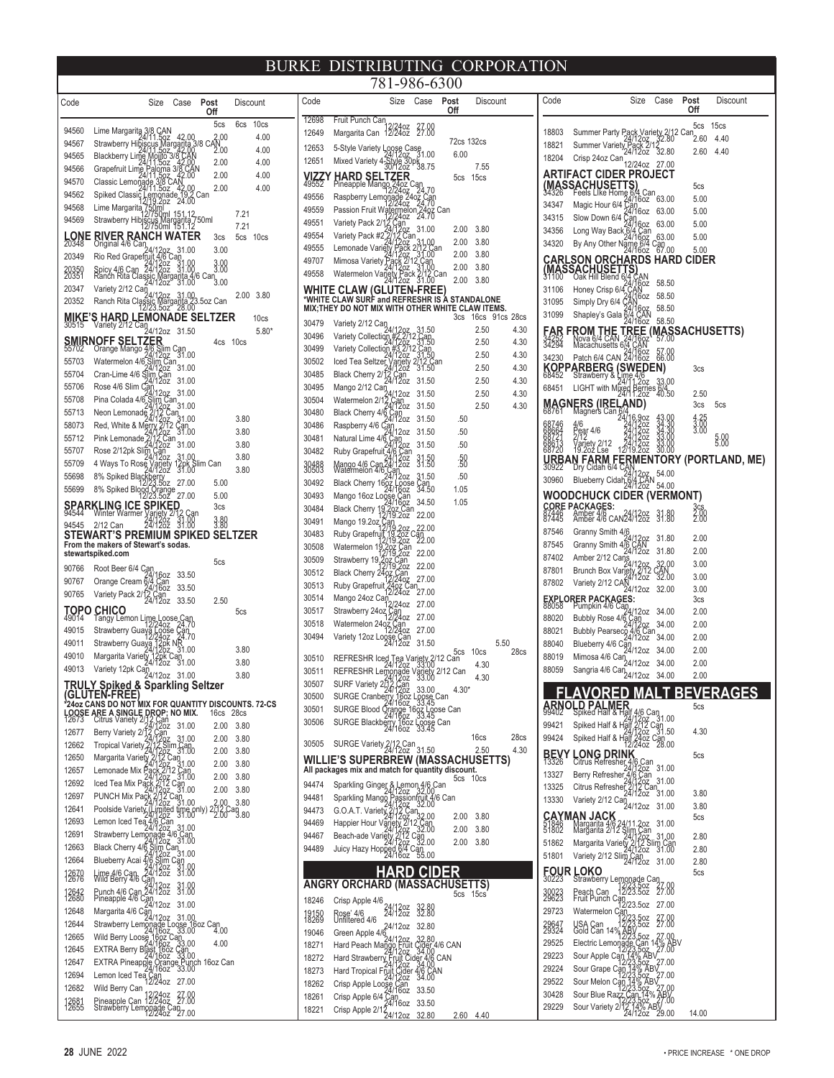| Code                 |                                                                                                                                                                                                                                        | Size                                         | Case                                                        | Post<br>Off               |                  | Discount                |                  |
|----------------------|----------------------------------------------------------------------------------------------------------------------------------------------------------------------------------------------------------------------------------------|----------------------------------------------|-------------------------------------------------------------|---------------------------|------------------|-------------------------|------------------|
| 94560                | Lime Margaritg                                                                                                                                                                                                                         | CAN,                                         |                                                             |                           | 5cs              | 6cs                     | 10cs             |
| 94567                | Strawberry Hi                                                                                                                                                                                                                          |                                              | 42.00<br> arita                                             | $3/8$ CAN $^{2,00}_{2,2}$ |                  |                         | 4.00             |
| 94565                | <b>Blackberry I</b><br>.mg                                                                                                                                                                                                             |                                              |                                                             |                           | 2.00             |                         | 4.00             |
| 94566                | Grapefruit L                                                                                                                                                                                                                           |                                              |                                                             |                           | 2.00             |                         | 4.00             |
| 94570                | Classic Lemona                                                                                                                                                                                                                         |                                              |                                                             |                           | 2.00             |                         | 4.00             |
| 94562                | Spiked Classig                                                                                                                                                                                                                         |                                              | e 19<br>24.00                                               | Can                       | 2.00             |                         | 4.00             |
| 94568                | Lime Margarita                                                                                                                                                                                                                         |                                              | 151.12                                                      |                           |                  | 7.21                    |                  |
| 94569                | Strawberry Hibjscu                                                                                                                                                                                                                     |                                              | rgarita<br>151.12                                           | 50ml                      |                  | 7.21                    |                  |
| <b>LONE</b><br>20348 | ANC<br><b>RIVER<sub>16</sub></b><br>Original 4/6                                                                                                                                                                                       |                                              | <b>NATER</b>                                                |                           | 3cs              | 5cs                     | 10 <sub>cs</sub> |
|                      | an                                                                                                                                                                                                                                     |                                              | 31<br>.00                                                   |                           | 3.00             |                         |                  |
| 20349                | Rio Red Grapefru                                                                                                                                                                                                                       | 24/1202<br>24/1202                           | 31.00                                                       |                           | 3:88             |                         |                  |
| 20350<br>20351       | Spicy 4/6 Can<br>Ranch Rita Clas                                                                                                                                                                                                       | 1arg                                         | arita 4/6 Can<br>31.00 3.00                                 |                           |                  |                         |                  |
| 20347                | Variety 2/12 Can                                                                                                                                                                                                                       | 4/12oz                                       | 31.00                                                       |                           |                  | 2.00                    | 3.80             |
| 20352                | Ranch Rita Classic I                                                                                                                                                                                                                   | 1arg<br>Mic<br>50Z                           | arita 2:<br>28.00                                           | .5oz Can                  |                  |                         |                  |
| <b>MIKI</b><br>30515 |                                                                                                                                                                                                                                        |                                              | MONADE SELTZER:                                             |                           |                  |                         | 10cs             |
|                      | Variety 2712                                                                                                                                                                                                                           | an<br>24/12oz                                | 31.50                                                       |                           |                  |                         | $5.80*$          |
|                      | <b>SMIRNOFF SEI</b><br>Drange Mango                                                                                                                                                                                                    |                                              | lim Can<br><sup>2</sup> oz    31.00                         |                           | 4cs              | 10 <sub>cs</sub>        |                  |
| 55703                | Watermelon 4/6                                                                                                                                                                                                                         | 12oz<br>im Can                               |                                                             |                           |                  |                         |                  |
| 55704                | Cran-Lime 4/6                                                                                                                                                                                                                          | 202                                          | 31.00                                                       |                           |                  |                         |                  |
| 55706                | Rose 4/6 Slim                                                                                                                                                                                                                          | 20Z                                          | 31.00<br>31.00                                              |                           |                  |                         |                  |
| 55708                | Pina Colada 4/6                                                                                                                                                                                                                        |                                              | 31.00                                                       |                           |                  |                         |                  |
| 55713                | Neon Lemonad                                                                                                                                                                                                                           |                                              | <sup>an</sup> 31.00                                         |                           |                  | 3.80                    |                  |
| 58073                | Red, White & M                                                                                                                                                                                                                         |                                              | 31.00                                                       |                           |                  | 3.80                    |                  |
| 55712                | Pink Lemonade                                                                                                                                                                                                                          |                                              | 31.00                                                       |                           |                  | 3.80                    |                  |
| 55707                | Rose 2/12pk Slig                                                                                                                                                                                                                       |                                              | 31.00                                                       |                           |                  | 3.80                    |                  |
| 55709<br>55698       | 4 Ways To Ros                                                                                                                                                                                                                          |                                              | 39.65                                                       | մim Can                   |                  | 3.80                    |                  |
| 55699                | 8% Spiked Blac<br>8% Spiked Blood                                                                                                                                                                                                      |                                              | 27.00                                                       |                           | 5.00             |                         |                  |
|                      |                                                                                                                                                                                                                                        |                                              | 27.00                                                       |                           | 5.00             |                         |                  |
| <b>SPA</b>           | <b>ING ILE</b><br>hter Warmer<br>Vinter                                                                                                                                                                                                |                                              | Çan                                                         |                           | 3cs              |                         |                  |
| 94545                | 2/12 Can                                                                                                                                                                                                                               |                                              | 1:88                                                        |                           | 3.80<br>3.80     |                         |                  |
|                      | STEWART'S PREM<br>From the makers of Stewart's sodas.                                                                                                                                                                                  | JM                                           | <b>SPIKED</b>                                               |                           |                  | <b>SELTZER</b>          |                  |
|                      | stewartspiked.com                                                                                                                                                                                                                      |                                              |                                                             |                           | 5cs              |                         |                  |
| 90766                | Root Beer 6/4 Can                                                                                                                                                                                                                      | 60Z                                          | 33.50                                                       |                           |                  |                         |                  |
| 90767                | Orange Cream 6                                                                                                                                                                                                                         | .an<br>16oz                                  | 33.50                                                       |                           |                  |                         |                  |
| 90765                | Variety Pack 2                                                                                                                                                                                                                         | Çan<br>12oz                                  | 33.50                                                       |                           | 2.50             |                         |                  |
| TOPO<br>49014        | <b>CHICO</b><br>I angy Lemon I                                                                                                                                                                                                         |                                              |                                                             |                           |                  | 5cs                     |                  |
| 49015                | Strawberry Guaya Loose                                                                                                                                                                                                                 | e Loose<br>:/24oz                            | .Gan<br>24.70<br>.an<br>14.70                               |                           |                  |                         |                  |
| 49011                | Strawberry Guaya                                                                                                                                                                                                                       | рk                                           |                                                             |                           |                  |                         |                  |
| 49010                | Margarita Variety                                                                                                                                                                                                                      |                                              | .00<br>an<br>31<br>.00                                      |                           |                  | 3.80<br>3.80            |                  |
| 49013                | Variety 12pk (                                                                                                                                                                                                                         | <sup>2</sup> an<br>24/12oz                   | 31.00                                                       |                           |                  | 3.80                    |                  |
|                      | <u>TRULY Spiked &amp;</u> Sparl                                                                                                                                                                                                        |                                              | ing Seltzer                                                 |                           |                  |                         |                  |
|                      | GLUTEN-FRÉE)<br>2402 CANS DO NOT MIX FOR QUANTITY DISCOUNTS. 72-CS                                                                                                                                                                     |                                              |                                                             |                           |                  |                         |                  |
|                      | <b>LOOSE ARE A SINGLE DROP; NO MIX.</b><br>12673 Citrus Variety 2/12/San 21.00                                                                                                                                                         |                                              |                                                             |                           | 16cs             | 28cs                    |                  |
| 12677                | Berry Variety 2/1                                                                                                                                                                                                                      | 14/Can<br>2022<br>2011                       | 31.00                                                       |                           | 2.00             | 3.80                    |                  |
| 12662                | <b>Tropical Variety</b>                                                                                                                                                                                                                |                                              | 14 --<br>Can<br>12 oz - 31.00<br>12 Slim Can<br>23 -- 31.00 |                           | 2.00<br>2.00     | 3.80<br>3.80            |                  |
| 12650                | Margarita Variety                                                                                                                                                                                                                      | 202 3<br>12 Can<br>202 3                     | 1.00                                                        |                           | 2.00             | 3.80                    |                  |
| 12657                | Lemonade Mix Pack                                                                                                                                                                                                                      |                                              | 2/12 Can<br><sup>02</sup> 31.00                             |                           | 2.00             | 3.80                    |                  |
| 12692                | Iced Tea Mix Pac                                                                                                                                                                                                                       | $\frac{25}{27}$<br>$\frac{27}{29}$           | an<br>31.00                                                 |                           | 2.00             | 3.80                    |                  |
| 12697<br>12641       | PUNCH Mix Pac                                                                                                                                                                                                                          | 12oz                                         | an<br>,31.00                                                |                           |                  | 3.80                    |                  |
| 12693                |                                                                                                                                                                                                                                        |                                              | tíme only)<br>31.00                                         |                           | $2720$<br>$2.00$ | <sup>;</sup> an<br>3.80 |                  |
| 12691                |                                                                                                                                                                                                                                        |                                              |                                                             |                           |                  |                         |                  |
| 12663                |                                                                                                                                                                                                                                        |                                              |                                                             |                           |                  |                         |                  |
| 12664                | Poolside Variety (Umited time of<br>Lemon Iced Tea 4/12px<br>Lemon Iced Tea 4/12px<br>Strawberry Lemonage 4/6 Can<br>Black Cherry 4/6 Silniced<br>Black Cherry 4/6 Silniced<br>Silniced 3/1.00<br>Blueberry Acai 4/6 Silniced<br>31.00 | 24/1202<br>476 Slim C<br>24/1202<br>24/1202  |                                                             |                           |                  |                         |                  |
| 12670<br>12676       |                                                                                                                                                                                                                                        |                                              | 31.00<br>31.00                                              |                           |                  |                         |                  |
|                      | : استان الله عليه الله عليه الله عليه الله عليه<br>The 4/6 Can and Berry 4/6 Can<br>Al/12oz من 24/12oz an                                                                                                                              |                                              | 31.00<br>31.00                                              |                           |                  |                         |                  |
| 12642<br>12680       | Punch 4/6 Can<br>Pineapple 4/6 0                                                                                                                                                                                                       | Can<br>24/12oz                               | 31.00                                                       |                           |                  |                         |                  |
| 12648                | Margarita 4/6 C                                                                                                                                                                                                                        | an<br>24/12oz                                | 31.00                                                       |                           |                  |                         |                  |
| 12644                | Strawberry Lemonade L                                                                                                                                                                                                                  |                                              | oose 16oz Can<br>- 33.00 4.00                               |                           |                  |                         |                  |
| 12665<br>12645       | Wild Berry Loose                                                                                                                                                                                                                       | se 1602 C<br>24/1602<br>last 1602<br>24/1602 | an<br>33.00                                                 |                           | 4.00             |                         |                  |
| 12647                | EXTRA Berry                                                                                                                                                                                                                            |                                              | Can<br>33.00<br>e Punch 16oz Can<br>33.00                   |                           |                  |                         |                  |
| 12694                | EXTRA Pineapple Orang<br>Lemon Iced Tea Can<br>12/24oz                                                                                                                                                                                 |                                              |                                                             |                           |                  |                         |                  |
| 12682                | Wild Berry Can                                                                                                                                                                                                                         |                                              | 27.00                                                       |                           |                  |                         |                  |
| 12681<br>12655       | Pineapple Can 12/24oz<br>Strawberry Lemonade C<br>12/24oz                                                                                                                                                                              | 12/240Z                                      | 27.00                                                       |                           |                  |                         |                  |
|                      |                                                                                                                                                                                                                                        |                                              | $a$ <sup>2</sup> 7.00                                       |                           |                  |                         |                  |

|                |                                                                                                |                             | 781-986-6300                                                |                    |                   |              |
|----------------|------------------------------------------------------------------------------------------------|-----------------------------|-------------------------------------------------------------|--------------------|-------------------|--------------|
| Code           |                                                                                                | Size                        | Case                                                        | Post<br>Off        | Discount          |              |
| 12698<br>12649 | Fruit Punch Can<br>Margarita Car.<br>5-Style Variety Loose Case<br>1.00 Worlety 4-Style 30pk   | 12/2402                     | 27.00                                                       |                    |                   |              |
| 12653          |                                                                                                |                             |                                                             | 6.00               | 72cs 132cs        |              |
| 12651          |                                                                                                |                             |                                                             |                    | 7.55              |              |
| /IZZ<br>49552  | <b>HARD SEL</b><br>Pineapple Mang                                                              |                             |                                                             | 5cs                | 15cs              |              |
| 49556          | Raspberry Lemona                                                                               |                             | '4<br>70                                                    |                    |                   |              |
| 49559          | Passion Fruit V                                                                                |                             | 240Ž<br>24.70                                               | Can                |                   |              |
| 49551          | Variety Pack 2/                                                                                |                             | 31.00                                                       | 2.00               | 3.80              |              |
| 49554          | Variety Pack #2                                                                                |                             |                                                             | 2.00               | 3.80              |              |
| 49555<br>49707 | Lemonade Vari<br>Mimosa Variety                                                                |                             | .00 <sup>an</sup>                                           | 2.00               | 3.80              |              |
| 49558          | Watermelon                                                                                     | e<br>14712                  | an.<br>.00                                                  | 2.00<br>Can        | 3.80              |              |
|                | <b>WHITE CLAW</b><br>(GI                                                                       |                             | .00                                                         | 2.00               | 3.80              |              |
|                | *WHITE CLAW SURF and REFRESHR IS A<br>MIX; THEY DO NOT MIX WITH OTHER WHITE CLAW ITEMS.        |                             |                                                             |                    | <b>STANDALONE</b> |              |
| 30479          | Variety 2/12 Can                                                                               |                             |                                                             | 3 <sub>cs</sub>    | 16cs              | 91cs 28cs    |
| 30496          | Variety Collection                                                                             |                             | 31<br>.50<br>.an<br>1.50                                    |                    | 2.50              | 4.30         |
| 30499          | Variety Collection                                                                             |                             |                                                             |                    | 2.50              | 4.30         |
| 30502          | Iced Tea Seltzer                                                                               |                             | Can<br>31.50<br>/12 Can<br>31.50                            |                    | 2.50<br>2.50      | 4.30<br>4.30 |
| 30485          | Black Cherry 2/                                                                                |                             | 31.50                                                       |                    | 2.50              | 4.30         |
| 30495          | Mango 2/12 Can                                                                                 | 2 <sub>oz</sub>             | 31.50                                                       |                    | 2.50              | 4.30         |
| 30504          | Watermelon 2/1                                                                                 | in<br>20z                   | 31.50                                                       |                    | 2.50              | 4.30         |
| 30480<br>30486 | Black Cherry 4/<br>Raspberry 4/6                                                               | 2oz                         | 31.50                                                       | .50                |                   |              |
| 30481          | Natural Lime 4/6                                                                               | 2oz                         | 31.50                                                       | .50                |                   |              |
| 30482          | Ruby Grapefruit                                                                                | μaπ                         | 31.50                                                       | .50                |                   |              |
| 30488<br>30503 | Mango 4/6 Car<br>Watermelon 4/                                                                 | $_{20Z}$<br>202             | 31.50                                                       | :58                |                   |              |
| 30492          | <b>Black Cherry</b><br>16g                                                                     | 202                         | 31.50<br>Can<br>34.50                                       | .50                |                   |              |
| 30493          | Mango 16oz l<br>ogs                                                                            |                             |                                                             | 1.05               |                   |              |
| 30484          | <b>Black Cherry</b>                                                                            | Çan<br>1602                 | 34.50                                                       | 1.05               |                   |              |
| 30491          | Mango 19.2oz                                                                                   |                             | 22.00                                                       |                    |                   |              |
| 30483          | Ruby Grapefru                                                                                  | OZ!                         | 22.00<br>an<br>22.00                                        |                    |                   |              |
| 30508          | Watermelon 1                                                                                   | 20Z                         | 22.00                                                       |                    |                   |              |
| 30509          | Strawberry 19                                                                                  |                             | 22.00                                                       |                    |                   |              |
| 30512<br>30513 | Black Cherry 24                                                                                |                             | 27.00                                                       |                    |                   |              |
| 30514          | Ruby Grapefru<br>Mango 24oz Car                                                                |                             | 27.00                                                       |                    |                   |              |
| 30517          | Strawberry 24                                                                                  | 24oz                        | 27.00                                                       |                    |                   |              |
| 30518          | Watermelon 24oz C                                                                              | 0Z                          | 27.00                                                       |                    |                   |              |
| 30494          | Variety 12oz l<br>၀၀ွန္႔                                                                       | 0Z<br>Çan<br>20z            | 27.00<br>31.50                                              |                    |                   | 5.50         |
| 30510          | REFRESHR Iced 1                                                                                |                             |                                                             | 5cs                | 10cs              | 28cs         |
| 30511          | REFRESHR I                                                                                     | ea v<br>129z<br>emonade     | Variety 2/12 Can<br>z 33:00<br>e Variety 2/12 Ca<br>z 33:00 | 2/12 Can           | 4.30              |              |
| 30507          | SURF Variety 2772                                                                              | 12oz<br>Çan                 | 33.00                                                       | 4.30*              | 4.30              |              |
| 30500          | <b>SURGE Cranbegr</b>                                                                          | 16oz L<br>/16oz             | : Loose Can<br>33.45<br> 60z Loose Can<br> 33.45            | 'Can               |                   |              |
| 30501<br>30506 | <b>SURGE Blood</b>                                                                             | Drange                      |                                                             |                    |                   |              |
|                | 24/16oz<br>SURGE Blackberry 16oz<br>24/16oz                                                    |                             | .00Se<br>33.45                                              | Can                | 16cs              | 28cs         |
| 30505          | SURGE Variety 2/12 Can<br>24/12oz 31.50                                                        |                             |                                                             |                    | 2.50              | 4.30         |
|                | <b>WILLIE'S SUPERBREW (MASSACHUSETTS)</b><br>All packages mix and match for quantity discount. |                             |                                                             |                    |                   |              |
| 94474          |                                                                                                |                             |                                                             | 5cs                | 10 <sub>cs</sub>  |              |
| 94481          | Sparkling Ginger & Lemon 4/6 Can<br>Sparkling Mangg                                            |                             |                                                             | it 4/6 Can<br>.00  |                   |              |
| 94473          | G.O.A.T. Variety                                                                               | assion<br>/1202             | $\mathsf{a}_{3}$                                            |                    |                   |              |
| 94469          | <b>Happier Hour</b>                                                                            |                             | 2.00<br>Can<br>32.00                                        | 2.00<br>2.00       | 3.80<br>3.80      |              |
| 94467          | Beach-ade Varie                                                                                |                             | 32.00                                                       | 2.00               | 3.80              |              |
| 94489          | Juicy Hazy Hopped                                                                              |                             | an<br>55.00                                                 |                    |                   |              |
|                |                                                                                                |                             |                                                             |                    |                   |              |
|                | <b>ANGRY ORCHARD (MA</b>                                                                       |                             |                                                             | 5cs                | JSETTS)<br>15cs   |              |
| 18246          | Crisp Apple 4/6                                                                                | 24/12oz<br>24/12oz          | 32.80<br>32.80                                              |                    |                   |              |
| 18158          | Rose' 4/6<br>Unfiltered 4/6                                                                    | 24/12oz                     | 32.80                                                       |                    |                   |              |
| 19046          | Green Apple 4                                                                                  |                             | 32.80                                                       |                    |                   |              |
| 18271          | Hard Peach Mar                                                                                 | rui                         |                                                             | <br>34.00<br>34.00 |                   |              |
| 18272<br>18273 | Hard Strawberr<br>Hard Tropical Fr                                                             | ሰ7                          | ider 4/6 CAN<br>34.00                                       |                    |                   |              |
| 18262          | Crisp Apple Loose                                                                              | 20z                         | 4/6 CAN                                                     |                    |                   |              |
| 18261          | Crisp Apple 6/4                                                                                |                             | 33.50                                                       |                    |                   |              |
| 18221          | Crisp Apple 2/1                                                                                | 6oz<br>2<br>24/1 <u>20z</u> | 33.50<br>32.80                                              | 2.60               | 4.40              |              |

| Code                            |                                                                                                              | Size                              | Case                                     | Post<br>Off          | Discount                    |
|---------------------------------|--------------------------------------------------------------------------------------------------------------|-----------------------------------|------------------------------------------|----------------------|-----------------------------|
|                                 |                                                                                                              |                                   |                                          | 5cs                  | 15cs                        |
| 18803                           | Summer Party Pack Variety 2/12 Can 2.60                                                                      |                                   |                                          |                      | 4.40                        |
| 18821                           | Summer Variety                                                                                               |                                   | 32.80                                    | 2.60                 | 4.40                        |
| 18204                           | Crisp 24oz Can                                                                                               | 2/24oz                            | 27.00                                    |                      |                             |
|                                 | ARTIFACT CIDER                                                                                               |                                   | PROJECT                                  |                      |                             |
|                                 | ا⊓ب<br>eels Like Hon                                                                                         | Can                               |                                          | 5cs                  |                             |
| 34347                           | Magic Hour 6/4                                                                                               | 16oz                              | 63.00                                    | 5.00                 |                             |
| 34315                           | Slow Down 6/4                                                                                                | 16oz                              | 63.00                                    | 5.00                 |                             |
| 34356                           | Long Way Bac                                                                                                 | ,an<br>16oz                       | 63.00<br>63.00                           | 5.00<br>5.00         |                             |
| 34320                           | By Any Other                                                                                                 | 16oz                              | an<br>67.00                              | 5.00                 |                             |
| CARI                            | <b>SON ORCH</b>                                                                                              |                                   |                                          | <b>HARD CIDER</b>    |                             |
| 1 <mark>ass</mark>              | i <b>ACHI</b><br>Ôak Hil<br>SET<br>3Tend                                                                     | ۹N                                |                                          |                      |                             |
| 31106                           | Honey Crisp 6/4                                                                                              | 60Z<br>N                          | 58.50                                    |                      |                             |
| 31095                           | Simply Dry 6/4                                                                                               | 6oz                               | 58.50                                    |                      |                             |
| 31099                           | Shapley's Gala                                                                                               | 68 <sub>K</sub><br>4/16oz         | 58.50<br>58.50                           |                      |                             |
| FAR FROM                        |                                                                                                              |                                   |                                          |                      | <b>MASSACHUSETTS)</b>       |
| 34252<br>34294                  | Nova 6/4 CAN<br>Macachusetts<br>IΔ                                                                           |                                   |                                          |                      |                             |
| 34230                           | Patch 6/4 CAN                                                                                                | :/160z<br>:/160z                  | 57.00<br>66.00                           |                      |                             |
|                                 | <b>KOPPARBERG</b><br>68452 Strawberry 8<br>Strawberry &                                                      |                                   | DEN)                                     | 3cs                  |                             |
| 68451                           | LIGHT with I                                                                                                 | 20Z<br>errie<br>2oz               | 33.00<br> s 6/4<br> 40.50                |                      |                             |
|                                 |                                                                                                              |                                   |                                          | 2.50<br>3cs          | 5cs                         |
| AGI<br>1                        | <b>ERS (IREL)</b><br>Magners Can &                                                                           |                                   |                                          |                      |                             |
|                                 | 4<br>P<br>16<br>'ear 4/6                                                                                     |                                   |                                          | 4:25<br>3:00<br>3:00 |                             |
| 746<br>664<br>721<br>613<br>720 | ariety 2/12/<br>9.202 Lse                                                                                    | 0Z                                | 33.00<br>38.00                           |                      | 5.00<br>5.00                |
| ₩                               | ARM                                                                                                          | 20Z<br>20Z                        |                                          |                      | <b>NTORY (PORTLAND, ME)</b> |
|                                 | idah 6/4                                                                                                     |                                   | 54.00                                    |                      |                             |
| 30960                           | Blueberry Cidal                                                                                              | 12oz                              | 54.00                                    |                      |                             |
|                                 | WOODCHUCK CIDER                                                                                              |                                   | <b>VERMONT)</b>                          |                      |                             |
|                                 | <b>CORE PACKAGES:</b><br>7446 Amber 4/6                                                                      |                                   | 31.80<br>31.80                           | 3cs<br>2.00<br>2.00  |                             |
| 87445                           |                                                                                                              |                                   |                                          |                      |                             |
| 87546<br>87545                  | Granny Smith 4/6<br>Granny Smith 4/                                                                          | 12oz<br>-AN<br>12oz               | 31.80                                    | 2.00                 |                             |
| 87402                           | Amber 2/12 Can                                                                                               |                                   | 31.80                                    | 2.00                 |                             |
| 87801                           | Brunch Box V                                                                                                 | /12oz<br>y.2/12<br>/12oz          | 32.00                                    | 3.00                 |                             |
| 87802                           | Variety 2/12 C                                                                                               |                                   | 32.00                                    | 3.00                 |                             |
|                                 |                                                                                                              | 24/12oz                           | 32.00                                    | 3.00<br>3cs          |                             |
|                                 | <b>EXPLORER PACKAGES:</b><br>88058 Pumpkin 4/6 Can <sub>4</sub> ,                                            | 12oz                              | 34.00                                    | 2.00                 |                             |
| 88020                           | <b>Bubbly Rose 4</b>                                                                                         |                                   | 34.00                                    | 2.00                 |                             |
| 88021<br>88040                  | <b>Bubbly Pears</b>                                                                                          | 12oz                              | 34.00                                    | 2.00                 |                             |
| 88019                           | Blueberry 4/6                                                                                                | 12oz                              | 34.00                                    | 2.00                 |                             |
| 88059                           | Mimosa 4/6 Can24/12oz<br>Sangria 4/6 Can <sub>24/12oz</sub>                                                  |                                   | 34.00                                    | 2.00                 |                             |
|                                 |                                                                                                              |                                   | 34.00                                    | 2.00                 |                             |
|                                 | <u>/OKE</u>                                                                                                  |                                   |                                          | п                    | <b>BEVERAGES</b>            |
| <b>ARNOL</b>                    | <b>LD PALM</b><br>Spiked Half<br>MĘ                                                                          |                                   |                                          | 5cs                  |                             |
| 99421                           | Spiked Half & H                                                                                              | , 24/1202<br> alf.2/12 C          | <b>R</b><br>alf 4/6 Can<br>****?oz_31.00 |                      |                             |
| 99424                           | Spiked Half & I                                                                                              | 4/12oz<br> f 24oz<br>2/24oz       | ăn<br>31.50<br><sup>c</sup> an<br>28.00  | 4.30                 |                             |
| <b>BEVY</b>                     | LONG DRINK                                                                                                   |                                   |                                          | 5cs                  |                             |
| 13326                           | Citrus Refresher 4/6 Can<br>Berry Refresher 4/6 Can<br>Citrus Refresher 4/12 Can<br>Citrus Refresher 2/12 Ca |                                   | 31.00                                    |                      |                             |
| 13327                           |                                                                                                              |                                   | 31.00                                    |                      |                             |
| 13325                           |                                                                                                              |                                   | າ<br>31.00                               | 3.80                 |                             |
| 13330                           | Variety 2/12 Can<br>24/12oz                                                                                  |                                   | 31.00                                    | 3.80                 |                             |
|                                 | CAYMAN JACK                                                                                                  |                                   | 31.00                                    | 5cs                  |                             |
| 51846<br>51802                  | Margarita 4/6 2<br>Margarita 2/12                                                                            | 1.2oz<br>n Can<br>/12oz<br>2/12 S | 31,00                                    | 2.80                 |                             |
| 51862                           | Margarita Variety                                                                                            | /12 S<br>12oz                     | m san<br>31.00                           | 2.80                 |                             |
| 51801                           | Variety 2/12 Slim Can                                                                                        |                                   | 31.00                                    | 2.80                 |                             |
| <b>FOUR</b><br>30223            | .OKO                                                                                                         |                                   |                                          | 5cs                  |                             |
| 30023<br>29623                  | <b>LOKO</b><br>Strawberry Lemonade Can<br>Peach Can ~12/23.5oz 2<br>Peach Can<br>Fruit Punch C               |                                   | 27.00<br>27.00                           |                      |                             |
|                                 | an<br>12/23.5oz                                                                                              |                                   | 27.00                                    |                      |                             |
| 29723                           | Fruit<br>Watermelon Can<br>12,                                                                               | 5oz<br>5oz                        | 27.00<br>27.00                           |                      |                             |
| 29647                           | USA Can<br>Gold Can 14%                                                                                      | 50Z                               |                                          |                      |                             |
| 29525                           | Electric Lemon                                                                                               | ;an                               | 4<br>'.6ඊ                                |                      |                             |
| 29223                           | Sour Apple Can                                                                                               | 5oz<br>AB                         | oz 27.00                                 |                      |                             |
| 29224                           | Sour Grape C                                                                                                 | ۱n                                | 27.00                                    |                      |                             |
| 29522                           | Sour Melon Can                                                                                               |                                   | 27.00<br>ABV                             |                      |                             |
| 30428<br>29229                  | Sour Blue Raz                                                                                                | 07<br>Δ                           | $^{\prime}.00$                           |                      |                             |
|                                 | Sour Variety 2<br>24                                                                                         | 6 A<br>12oz                       | 29.00                                    | 14.00                |                             |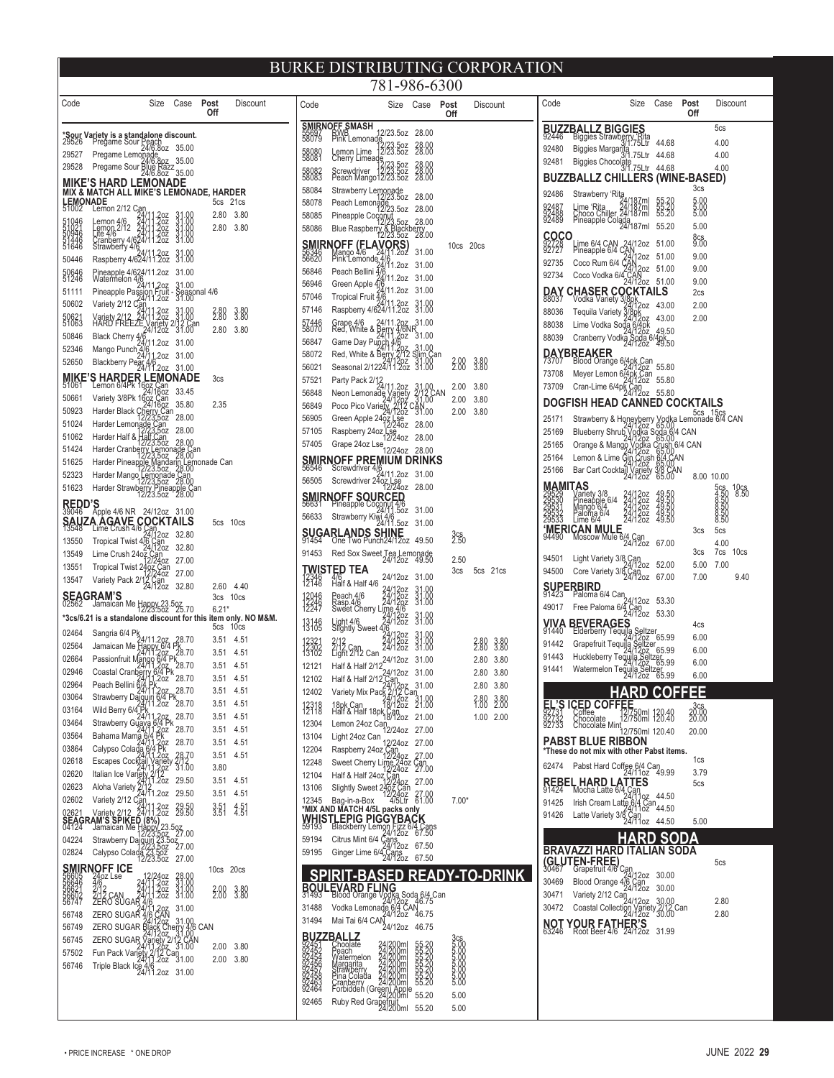|                         |                                                                                                                                                                                                                                                          |                                  |              |                       |                         | 781-986-6300                                                                                                                                                                                                                                                                                                                                                                           |                                           |                  |                        |
|-------------------------|----------------------------------------------------------------------------------------------------------------------------------------------------------------------------------------------------------------------------------------------------------|----------------------------------|--------------|-----------------------|-------------------------|----------------------------------------------------------------------------------------------------------------------------------------------------------------------------------------------------------------------------------------------------------------------------------------------------------------------------------------------------------------------------------------|-------------------------------------------|------------------|------------------------|
| Code                    | Size                                                                                                                                                                                                                                                     | Case                             | Post<br>Off  | Discount              | Code                    | Size                                                                                                                                                                                                                                                                                                                                                                                   | Case                                      | Post<br>Off      | Discount               |
|                         |                                                                                                                                                                                                                                                          |                                  |              |                       |                         | <b>SMIRNOFF SMASH</b><br>55697 RWB<br>58079 Pink Lemonade,<br>12/23.5oz 28.00                                                                                                                                                                                                                                                                                                          |                                           |                  |                        |
|                         | *Sour Variety is a standalone discount.<br>29526 Pregame Sour Peach<br>29527 Presence Law 24/9.802 35.00                                                                                                                                                 |                                  |              |                       |                         | 2/23.5oz<br>2/23.5oz                                                                                                                                                                                                                                                                                                                                                                   | 28.00                                     |                  |                        |
| 29527<br>29528          | Pregame Lemonade<br>24/6.8oz 35.00<br>Pregame Sour Blue Razz<br>24/6.8oz 35.00                                                                                                                                                                           |                                  |              |                       | 58080                   | Lemon Lime 12/23.502<br>Cherry Limeade<br>Screwdriver 12/23.502<br>Peach Mango12/23.502                                                                                                                                                                                                                                                                                                |                                           |                  |                        |
|                         | MIKE'S HARD LEMONADE                                                                                                                                                                                                                                     |                                  |              |                       | 58082<br>58083          |                                                                                                                                                                                                                                                                                                                                                                                        | 28.00<br>28.00<br>28.00                   |                  |                        |
|                         | <b>MIX &amp; MATCH ALL MIKE'S LEMONADE, HARDER</b>                                                                                                                                                                                                       |                                  |              | 5cs 21cs              | 58084<br>58078          | Strawberry Lemonade<br>12/23.5oz 28.00<br>Peach Lemonade<br>52/23.5oz 28.00                                                                                                                                                                                                                                                                                                            |                                           |                  |                        |
|                         |                                                                                                                                                                                                                                                          |                                  | 2.80         | 3.80                  | 58085                   |                                                                                                                                                                                                                                                                                                                                                                                        |                                           |                  |                        |
|                         |                                                                                                                                                                                                                                                          | $31.00$<br>$31.00$<br>$31.00$    | 2.80         | 3.80                  | 58086                   | Pineapple Coconut<br>Blue Raspberry & Blackberry<br>12/23.5oz 28.00<br>12/23.5oz 28.00                                                                                                                                                                                                                                                                                                 |                                           |                  |                        |
|                         | <b>EEMONADE</b><br>51022 Lemon 2/12 224/11.202<br>51046 Lemon 4/12 24/11.202<br>51046 Life 4/6<br>51346 Life 4/624/11.202<br>51346 Stranberry 4/624/11.202<br>51646 Stranberry 4/624/11.202                                                              | 31.00                            |              |                       |                         | <b>SMIRNOFF (FLAVORS)</b><br>56346 Mango 4/6 24/11.202<br>56620 Pink Lemonde 4/6<br>56046 Pract Bollini 4/11.202                                                                                                                                                                                                                                                                       | 31.00                                     | 10cs 20cs        |                        |
| 50446                   | 24/11.2oz<br>Raspberry 4/624/11.2oz                                                                                                                                                                                                                      | 31.00<br>31.00                   |              |                       | 56620                   |                                                                                                                                                                                                                                                                                                                                                                                        | 31.00                                     |                  |                        |
| 59646                   | Pineapple 4/624/11.2oz 31.00<br>Watermelon 4/6                                                                                                                                                                                                           |                                  |              |                       | 56846<br>56946          | Peach Bellini 4/6<br>4/11.2oz                                                                                                                                                                                                                                                                                                                                                          | 31.00                                     |                  |                        |
| 51111                   |                                                                                                                                                                                                                                                          |                                  |              |                       | 57046                   | Green Apple 476 <sup>7</sup> 11.202 31.00<br>Tropical Fruit 4/6<br>Tropical Fruit 4/6                                                                                                                                                                                                                                                                                                  |                                           |                  |                        |
| 50602                   | Watermelon 4/8/11/207 31.00<br>Pineapple Passion Fruit - Seasonal 4/6<br>Variety 2/12 Carl 1.202 31.00<br>HARHY ALLEZE 24/11/302 31.00<br>HARHY ALLEZE 24/1202 31.00<br>Black Cherry 4/8/11.202 31.00                                                    |                                  | 2.80         | 3.80<br>3.80          | 57146                   | 24/11.2oz 31.00<br>Raspberry 4/624/11.2oz 31.00                                                                                                                                                                                                                                                                                                                                        |                                           |                  |                        |
| 50621<br>51063<br>50846 |                                                                                                                                                                                                                                                          |                                  | 2.80         | 3.80                  | 57446<br>58070          | Grape 4/6 24/11.20z 31.00<br>Red, White & Berry 4/6NR<br>Game Day Pupch 4/20z 31.00<br>Came Day Pupch 4/20z 31.00<br>Red, White & Berry 2/12 Slin Can<br>Seasonal 2/1224/11.20z 31.00                                                                                                                                                                                                  |                                           |                  |                        |
| 52346                   | Black Cherry 24/11.2oz 31.00<br>Mango Punch 4/6<br>Blackberry Pear 4/6<br>Nackberry Pear 4/6<br>24/11.2oz 31.00                                                                                                                                          |                                  |              |                       | 56847                   |                                                                                                                                                                                                                                                                                                                                                                                        |                                           |                  |                        |
| 52650                   |                                                                                                                                                                                                                                                          |                                  |              |                       | 58072<br>56021          |                                                                                                                                                                                                                                                                                                                                                                                        |                                           | $2.00$<br>$2.00$ | 3.80<br>3.80           |
|                         | MIKE'S HARDER $\ddot{R}$ LEMONADE<br>51061 Lemon 64PK 1607 Can<br>50661 Variety 3/8Pk 1607 Can<br>50661 Variety 3/8Pk 1607 Can<br>5000 Can Can Can Can Can U.S.                                                                                          |                                  | 3cs          |                       | 57521                   | Season<br>Party Pack 2/12<br>Neon Lemonade Variety 2/12 CAN<br>Poco Pico Variety 2/12 CAN<br>Neon Contract 2/12 CAN<br>New York 2/12 CAN<br>New York 2012 201.00                                                                                                                                                                                                                       |                                           |                  |                        |
|                         |                                                                                                                                                                                                                                                          |                                  |              |                       | 56848                   |                                                                                                                                                                                                                                                                                                                                                                                        |                                           | 2.00<br>2.00     | 3.80<br>3.80           |
| 50923                   |                                                                                                                                                                                                                                                          |                                  | 2.35         |                       | 56849<br>56905          |                                                                                                                                                                                                                                                                                                                                                                                        |                                           | 2.00             | 3.80                   |
| 51024                   |                                                                                                                                                                                                                                                          |                                  |              |                       | 57105                   | Green Apple 2467 LSe<br>- 12/2402 28.00<br>Raspberry 24oz [58]                                                                                                                                                                                                                                                                                                                         |                                           |                  |                        |
| 51062<br>51424          | Valley Start (1987–1978)<br>Harder Black Cherges 28.00<br>Harder Lemonagh 25,502 28.00<br>Harder Half & Half Can<br>Harder Cranbergy Lemonage Can<br>Harder Cranbergy Lemonage Can<br>Harder Pineapple Mandarin Lemonade Can<br>Harder Mango Lemona      |                                  |              |                       | 57405                   | Grape 24oz Lse<br>12/24oz 28.00                                                                                                                                                                                                                                                                                                                                                        |                                           |                  |                        |
| 51625                   |                                                                                                                                                                                                                                                          |                                  |              |                       | 56546                   | SMIRNOFF PREMIUM DRINKS                                                                                                                                                                                                                                                                                                                                                                |                                           |                  |                        |
| 52323                   |                                                                                                                                                                                                                                                          |                                  |              |                       | 56505                   | <b>IUFF</b><br>Screwdriver $\frac{4}{6}$<br>24/11.2oz 31.00<br>Screwdriver 24oz Lse<br>12/24oz 28.00                                                                                                                                                                                                                                                                                   |                                           |                  |                        |
| 51623                   |                                                                                                                                                                                                                                                          |                                  |              |                       |                         |                                                                                                                                                                                                                                                                                                                                                                                        |                                           |                  |                        |
|                         | <b>REDD'S</b><br>39046 Apple 4/6 NR 24/12oz 31.00                                                                                                                                                                                                        |                                  |              |                       |                         | <b>SMIRNOFF SOURCED</b><br>56631 Pineapple Coconyt 4/6<br>56633 Strawberry Kiwi, 4/6<br>56633 Strawberry Kiwi, 4/6<br>24/11.502 31.00                                                                                                                                                                                                                                                  |                                           |                  |                        |
|                         | <b>SAUZA AGAVE COCKTAILS</b><br>13548 Lime Crush 4/6 Cary<br>13558 Traited Tuber 24/12oz 32.80                                                                                                                                                           |                                  |              | 5cs 10cs              |                         |                                                                                                                                                                                                                                                                                                                                                                                        |                                           |                  |                        |
| 13550                   |                                                                                                                                                                                                                                                          |                                  |              |                       |                         | <b>SUGARLANDS SHINE</b><br>91454 One Two Punch24/12oz 49.50                                                                                                                                                                                                                                                                                                                            |                                           | 3cs<br>2.50      |                        |
| 13549<br>13551          | Tropical Twist 46"<br>24/12oz 32.80<br>Lime Crush 24oz Can<br>72/2402 27.00                                                                                                                                                                              |                                  |              |                       | 91453                   | Red Sox Sweet Tea Lemonade<br>24/12oz 49.50                                                                                                                                                                                                                                                                                                                                            |                                           | 2.50             |                        |
| 13547                   | Tropical Twist 2462<br>Variety Pack 2/12 Can<br>Pack 2/12 Can<br>24/12oz                                                                                                                                                                                 | 27.00                            |              |                       |                         | <b>TWISTED TEA</b><br>12346 416<br>12146 Half & Half 4/6<br>24/12oz 31.00                                                                                                                                                                                                                                                                                                              |                                           | 3cs              | 5cs 21cs               |
|                         | <b>SEAGRAM'S</b><br>02562 Jamaican Me Happy 23.5oz<br>12/23.5oz - 12/23.5oz                                                                                                                                                                              | 32.80                            |              | 2.60 4.40<br>3cs 10cs | 12046<br>12246<br>12247 | Peach 4/6<br>Peach 4/6<br>Rasp.4/6<br>Sweet Cherry Lime 4/6<br>Sweet Cherry Lime 4/6                                                                                                                                                                                                                                                                                                   | $\frac{31.00}{31.00}$                     |                  |                        |
|                         | *3cs/6.21 is a standalone discount for this item only. NO M&M.                                                                                                                                                                                           |                                  | $6.21*$      |                       |                         |                                                                                                                                                                                                                                                                                                                                                                                        | 31.00                                     |                  |                        |
| 02464                   |                                                                                                                                                                                                                                                          |                                  |              | 5cs 10cs              | 13146<br>13105          | Light 4/6<br>Slightly Sweet 4/6<br>24/12oz<br>2/12 <sub>can</sub> 24/12oz                                                                                                                                                                                                                                                                                                              |                                           |                  |                        |
| 02564                   |                                                                                                                                                                                                                                                          |                                  | 3.51         | 4.51                  | 12321<br>12302<br>13102 | 2/12<br>2/12 Can<br>Light 2/12 Can                                                                                                                                                                                                                                                                                                                                                     | 31.00<br>31.00<br>31.00                   |                  | 3.80<br>2.80           |
| 02664                   |                                                                                                                                                                                                                                                          |                                  | 3.51<br>3.51 | 4.51<br>4.51          | 12121                   | 24/12oz 31.00<br>Half & Half 2/12<br>24/12oz 31.00                                                                                                                                                                                                                                                                                                                                     |                                           |                  | 2.80 3.80              |
| 02946<br>02964          |                                                                                                                                                                                                                                                          |                                  | 3.51         | 4.51                  | 12102                   | Hall of the Capital Half & Half 2/12 Can<br>Variety Mix Pack 2/12 Can<br>Variety Mix Pack 2/12 Can<br>18/1202 21.00<br>19/1202 21.00                                                                                                                                                                                                                                                   |                                           |                  | 2.80 3.80<br>2.80 3.80 |
| 03064                   |                                                                                                                                                                                                                                                          |                                  | 3.51         | 4.51                  | 12402                   |                                                                                                                                                                                                                                                                                                                                                                                        |                                           |                  | 2.80 3.80              |
| 03164                   |                                                                                                                                                                                                                                                          |                                  | 3.51<br>3.51 | 4.51<br>4.51          | 12318<br>12118          | 18pk Can<br>Half & Half 18pk Can<br>18/12oz 21.00                                                                                                                                                                                                                                                                                                                                      |                                           |                  | 1.00 2.00              |
| 03464                   |                                                                                                                                                                                                                                                          |                                  | 3.51         | 4.51                  | 12304                   | Lemon 24oz Can<br>12/24oz 27.00                                                                                                                                                                                                                                                                                                                                                        |                                           |                  |                        |
| 03564<br>03864          | Sangria 6/4 Ps<br>Jamaican Me Happy 6/4 Ps<br>78.70<br>Passionfruit Mango 6/4 Pk<br>78.70<br>Coastal Cranberty 6/4 Pk<br>78.70<br>Coastal Cranberty 6/4 Pk<br>28.70<br>Peach Bellini 6/4 Pk<br>24.71.20<br>28.70<br>Strawberry Dagylini 204 Pk<br>28.70  |                                  | 3.51         | 4.51                  | 13104<br>12204          | Light 24oz Can<br>12/24oz 27.00                                                                                                                                                                                                                                                                                                                                                        |                                           |                  |                        |
| 02618                   | Calypso Colada 17 PK<br>Escapes Cockfail Variety 212<br>Italian Ice Variety 212<br>Malian Ice Variety 211<br>2011<br>Aloha Variety 211<br>2011<br>2022 29.50<br>Variety 211<br>2022 29.50<br>Variety 212 24/11<br>2022 29.50<br>Americ 212 24/11<br>2022 |                                  | 3.51<br>3.80 | 4.51                  | 12248                   | Raspberry 24oz Can<br>Sweet Cherry Lime 24oz Can                                                                                                                                                                                                                                                                                                                                       | 27.00                                     |                  |                        |
| 02620                   |                                                                                                                                                                                                                                                          |                                  | 3.51         | - 4.51                | 12104                   | Sweet Street<br>Half & Half 240z Can<br>Slightly Sweet 240z Can<br>Pagain-a-Box 42/240z 27.00<br>Pagain-a-Box 455 Can 120402<br>Street Street                                                                                                                                                                                                                                          |                                           |                  |                        |
| 02623<br>02602          |                                                                                                                                                                                                                                                          |                                  | 3.51         | 4.51                  | 13106<br>12345          |                                                                                                                                                                                                                                                                                                                                                                                        |                                           | $7.00*$          |                        |
| 02621                   |                                                                                                                                                                                                                                                          |                                  | 3:51         | 4.51                  |                         | *MIX AND MATCH 4/5L packs only                                                                                                                                                                                                                                                                                                                                                         |                                           |                  |                        |
|                         | SEAGRAMIS SPIKED (8%)<br>04124 Jamaican Me Hangy 23.527.00<br>04224 Strawberry Daigund 23.5027.00<br>02824 Glybso Colada 23.502<br>0284 Glybso Colada 23.502 27.00                                                                                       |                                  |              |                       |                         | $7.59193 \begin{tabular}{l} \hline \textbf{W}\textbf{H}\textbf{S}\textbf{T}\textbf{L}\textbf{F}\textbf{P}\textbf{I}\textbf{G}\textbf{F}\textbf{P}\textbf{I}\textbf{G}\textbf{G}\textbf{Y}\textbf{B}\textbf{A}\textbf{G}\textbf{K}\\ 59193 \end{tabular} \begin{tabular}{l} \hline \textbf{59193} & Blackberry Lem 501591945919559195591955919559196591975019850198$                    |                                           |                  |                        |
|                         |                                                                                                                                                                                                                                                          |                                  |              |                       |                         |                                                                                                                                                                                                                                                                                                                                                                                        |                                           |                  |                        |
|                         |                                                                                                                                                                                                                                                          |                                  |              |                       |                         |                                                                                                                                                                                                                                                                                                                                                                                        |                                           |                  |                        |
|                         | <b>SMIRNOFF ICE</b><br>56646 24oz Lse<br>56646 4/6<br>56621 2/12<br>56692 2/12 CAN<br>4/62 LSB 12/2402<br>2/12 24/11.2022<br>2/12 CAN 24/11.2022<br>2ERO SUGAR 4/61.2022<br>2ERO SUGAR 4/61.2022                                                         | 28.00<br>31.00<br>31.00<br>31.00 | 10cs 20cs    |                       |                         | <b>SPIRIT-BASED</b>                                                                                                                                                                                                                                                                                                                                                                    |                                           |                  | <b>READY-TO-DRINK</b>  |
| 56602<br>56747          |                                                                                                                                                                                                                                                          |                                  | 2.00         | 3.80                  |                         |                                                                                                                                                                                                                                                                                                                                                                                        |                                           |                  |                        |
| 56748                   | ZERO SUGAR 4/6 CAN                                                                                                                                                                                                                                       | 31.00                            |              |                       |                         |                                                                                                                                                                                                                                                                                                                                                                                        |                                           |                  |                        |
| 56749                   |                                                                                                                                                                                                                                                          |                                  |              |                       |                         |                                                                                                                                                                                                                                                                                                                                                                                        |                                           |                  |                        |
| 56745<br>57502          |                                                                                                                                                                                                                                                          |                                  | 2.00         | 3.80                  |                         |                                                                                                                                                                                                                                                                                                                                                                                        |                                           |                  |                        |
| 56746                   |                                                                                                                                                                                                                                                          |                                  |              | 2.00 3.80             |                         |                                                                                                                                                                                                                                                                                                                                                                                        |                                           |                  |                        |
|                         |                                                                                                                                                                                                                                                          |                                  |              |                       |                         | <b>BUZZBALLZ</b><br>92451 Choolate<br>92452 Prach<br>92456 Margarita<br>92456 Margarita<br>92458 Chicken<br>92458 Chicken<br>92453 Contactor Colada<br><b>Shoolate</b><br><b>Choolate</b><br>Probable 24/200m<br>Watermelon<br>Margarita<br>Margarita<br>Shoolate<br>Probable 24/200m<br>Probable 24/200m<br>Forbidden (Green) Apple<br>Forbidden (Green) Apple<br>Ruby Red Grapefruit | 55.20<br>55.20<br>55.20<br>55.20<br>55.20 |                  |                        |
|                         |                                                                                                                                                                                                                                                          |                                  |              |                       | 92464<br>92465          |                                                                                                                                                                                                                                                                                                                                                                                        | 55.20                                     | 5.00             |                        |
|                         |                                                                                                                                                                                                                                                          |                                  |              |                       |                         | Ruby Red Grapefruit                                                                                                                                                                                                                                                                                                                                                                    | 55.20                                     | 5.00             |                        |

| Code                                            |                                                                                                          | Size                                                | Case                             | Post<br>Off                                                     | Discount                            |
|-------------------------------------------------|----------------------------------------------------------------------------------------------------------|-----------------------------------------------------|----------------------------------|-----------------------------------------------------------------|-------------------------------------|
| <b>BUZ</b><br>92446                             | <b>BIGGIES</b><br>ΔI                                                                                     |                                                     |                                  |                                                                 | 5cs                                 |
|                                                 | Biggies Strawberry Rita                                                                                  |                                                     | 44.68                            |                                                                 | 4.00                                |
| 92480<br>92481                                  | Biggies Margarita                                                                                        | .75Ltr                                              | 44.68                            |                                                                 | 4.00                                |
|                                                 | Biggies Chocolate                                                                                        |                                                     | 44.68                            |                                                                 | 4.00                                |
|                                                 | <b>BUZZBALLZ CHILLERS</b>                                                                                |                                                     |                                  | (WINE-BASED)<br>3cs                                             |                                     |
| 92486                                           | Strawberry 'Rita                                                                                         |                                                     |                                  |                                                                 |                                     |
| 92487<br>92488<br>92489                         |                                                                                                          | 24/187ml<br>24/187ml<br>24/187ml                    | 55.20<br>55.20<br>55.20          | 5.00<br>5.00<br>5.00                                            |                                     |
|                                                 | Lime 'Rita 24/18/111<br>Choco Chiller 24/187ml<br>Pineapple Colada<br>24/187ml                           |                                                     | 55.20                            | 5.00                                                            |                                     |
| COCO<br>92727                                   | Lime 6/4 CAN 24/12oz<br>Pineapple 6/4 CAN                                                                |                                                     | 51.00                            | 8cs<br>9.00                                                     |                                     |
| 92735                                           | Coco Rum 6/4 (                                                                                           | 12oz                                                | 51.00                            | 9.00                                                            |                                     |
| 92734                                           | Coco Vodka 6/4                                                                                           | 24/12oz<br>CAN<br>24/12oz                           | 51.00                            | 9.00                                                            |                                     |
|                                                 |                                                                                                          |                                                     | 51.00                            | 9.00                                                            |                                     |
| <b>DAY</b><br>88037                             | <b>CHASER COCKTAILS</b>                                                                                  | 3/8pk<br>24/1                                       | 43.00                            | 2cs<br>2.00                                                     |                                     |
| 88036                                           |                                                                                                          |                                                     | 43.00                            | 2.00                                                            |                                     |
| 88038                                           |                                                                                                          |                                                     | 49.50                            |                                                                 |                                     |
| 88039                                           | Found 124/1202<br>Tequila Variety 3/4/1202<br>Lime Vodka Soda 6/4pk<br>Cranberry Vodka Soda 6<br>24/1202 |                                                     | 4рк<br>49.50                     |                                                                 |                                     |
| 73707                                           | DAYBREAKER<br>Blood Orange 6/4pk Can                                                                     |                                                     |                                  |                                                                 |                                     |
| 73708                                           | Meyer Lemon 674pk                                                                                        | Can<br>202                                          | 55.80                            |                                                                 |                                     |
| 73709                                           | Cran-Lime 6/4pk                                                                                          | ,Can<br>!4/12oz                                     | 55.80<br>55.80                   |                                                                 |                                     |
|                                                 | DOGFISH HEAD CANNED COCKTAILS                                                                            |                                                     |                                  |                                                                 |                                     |
| 25171                                           |                                                                                                          |                                                     |                                  |                                                                 |                                     |
| 25169                                           | Strawberry & Honeyberry<br>24/12oz<br>Blueberry Shrub Vodka S                                            | ى<br>dka<br>12oz<br>/odka<br>12oz<br>Cr             |                                  |                                                                 |                                     |
| 25165                                           | Orange & Mango                                                                                           | 4                                                   |                                  |                                                                 |                                     |
| 25164                                           | Lemon & Lime Gin                                                                                         | Crush<br>12oz                                       |                                  |                                                                 |                                     |
| 25166                                           | Bar Cart Cocktail Variety                                                                                |                                                     |                                  | 09:00<br>CHUSh 6/4 CAN<br>65:00<br>65:00<br>3/8 CAN 8.0<br>8.00 | 10.00                               |
| <b>MAMI</b><br>29529<br>29530<br>29533<br>29533 | TAS                                                                                                      |                                                     |                                  |                                                                 | 10cs<br>8.50                        |
|                                                 |                                                                                                          |                                                     |                                  |                                                                 | 5cs<br>4.50<br>8.50<br>8.50<br>8.50 |
|                                                 | Variety 3/8<br>Pineapple 6/4<br>Mango 6/4<br>Paloma 6/4<br>Lime 6/4                                      | 24/120z<br>24/120z<br>24/120z<br>24/120z<br>24/120z | 49.50<br>49.50<br>49.50<br>49.50 |                                                                 | 3Կ<br>50                            |
| 'MERI<br>94490                                  | <b>CAN MULE</b>                                                                                          |                                                     |                                  | 3cs                                                             | 5cs                                 |
|                                                 | Moscow Mule 6/4 Can                                                                                      |                                                     | 67.00                            |                                                                 | 4.00                                |
| 94501                                           | Light Variety 3/8 Can<br>24/12oz                                                                         |                                                     | 52.00                            | 3cs<br>5.00                                                     | 7cs<br>10 <sub>cs</sub><br>7.00     |
| 94500                                           | Core Variety 3/8 Can<br>24/12oz                                                                          |                                                     | 67.00                            | 7.00                                                            | 9.40                                |
|                                                 | <b>SUPERBIRD</b><br>91423 Paloma<br>aloma 6/4 Can                                                        |                                                     |                                  |                                                                 |                                     |
| 49017                                           | Free Paloma 6/4                                                                                          | 4/12oz                                              | 53.30                            |                                                                 |                                     |
| VIVA                                            | <b>BEVERAGE</b>                                                                                          | : Can<br>24/12oz                                    | 53.30                            |                                                                 |                                     |
| 91440                                           | :lderberry Tequila                                                                                       |                                                     | Seltzer<br>20z 65.99             | 4cs<br>6.00                                                     |                                     |
| 91442                                           |                                                                                                          | s<br>eltzer<br><sup>1202</sup>                      | 65.99                            | 6.00                                                            |                                     |
| 91443                                           | Grapen und<br>Huckleberry Tequila Ser<br>Tequila Ser                                                     |                                                     | er<br>65.99                      | 6.00                                                            |                                     |
| 91441                                           |                                                                                                          | 2oz                                                 | zer<br>65.99                     | 6.00                                                            |                                     |
|                                                 |                                                                                                          |                                                     |                                  |                                                                 |                                     |
|                                                 |                                                                                                          |                                                     |                                  |                                                                 |                                     |
|                                                 | C <b>ED COFF</b><br>Coffee<br>Chocolate<br>Chocolate Mint                                                | 2/750ml 120.40<br>2/750ml 120.40                    |                                  | .QQ<br>20.00                                                    |                                     |
|                                                 |                                                                                                          | 12/750ml 120.40                                     |                                  | 20.00                                                           |                                     |
|                                                 | PABST BLUE RIBBON<br>*These do not mix with other Pabst items.                                           |                                                     |                                  |                                                                 |                                     |
| 62474                                           | Pabst Hard Coffee 6/4 Can<br>24/11oz 49.99                                                               |                                                     |                                  | 1cs                                                             |                                     |
|                                                 | ĄТ                                                                                                       | TES                                                 |                                  | 3.79<br>5cs                                                     |                                     |
| REBEL,                                          | <b>HARD LA</b><br>Mocha Latte 6/4                                                                        |                                                     | 44.50                            |                                                                 |                                     |
| 91425                                           | Irish Cream Latte                                                                                        | 6/4<br>Can<br>110z                                  | 44.50                            |                                                                 |                                     |
| 91426                                           | Latte Variety 3/8                                                                                        | .<br>24/11oz                                        | 44.50                            | 5.00                                                            |                                     |
|                                                 |                                                                                                          |                                                     |                                  | A                                                               |                                     |
|                                                 | BRAVAZZI HARD                                                                                            |                                                     | AΝ                               | <b>SODA</b>                                                     |                                     |
|                                                 | (GLUTEN-FREE)                                                                                            | Can                                                 |                                  |                                                                 | 5cs                                 |
| 30469                                           | Grapemult 4/0 Grapemult 4/6 Gall<br>Blood Orange 4/6 Gan<br>24/12oz                                      |                                                     | 30.00                            |                                                                 |                                     |
| 30471                                           | Variety 2/12 Can                                                                                         |                                                     | 30.00                            |                                                                 |                                     |
| 30472                                           | Coastal Collection                                                                                       | 24/12oz<br>Vāriēty<br>12oz                          | 30.00<br>2/12<br>30.00           | <b>Can</b>                                                      | 2.80                                |
| ΝОΤ                                             | YOUR FATI<br>Root Beer 4/6                                                                               | THER'S                                              |                                  |                                                                 | 2.80                                |
| 63246                                           |                                                                                                          |                                                     | 31.99                            |                                                                 |                                     |
|                                                 |                                                                                                          |                                                     |                                  |                                                                 |                                     |
|                                                 |                                                                                                          |                                                     |                                  |                                                                 |                                     |
|                                                 |                                                                                                          |                                                     |                                  |                                                                 |                                     |
|                                                 |                                                                                                          |                                                     |                                  |                                                                 |                                     |
|                                                 |                                                                                                          |                                                     |                                  |                                                                 |                                     |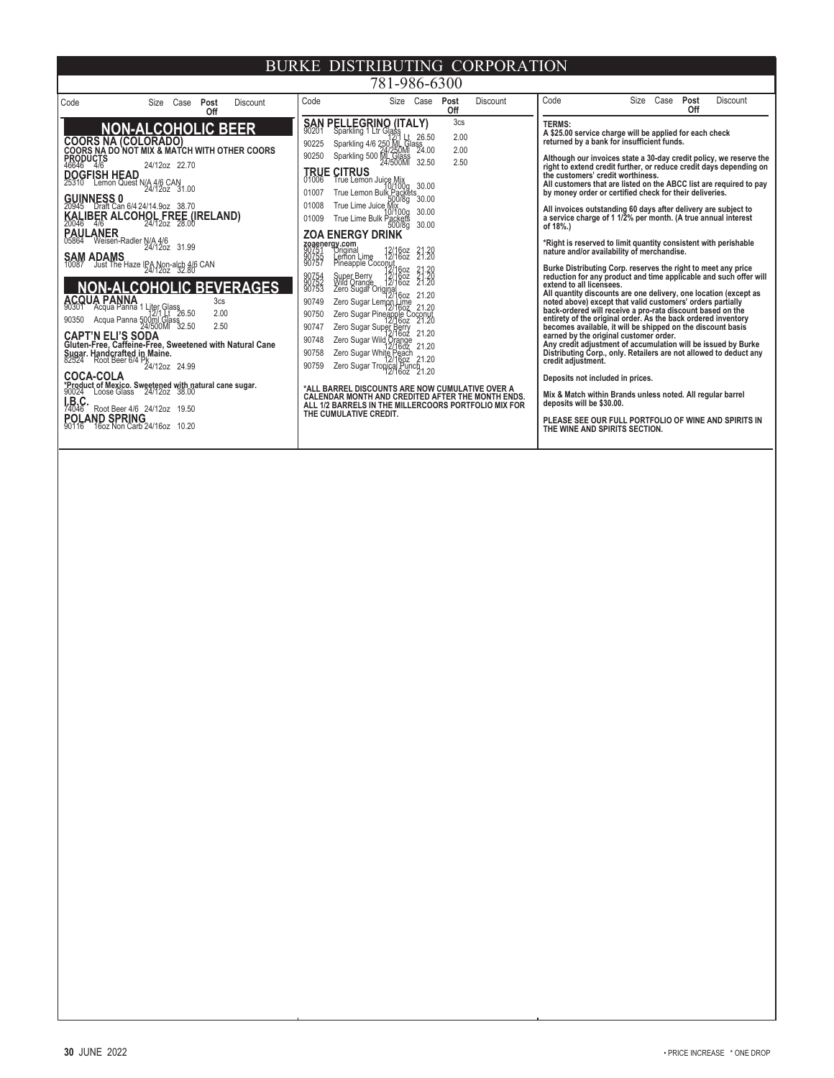| 781-986-6300                                                                                                                                                                                                                                                                                                                                                                                                                                                                                                                                                                                                                                                                                                                                                                                                                                                                                                                                                                                                          |                                                                                                                                                                                                                                                                                                                                                                                                                                                                                                                                                                                                                                                                                                                                                                                                                                                                                                                                                                                                                                                                                                                                                                                                                                                                                                                         |                                         |                                                                                                                                                                                                                                                                                                                                                                                                                                                                                                                                                                                                                                                                                                                                                                                                                                                                                                                                                                                                                                                                                                                                                                                                                                                                                                                                                                                                                                                                                                                                                                                                                                          |  |  |  |
|-----------------------------------------------------------------------------------------------------------------------------------------------------------------------------------------------------------------------------------------------------------------------------------------------------------------------------------------------------------------------------------------------------------------------------------------------------------------------------------------------------------------------------------------------------------------------------------------------------------------------------------------------------------------------------------------------------------------------------------------------------------------------------------------------------------------------------------------------------------------------------------------------------------------------------------------------------------------------------------------------------------------------|-------------------------------------------------------------------------------------------------------------------------------------------------------------------------------------------------------------------------------------------------------------------------------------------------------------------------------------------------------------------------------------------------------------------------------------------------------------------------------------------------------------------------------------------------------------------------------------------------------------------------------------------------------------------------------------------------------------------------------------------------------------------------------------------------------------------------------------------------------------------------------------------------------------------------------------------------------------------------------------------------------------------------------------------------------------------------------------------------------------------------------------------------------------------------------------------------------------------------------------------------------------------------------------------------------------------------|-----------------------------------------|------------------------------------------------------------------------------------------------------------------------------------------------------------------------------------------------------------------------------------------------------------------------------------------------------------------------------------------------------------------------------------------------------------------------------------------------------------------------------------------------------------------------------------------------------------------------------------------------------------------------------------------------------------------------------------------------------------------------------------------------------------------------------------------------------------------------------------------------------------------------------------------------------------------------------------------------------------------------------------------------------------------------------------------------------------------------------------------------------------------------------------------------------------------------------------------------------------------------------------------------------------------------------------------------------------------------------------------------------------------------------------------------------------------------------------------------------------------------------------------------------------------------------------------------------------------------------------------------------------------------------------------|--|--|--|
| Code<br>Case<br>Post<br><b>Discount</b><br>Size<br>Off                                                                                                                                                                                                                                                                                                                                                                                                                                                                                                                                                                                                                                                                                                                                                                                                                                                                                                                                                                | Code<br>Size Case<br>Post                                                                                                                                                                                                                                                                                                                                                                                                                                                                                                                                                                                                                                                                                                                                                                                                                                                                                                                                                                                                                                                                                                                                                                                                                                                                                               | Discount<br>Off                         | Code<br>Size<br>Case<br>Post<br>Discount<br>Off                                                                                                                                                                                                                                                                                                                                                                                                                                                                                                                                                                                                                                                                                                                                                                                                                                                                                                                                                                                                                                                                                                                                                                                                                                                                                                                                                                                                                                                                                                                                                                                          |  |  |  |
| <b>NON-ALCOHOLIC BEER</b><br><b>COORS NA (COLORADO)</b><br>COORS NA DO NOT MIX & MATCH WITH OTHER COORS<br>PRODUCTS<br>24/12oz 22.70<br>40040<br><b>DOGFISH HEAD</b><br>25310 Lemon Quest N/A 4/6 CAN 1.00<br><b>GUINNESS 0</b><br>20945 Draft Can 6/4 24/14.9oz 38.70<br>KALIBER ALCOHOL FREE (IRELAND)<br>PAULANER<br>05864 Weisen-Radler N/A 4/6<br>24/12oz<br>31.99<br>SAM ADAMS<br>Just The Haze IPA Non-alch 4/6 CAN<br>10087<br><b>NON-ALCOHOLIC BEVERAGES</b><br><b>ACQUA PANNA</b><br>90301 Acqua Panna 1 Liter Glass<br>90350 Acqua Panna 500ml Glass<br>24/500Ml 32.50<br>3 <sub>cs</sub><br>2.00<br>2.50<br><b>CAPT'N ELI'S SODA</b><br>Gluten-Free, Caffeine-Free, Sweetened with Natural Cane<br>Sugar. Handcrafted in Maine.<br>82524 Root Beer 6/4 Pk<br>24/12oz 24.99<br><b>COCA-COLA</b><br>*Product of Mexico. Sweetened with natural cane sugar.<br>90024 Loose Glass 24/12oz 38.00<br><b>I.B.C</b><br>74046<br>Root Beer 4/6 24/12oz 19.50<br>POLAND SPRING<br>90116 16oz Non Carb 24/16oz 10.20 | <b>SAN</b><br>90201<br><b>PELLEGRINO (ITALY)</b><br>Sparkling 1 Ltr Glass<br>26.50<br>12/1 Lt 26.50<br>Sparkling 4/6 250 ML Class<br>Sparkling 500 ML Glass<br>24/500Ml 32.50<br>90225<br>90250<br><b>TRUE CITRUS</b><br>01006<br>CITRUS<br>True Lemon Juice Mix<br>True Lemon Bulk Packets<br>500/8g<br>500/8g<br>01007<br>01008<br>True Lime Juice Mix<br>30.00<br>01009<br>True Lime Bulk Packets<br>500/8g<br>30.00<br><b>ZOA ENERGY DRINK</b><br><b>zoaenergy.com</b><br>90751 Original<br>90755 Lemon I<br>90757 Pineapp<br>31.28<br><b>om</b><br>Uriginal<br>Lemon Lime<br>Pineapple Coconut<br>Pineapple Coconut<br>Perry 12/160z<br>Pinal Coconuting<br>$\frac{21.20}{21.20}$<br>90754<br>90753<br>Super Berry 12/1602<br>Wild Orange 12/1602<br>Zero Sugar Original<br>12/1602<br>21.20<br>90749<br>Zero Sugar Lemon Lime<br>12/16oz 21.20<br>Zero Sugar Pineapple Coconut<br>90750<br>90747<br>Zero Sugar Super Berry<br>12/1602<br>Zero Sugar Wild Orange<br>201602-12/1603<br>21.20<br>90748<br>21.20<br>90758<br>Zero Sugar White Peach<br>12/16oz 21.20<br>Zero Sugar Tropical Punch<br>12/16oz 21.20<br>90759<br>*ALL BARREL DISCOUNTS ARE NOW CUMULATIVE OVER A<br>CALENDAR MONTH AND CREDITED AFTER THE MONTH ENDS.<br>ALL 1/2 BARRELS IN THE MILLERCOORS PORTFOLIO MIX FOR<br>THE CUMULATIVE CREDIT. | 3 <sub>cs</sub><br>2.00<br>2.00<br>2.50 | <b>TERMS:</b><br>A \$25.00 service charge will be applied for each check<br>returned by a bank for insufficient funds.<br>Although our invoices state a 30-day credit policy, we reserve the<br>right to extend credit further, or reduce credit days depending on<br>the customers' credit worthiness.<br>All customers that are listed on the ABCC list are required to pay<br>by money order or certified check for their deliveries.<br>All invoices outstanding 60 days after delivery are subject to<br>a service charge of 1 1/2% per month. (A true annual interest<br>of 18%.)<br>*Right is reserved to limit quantity consistent with perishable<br>nature and/or availability of merchandise.<br>Burke Distributing Corp. reserves the right to meet any price<br>reduction for any product and time applicable and such offer will<br>extend to all licensees.<br>All quantity discounts are one delivery, one location (except as<br>noted above) except that valid customers' orders partially<br>back-ordered will receive a pro-rata discount based on the<br>entirety of the original order. As the back ordered inventory<br>becomes available, it will be shipped on the discount basis<br>earned by the original customer order.<br>Any credit adjustment of accumulation will be issued by Burke<br>Distributing Corp., only. Retailers are not allowed to deduct any<br>credit adjustment.<br>Deposits not included in prices.<br>Mix & Match within Brands unless noted. All regular barrel<br>deposits will be \$30.00.<br>PLEASE SEE OUR FULL PORTFOLIO OF WINE AND SPIRITS IN<br>THE WINE AND SPIRITS SECTION. |  |  |  |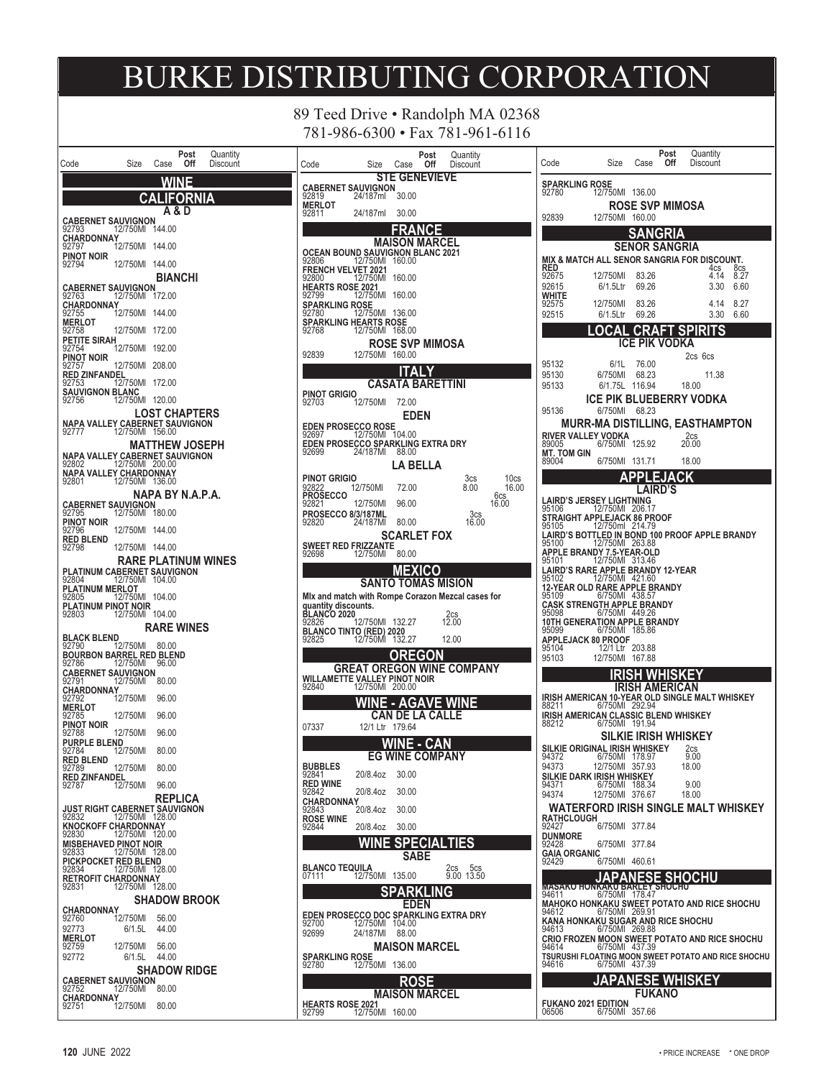89 Teed Drive • Randolph MA 02368 781-986-6300 • Fax 781-961-6116

|                                                                                        |                    |                       | Post           | Quantity                   |
|----------------------------------------------------------------------------------------|--------------------|-----------------------|----------------|----------------------------|
| Code                                                                                   | Size               | Case                  | Off            | Discount                   |
|                                                                                        |                    |                       | <b>WINE</b>    |                            |
|                                                                                        | CД                 |                       | <b>FORNIA</b>  |                            |
|                                                                                        |                    |                       | A & D          |                            |
| <b>CABERNET SAUVIGNON</b><br>92793                                                     | 12/750MI           | 144.00                |                |                            |
| CHARDONNAY<br>92797                                                                    | 12/750MI           | 144.00                |                |                            |
| PINOT NOIR<br>92794                                                                    | 12/750MI           | 144.00                |                |                            |
|                                                                                        |                    |                       | <b>BIANCHI</b> |                            |
| <b>CABERNET SAUVIGNON</b><br>92763                                                     | 12/750MI           | 172.00                |                |                            |
| <b>CHARDONNAY</b><br>92755                                                             | 12/750MI           | 144.00                |                |                            |
| <b>MERLOT</b>                                                                          |                    |                       |                |                            |
| 92758<br>PETITE SIRAH                                                                  | 12/750MI           | 172.00                |                |                            |
| 92754<br>PINOT NOIR                                                                    | 12/750MI           | 192.00                |                |                            |
| 92757                                                                                  | 12/750MI           | 208.00                |                |                            |
| RED ZINFANDEL<br>92753 12/                                                             | 12/750MI           | 172.00                |                |                            |
| <b>SAUVIGNON BLANC</b><br>92756 12/750MI                                               |                    | 120.00                |                |                            |
|                                                                                        |                    | <b>LOST CHAPTERS</b>  |                |                            |
|                                                                                        |                    |                       |                |                            |
|                                                                                        |                    | <b>MATTHEW JOSEPH</b> |                |                            |
| NAPA VALLEY CABERNET SAUVIGNON<br>92802                                                | 12/750MI           | 200.00                |                |                            |
| NAPA VALLEY CHARDONNAY<br>92801 12/750MI 136.00                                        |                    |                       |                |                            |
|                                                                                        |                    | NAPA BY N.A.P.A.      |                |                            |
| <b>CABERNET SAUVIGNON</b><br>92795                                                     | 12/750MI           | 180.00                |                |                            |
| PINOT NOIR                                                                             |                    |                       |                |                            |
| 92796<br><b>RED BLEND</b>                                                              | 12/750MI           | 144.00                |                |                            |
| 92798                                                                                  | 12/750MI           | 144.00                |                |                            |
| PLATINUM CABERNET SAUVIGNON                                                            |                    |                       |                | <b>RARE PLATINUM WINES</b> |
| 92804<br>PLATINUM MERLOT                                                               | 12/750MI           | 104.00                |                |                            |
| 92805                                                                                  | 12/750MI           | 104.00                |                |                            |
| PLATINUM PINOT NOIR<br>92803                                                           | 12/750MI           | 104.00                |                |                            |
|                                                                                        |                    | <b>RARE WINES</b>     |                |                            |
| <b>BLACK BLEND</b><br>92790                                                            | 12/750MI           | 80.00                 |                |                            |
| <b>BOURBON BARREL RED BLEND</b><br>92786                                               | 12/750MI           | 96.00                 |                |                            |
| <b>CABERNET SAUVIGNON</b><br>92791                                                     | 12/750MI           | 80.00                 |                |                            |
| CHARDONNAY                                                                             |                    | 96.00                 |                |                            |
| 92792<br><b>MERLOT</b>                                                                 | 12/750MI           |                       |                |                            |
| 92785<br>PINOT NOIR                                                                    | 12/750MI           | 96.00                 |                |                            |
| 92788<br><b>PURPLE BLEND</b>                                                           | 12/750MI           | 96.00                 |                |                            |
| 92784<br><b>RED BLEND</b>                                                              | $12/750$ MI        | 80.00                 |                |                            |
| 92789                                                                                  | 12/750MI           | 80.00                 |                |                            |
| <b>RED ZINFANDEL</b><br>92787                                                          | 12/750MI           | 96.00                 |                |                            |
|                                                                                        |                    |                       | REPLICA        |                            |
| <b>JUST RIGHT CABERNET SAUVIGNON</b><br>92832               12/750MI   128.00<br>92832 |                    |                       |                |                            |
| <b>KNOCKOFF CHARDONNAY</b><br>92830                                                    | 12/750MI           | 120.00                |                |                            |
| <b>MISBEHAVED PINOT NOIR</b><br>92833                                                  | 12/750MI           | 128.00                |                |                            |
| PICKPOCKET RED BLEND                                                                   |                    |                       |                |                            |
| 92834<br>RETROFIT CHARDONNAY<br>92831 12/750MI 12                                      | 12/750MI           | 128.00                |                |                            |
|                                                                                        |                    | 128.00                |                |                            |
| <b>CHARDONNAY</b>                                                                      |                    | <b>SHADOW BROOK</b>   |                |                            |
| 92760                                                                                  | i2/750MI           | 56.00<br>44.00        |                |                            |
| 92773<br><b>MERLOT</b>                                                                 | 6/1.5L             |                       |                |                            |
| 92759<br>92772                                                                         | 12/750MI<br>6/1.5L | 56.00<br>44.00        |                |                            |
|                                                                                        |                    | <b>SHADOW RIDGE</b>   |                |                            |
| <b>CABERNET SAUVIGNON</b><br>92752                                                     | 12/750MI           | 80.00                 |                |                            |
| <b>CHARDONNAY</b>                                                                      | 12/750MI           |                       |                |                            |
| 92751                                                                                  |                    | - 80.00               |                |                            |

| Post                                                                           | Quantitv                     |
|--------------------------------------------------------------------------------|------------------------------|
| Size<br>Off<br>Code<br>Case                                                    | Discount                     |
| <b>STE GENEVIEVE</b>                                                           |                              |
| <b>CABERNET SAUVIGNON</b><br>24/187ml<br>92819<br>30.00                        |                              |
| <b>MERLOT</b>                                                                  |                              |
| 24/187ml<br>30.00<br>92811                                                     |                              |
| R۸<br>ICE                                                                      |                              |
| MAISON MARCEL                                                                  |                              |
| OCEAN BOUND SAUVIGNON BLANC 2021<br>92806                 12/750MI    160.00   |                              |
|                                                                                |                              |
| <b>FRENCH VELVET 2021</b><br>12/750MI<br>160.00<br>92800                       |                              |
| <b>HEARTS ROSE 2021</b>                                                        |                              |
| 92799<br>12/750MI<br>160.00<br>SPARKLING ROSE                                  |                              |
| 12/750MI<br>92780<br>136.00                                                    |                              |
| SPARKLING HEARTS ROSE<br>92768<br>12/750MI<br>168.00                           |                              |
| <b>ROSE SVP MIMOSA</b>                                                         |                              |
| 92839<br>12/750MI<br>160.00                                                    |                              |
|                                                                                |                              |
| Δl<br>. Y                                                                      |                              |
| CASATA BARETTINI                                                               |                              |
| <b>PINOT GRIGIO</b><br>92703<br>12/750MI<br>72.00                              |                              |
| <b>EDEN</b>                                                                    |                              |
| <b>EDEN PROSECCO ROSE</b>                                                      |                              |
| 12/750MI<br>104.00<br>92697                                                    |                              |
| EDEN PROSECCO SPARKLING EXTRA DRY<br>92699                 24/187Ml      88.00 |                              |
| LA BELLA                                                                       |                              |
|                                                                                |                              |
| PINOT GRIGIO<br>12/750MI<br>72.00                                              | 3cs<br>10cs<br>8.00<br>16.00 |
| 92822<br><b>PROSECCO</b>                                                       | 6cs                          |
| 92821<br>12/750MI<br>96.00                                                     | 16.00                        |
| <b>PROSECCO 8/3/187ML</b><br>92820<br>24/187MI<br>80.00                        | 3cs<br>16.00                 |
| <b>SCARLET FOX</b>                                                             |                              |
| SWEET RED FRIZZANTE<br>92698 12/750MI                                          |                              |
| 80.00                                                                          |                              |
| MEXICO                                                                         |                              |
| SANTO TOMAS MISION                                                             |                              |
|                                                                                |                              |
|                                                                                |                              |
| Mix and match with Rompe Corazon Mezcal cases for<br>quantity discounts.       |                              |
|                                                                                |                              |
| <b>BLANCO 2020</b><br>92826<br>12/750MI<br>132.27                              | 2cs<br>12.00                 |
| <b>BLANCO TINTO (RED) 2020</b><br>92825                12/750MI   132.27       | 12.00                        |
| OREGON                                                                         |                              |
|                                                                                |                              |
| <b>GREAT OREGON WINE COMPANY</b><br>WILLAMETTE VALLEY PINOT NOIR               |                              |
| 92840<br>12/750MI<br>200.00                                                    |                              |
| <b>AGAVE</b><br>н                                                              | <b>WINE</b>                  |
| CAN DE LA CALLE                                                                |                              |
| 12/1 Ltr<br>07337<br>179.64                                                    |                              |
|                                                                                |                              |
| ١E<br>- CAN                                                                    |                              |
| EG WINE COMPANY<br><b>BUBBLES</b>                                              |                              |
| 92841<br>20/8.4oz<br>30.00                                                     |                              |
| RED WINE                                                                       |                              |
| 92842<br>20/8.4oz<br>30.00<br>CHARDONNAY                                       |                              |
| 20/8.4oz<br>30.00<br>92843                                                     |                              |
| <b>ROSE WINE</b><br>92844<br>20/8.4oz<br>30.00                                 |                              |
|                                                                                |                              |
| VINE<br><b>SPECIALTIES</b>                                                     |                              |
| SABE                                                                           |                              |
| <b>BLANCO TEQUIL</b><br>А<br>12/750MI<br>07111<br>135.00                       | 2cs 5cs<br>9.00 13.50        |
|                                                                                |                              |
| SPARKLING                                                                      |                              |
| <b>EDEN</b>                                                                    |                              |
| EDEN PROSECCO DOC SPARKLING EXTRA DRY<br>12/750MI<br>92700<br>104.00           |                              |
| 92699<br>24/187MI<br>88.00                                                     |                              |
| MAISON MARCEL                                                                  |                              |
| SPARKLING ROSE                                                                 |                              |
| 92780<br>12/750MI<br>136.00                                                    |                              |
| ROSE                                                                           |                              |
| MAISON MARCEL                                                                  |                              |
| <b>HEARTS ROSE 2021</b><br>12/750MI 160.00<br>92799                            |                              |

| Post<br>Quantity<br>Size<br>Off<br>Code<br>Discount<br>Case                                                                                 |
|---------------------------------------------------------------------------------------------------------------------------------------------|
| SPARKLING ROSE<br>92780 12/75<br>12/750MI<br>136.00                                                                                         |
| ROSE SVP MIMOSA<br>92839<br>12/750MI<br>160.00                                                                                              |
| ligr<br><b>SENOR SANGRIA</b>                                                                                                                |
| MIX & MATCH ALL SENOR SANGRIA FOR DISCOUNT.<br>RED<br>4cs<br>8cs                                                                            |
| 8.27<br>12/750MI<br>83.26<br>4.14<br>92675<br>92615<br>6/1.5Ltr<br>69.26<br>3.30<br>6.60                                                    |
| WHITE<br>12/750MI<br>92575<br>83.26<br>4.14<br>8.27                                                                                         |
| 92515<br>69.26<br>3.30<br>6/1.5Ltr<br>6.60<br>CRA<br>I<br>Δ                                                                                 |
| ICE<br><b>PIK</b><br>VODKA                                                                                                                  |
| 2cs 6cs<br>95132<br>6/1L<br>76.00                                                                                                           |
| 95130<br>6/750MI<br>68.23<br>11.38<br>116.94<br>95133<br>6/1.75L<br>18.00                                                                   |
| ICE PIK BLUEBERRY VODKA<br>6/750MI<br>68.23<br>95136                                                                                        |
| <b>MURR-MA DISTILLING, EASTHAMPTON</b><br>RIVER VALLEY VODKA                                                                                |
| 2cs<br>6/750MI<br>125.92<br>20.00<br>89005                                                                                                  |
| <b>MT. TOM GIN</b><br>89004<br>6/750MI<br>131.71<br>18.00<br>EJACK                                                                          |
| AIRD'S                                                                                                                                      |
| AIRD'S JERSEY LIGHTNING.<br>95106<br>12/750MI<br>206.17<br><b>STRAIGHT APPLEJACK 86 PROOF</b>                                               |
| 95105<br>12/750ml<br>214.79                                                                                                                 |
| AIRD'S BOTTLED IN BOND 100 PROOF APPLE BRANDY<br>5100 12/750MI 263.88<br>95100<br><b>APPLE BRANDY 7.5-YEAR-OLD</b><br>95101 12/750Ml 313.46 |
| AIRD'S RARE APPLE BRANDY 12-YEAR.<br>12/750MI<br>95102<br>421.60                                                                            |
| 12-YEAR OLD RARE APPLE BRANDY<br>95109 6/750Ml 438.57                                                                                       |
| CASK STRENGTH APPLE BRANDY<br>95098<br>6/750MI<br>449.26                                                                                    |
| 10TH GENERATION APPLE BRANDY<br>185.86<br>6/750MI<br>95099<br>APPLEJACK 80 PROOF                                                            |
| 95104<br>12/1 Ltr<br>203.88<br>95103<br>12/750MI<br>167.88                                                                                  |
|                                                                                                                                             |
| <b>AMERICAN</b><br>IRISH AMERICAN 10-YEAR OLD SINGLE MALT WHISKEY<br>88211     6/750MI 292.94                                               |
| IRISH AMERICAN CLASSIC BLEND WHISKEY<br>6/750MI<br>191.94<br>88212                                                                          |
| SILKIE IRISH WHISKEY                                                                                                                        |
| SILKIE ORIGINAL IRISH WHISKEY<br>2cs<br>9.00<br>94372<br>6/750MI<br>178.97<br>94373<br>12/750MI<br>357.93<br>18.00                          |
| SILKIE DARK IRI <u>SH W</u> HISKEY<br>188.34<br>94371<br>6/750MI<br>9.00                                                                    |
| 94374<br>12/750MI<br>376.67<br>18.00<br>WATERFORD IRISH SINGLE MALT WHISKEY                                                                 |
| <b>RATHCLOUGH</b><br>6/750MI<br>377.84<br>92427                                                                                             |
| <b>DUNMORE</b><br>6/750MI<br>377.84<br>92428                                                                                                |
| GAIA ORGANIC<br>6/750MI<br>92429<br>460.61                                                                                                  |
| VESE<br>APAN<br>SF<br>E SHU<br>SHOGHU<br>MASAKO HONKAKU BARLEY<br>94611 6/750MI 178.47                                                      |
| 178.47<br><b>MAHOKO HONKAKU SWEET POTATO AND RICE SHOCHU</b><br>6/750MI<br>269.91<br>94612                                                  |
| KANA HONKAKU SUGAR AND RICE SHOCHU<br>6/750MI<br>94613<br>269.88                                                                            |
| CRIO FROZEN MOON SWEET POTATO AND RICE SHOCHU<br>6/750MI<br>437.39<br>94614                                                                 |
| TSURUSHI FLOATING MOON SWEET POTATO AND RICE SHOCHU<br>6/750MI<br>437.39<br>94616                                                           |
| APANESE WHISKEY<br><b>FUKANO</b>                                                                                                            |
| <b>FUKANO 2021 EDITION</b><br>06506<br>6/750MI<br>357.66                                                                                    |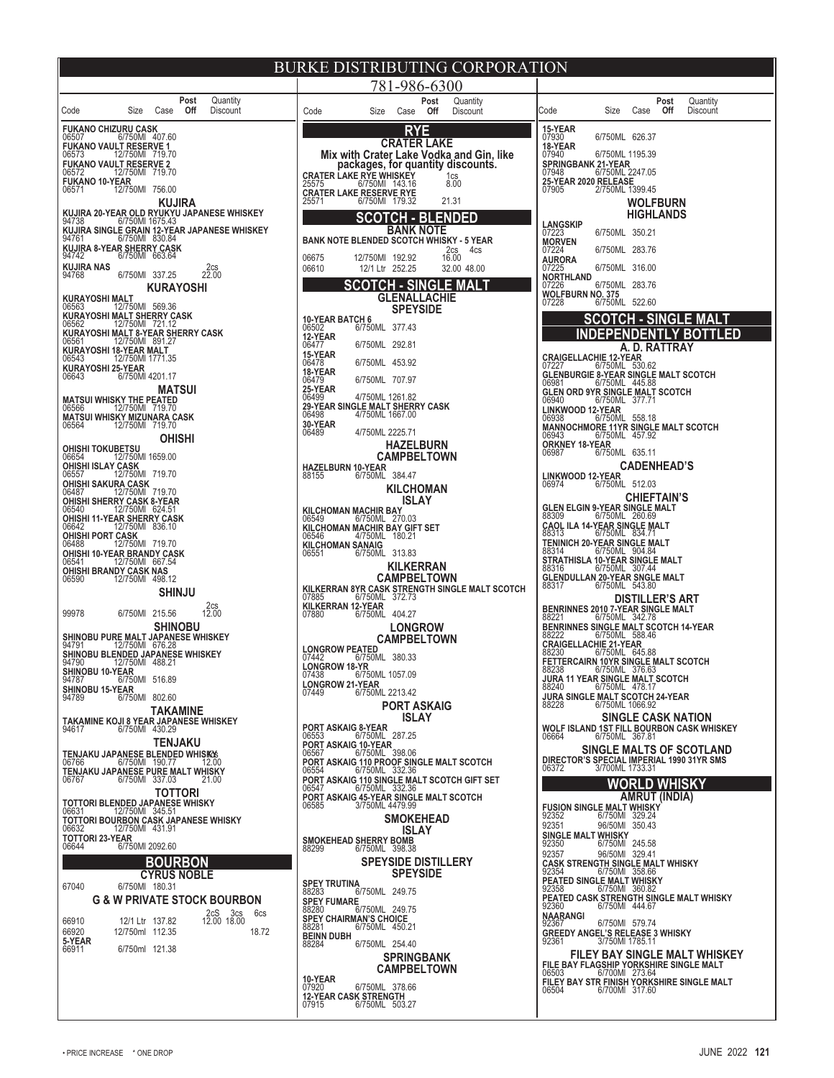| BURKE DISTRIBUTING CORPORATION                                                                                |                                                                                               |                                                                                         |  |  |  |  |  |  |
|---------------------------------------------------------------------------------------------------------------|-----------------------------------------------------------------------------------------------|-----------------------------------------------------------------------------------------|--|--|--|--|--|--|
| Post<br>Quantity                                                                                              | 781-986-6300                                                                                  |                                                                                         |  |  |  |  |  |  |
| Off<br>Discount<br>Size<br>Case<br>Code                                                                       | Post<br>Quantity<br>Off<br>Code<br>Size<br>Case<br>Discount                                   | Post<br>Quantity<br>Off<br>Code<br>Size<br>Case<br><b>Discount</b>                      |  |  |  |  |  |  |
| <b>FUKANO CHIZURU CASK</b><br>6/750MI 407.60<br>06507                                                         | <b>RYE</b>                                                                                    | 15-YEAR<br>07930<br>6/750ML 626.37                                                      |  |  |  |  |  |  |
| <b>FUKANO VAULT RESERVE 1</b><br>12/750MI 719.70<br>06573                                                     | <b>CRATER LAKE</b>                                                                            | 18-YEAR<br>07940                                                                        |  |  |  |  |  |  |
| <b>FUKANO VAULT RESERVE 2</b>                                                                                 | Mix with Crater Lake Vodka and Gin, like<br>packages, for quantity discounts.                 | 6/750ML 1195.39<br><b>SPRINGBANK 21-YEAR</b>                                            |  |  |  |  |  |  |
| 12/750MI 719.70<br>06572<br><b>FUKANO 10-YEAR</b>                                                             | <b>CRATER LAKE RYE WHISKEY</b><br>1 <sub>cs</sub><br>8.00<br>25575<br>6/750MI 143.16          | 6/750ML 2247.05<br>07948<br>25-YEAR 2020 RELEASE<br>07905 2/750ML 1399.45               |  |  |  |  |  |  |
| 12/750MI 756.00<br>06571<br><b>KUJIRA</b>                                                                     | <b>CRATER LAKE RESERVE RYE</b><br>25571<br>6/750MI 179.32<br>21.31                            | <b>WOLFBURN</b>                                                                         |  |  |  |  |  |  |
| KUJIRA 20-YEAR OLD RYUKYU JAPANESE WHISKEY                                                                    | <b>SCOTCH - BLENDED</b>                                                                       | <b>HIGHLANDS</b>                                                                        |  |  |  |  |  |  |
| 94738<br>6/750MI 1675.43<br>KUJIRA SINGLE GRAIN 12-YEAR JAPANESE WHISKEY                                      | <b>BANK NOTE</b>                                                                              | <b>LANGSKIP</b><br>07223<br>6/750ML 350.21                                              |  |  |  |  |  |  |
| 6/750MI 830.84<br>94761<br>KUJIRA 8-YEAR SHERRY CASK                                                          | <b>BANK NOTE BLENDED SCOTCH WHISKY - 5 YEAR</b><br>4cs                                        | <b>MORVEN</b><br>07224<br>6/750ML 283.76                                                |  |  |  |  |  |  |
| 6/750MI 663.64<br>94742<br><b>KUJIRA NAS</b>                                                                  | $2cs$ <sub>16.00</sub><br>12/750MI 192.92<br>06675<br>06610<br>12/1 Ltr 252.25<br>32.00 48.00 | <b>AURORA</b><br>07225<br>6/750ML 316.00                                                |  |  |  |  |  |  |
| 2cs<br>22.00<br>94768<br>6/750MI 337.25                                                                       | <b>SCOTCH - SINGLE MALT</b>                                                                   | <b>NORTHLAND</b><br>07226<br>6/750ML 283.76                                             |  |  |  |  |  |  |
| <b>KURAYOSHI</b><br>KURAYOSHI MALT                                                                            | <b>GLENALLACHIE</b>                                                                           | WOLFBURN NO. 375<br>07228 6/750ML 522.60                                                |  |  |  |  |  |  |
| 12/750MI 569.36<br>06563                                                                                      | <b>SPEYSIDE</b>                                                                               |                                                                                         |  |  |  |  |  |  |
| KURAYOSHI MALT SHERRY CASK<br>06562 12/750MI 721.12                                                           | <b>10-YEAR BATCH 6</b><br>06502<br>6/750ML 377.43                                             | <b>SCOTCH - SINGLE MALT</b><br><b>INDEPENDENTLY BOTTLED</b>                             |  |  |  |  |  |  |
| KURAYOSHI MALT 8-YEAR SHERRY CASK<br>06561               12/750Ml   891.27<br>06561<br>KURAYOSHI 18-YEAR MALT | 12-YEAR<br>6/750ML 292.81<br>06477                                                            | A. D. RATTRAY                                                                           |  |  |  |  |  |  |
| 12/750MI 1771.35<br>06543                                                                                     | 15-YEAR<br>6/750ML 453.92<br>06478                                                            | <b>CRAIGELLACHIE 12-YEAR</b><br>6/750ML 530.62<br>07227                                 |  |  |  |  |  |  |
| KURAYOSHI 25-YEAR<br>6/750MI 4201.17<br>06643                                                                 | 18-YEAR<br>06479<br>6/750ML 707.97                                                            | <b>GLENBURGIE 8-YEAR SINGLE MALT SCOTCH</b><br>06981<br>6/750ML 445.88                  |  |  |  |  |  |  |
| <b>MATSUI</b><br><b>MATSUI WHISKY THE PEATED</b>                                                              | 25-YEAR<br>06499<br>4/750ML 1261.82                                                           | GLEN ORD 9YR SINGLE MALT SCOTCH                                                         |  |  |  |  |  |  |
| 06566<br>12/750MI 719.70                                                                                      | 29-YEAR SINGLE MALT SHERRY CASK<br>06498 4/750ML 1667.00                                      | 06940<br>6/750ML 377.71<br>LINKWOOD 12-YEAR                                             |  |  |  |  |  |  |
| MATSUI WHISKY MIZUNARA CASK<br>06564 12/750MI 719.70                                                          | 30-YEAR<br>06489<br>4/750ML 2225.71                                                           | 6/750ML 558.18<br>06938<br>MANNOCHMORE 11YR SINGLE MALT SCOTCH<br>06943 6/750ML 457.92  |  |  |  |  |  |  |
| <b>OHISHI</b>                                                                                                 | <b>HAZELBURN</b>                                                                              | <b>ORKNEY 18-YEAR</b>                                                                   |  |  |  |  |  |  |
| <b>OHISHI TOKUBETSU</b><br>06654 12/750MI 1659.00<br><b>OHISHI ISLAY CASK</b>                                 | <b>CAMPBELTOWN</b>                                                                            | 06987<br>6/750ML 635.11<br><b>CADENHEAD'S</b>                                           |  |  |  |  |  |  |
| 12/750MI 719.70<br>06557                                                                                      | <b>HAZELBURN 10-YEAR</b><br>88155 6/750ML 384.47                                              | LINKWOOD 12-YEAR                                                                        |  |  |  |  |  |  |
| <b>OHISHI SAKURA CASK</b><br>12/750MI 719.70<br>06487                                                         | <b>KILCHOMAN</b>                                                                              | 06974<br>6/750ML 512.03<br><b>CHIEFTAIN'S</b>                                           |  |  |  |  |  |  |
| <b>OHISHI SHERRY CASK 8-YEAR</b><br>06540<br>12/750MI 624.51                                                  | <b>ISLAY</b><br><b>KILCHOMAN MACHIR BAY</b>                                                   | <b>GLEN ELGIN 9-YEAR SINGLE MALT</b><br>6/750ML 260.69<br>88309                         |  |  |  |  |  |  |
| OHISHI 11-YEAR SHERRY CASK<br>12/750MI 836.10<br>06642                                                        | 06549<br>6/750ML 270.03<br>KILCHOMAN MACHIR BAY GIFT SET<br>06546 4/750ML 180.21              | <b>CAOL ILA 14-YEAR SINGLE MALT</b><br>6/750ML 834.71                                   |  |  |  |  |  |  |
| <b>OHISHI PORT CASK</b><br>12/750MI 719.70<br>06488                                                           | KILCHOMAN SANAIG<br>06551 6/750ML 313.83                                                      | 88313<br>TENINICH 20-YEAR SINGLE MALT                                                   |  |  |  |  |  |  |
| OHISHI 10-YEAR BRANDY CASK<br>12/750MI 667.54<br>06541                                                        |                                                                                               | 6/750ML 904.84<br>88314<br>STRATHISLA 10-YEAR SINGLE MALT<br>88316 6/750ML 307.44       |  |  |  |  |  |  |
| OHISHI BRANDY CASK NAS<br>12/750MI 498.12<br>06590                                                            | KILKERRAN<br><b>CAMPBELTOWN</b>                                                               | GLENDULLAN 20-YEAR SNGLE MALT<br>88317 6/750ML 543.80                                   |  |  |  |  |  |  |
| <b>SHINJU</b>                                                                                                 | KILKERRAN 8YR CASK STRENGTH SINGLE MALT SCOTCH<br>6/750ML 372.73<br>07885                     | <b>DISTILLER'S ART</b>                                                                  |  |  |  |  |  |  |
| $2cs$ <sub>12.00</sub><br>6/750MI 215.56<br>99978                                                             | KILKERRAN 12-YEAR<br>6/750ML 404.27<br>07880                                                  | BENRINNES 2010 7-YEAR SINGLE MALT                                                       |  |  |  |  |  |  |
| <b>SHINOBU</b>                                                                                                | <b>LONGROW</b>                                                                                | 6/750ML 342.78<br>88221<br>BENRINNES SINGLE MALT SCOTCH 14-YEAR<br>88222 6/750ML 588.46 |  |  |  |  |  |  |
| SHINOBU PURE MALT JAPANESE WHISKEY<br>94791<br>12/750MI 676.28                                                | <b>CAMPBELTOWN</b><br><b>LONGROW PEATED</b>                                                   | <b>CRAIGELLACHIE 21-YEAR</b>                                                            |  |  |  |  |  |  |
| SHINOBU BLENDED JAPANESE WHISKEY<br>12/750MI 488.21<br>94790                                                  | 07442<br>6/750ML 380.33<br>LONGROW 18-YR                                                      | 88230<br>6/750ML 645.88<br>FETTERCAIRN 10YR SINGLE MALT SCOTCH                          |  |  |  |  |  |  |
| SHINOBU 10-YEAR<br>6/750MI 516.89<br>94787                                                                    | 07438<br>6/750ML 1057.09                                                                      | 88238<br>6/750ML<br><b>JURA 11 YEAR SINGLE MALT SCOTCH</b>                              |  |  |  |  |  |  |
| <b>SHINOBU 15-YEAR</b><br>94789<br>6/750MI 802.60                                                             | <b>LONGROW 21-YEAR</b><br>6/750ML 2213.42<br>07449                                            | 88240<br>6/750ML 478.17<br>JURA SINGLE MALT SCOTCH 24-YEAR                              |  |  |  |  |  |  |
| TAKAMINE                                                                                                      | <b>PORT ASKAIG</b><br><b>ISLAY</b>                                                            | 6/750ML 1066.92<br>88228<br><b>SINGLE CASK NATION</b>                                   |  |  |  |  |  |  |
| TAKAMINE KOJI 8 YEAR JAPANESE WHISKEY<br>6/750MI 430.29<br>94617                                              | <b>PORT ASKAIG 8-YEAR</b>                                                                     | WOLF ISLAND 1ST FILL BOURBON CASK WHISKEY                                               |  |  |  |  |  |  |
| <b>TENJAKU</b>                                                                                                | 6/750ML 287.25<br>06553<br><b>PORT ASKAIG 10-YEAR</b><br>06567 6/750ML 398.06                 | 6/750ML 367.81<br>06664<br>SINGLE MALTS OF SCOTLAND                                     |  |  |  |  |  |  |
| TENJAKU JAPANESE BLENDED WHISKOS<br>6/750MI 190.77<br>06766<br>12.00                                          | PORT ASKAIG 110 PROOF SINGLE MALT SCOTCH                                                      | DIRECTOR'S SPECIAL IMPERIAL 1990 31YR SMS<br>3/700ML 1733.31<br>06372                   |  |  |  |  |  |  |
| TENJAKU JAPANESE PURE MALT WHISKY<br>6/750MI 337.03<br>06767<br>21.00                                         | 06554<br>6/750ML 332.36<br>PORT ASKAIG 110 SINGLE MALT SCOTCH GIFT SET                        | <b>WORLD WHISKY</b>                                                                     |  |  |  |  |  |  |
| <b>TOTTORI</b><br>TOTTORI BLENDED JAPANESE WHISKY                                                             | 06547<br>6/750ML 332.36<br>PORT ASKAIG 45-YEAR SINGLE MALT SCOTCH<br>06585 3/750ML 4479.99    | <b>AMRUT (INDIA)</b>                                                                    |  |  |  |  |  |  |
| 12/750MI 345.51<br>06631<br>TOTTORI BOURBON CASK JAPANESE WHISKY                                              | <b>SMOKEHEAD</b>                                                                              | <b>FUSION SINGLE MALT WHISKY</b><br>92352<br>6/750MI 329.24                             |  |  |  |  |  |  |
| 12/750MI 431.91<br>06632                                                                                      | <b>ISLAY</b>                                                                                  | 92351<br>96/50MI 350.43<br><b>SINGLE MALT WHISKY</b>                                    |  |  |  |  |  |  |
| <b>TOTTORI 23-YEAR</b><br>6/750MI 2092.60<br>06644                                                            | <b>SMOKEHEAD SHERRY BOMB</b><br>88299<br>6/750ML 398.38                                       | 92350<br>6/750MI 245.58<br>92357<br>96/50MI 329.41                                      |  |  |  |  |  |  |
| <b>BOURBON</b>                                                                                                | <b>SPEYSIDE DISTILLERY</b>                                                                    | <b>CASK STRENGTH SINGLE MALT WHISKY</b><br>92354<br>6/750MI 358.66                      |  |  |  |  |  |  |
| <b>CYRUS NOBLE</b><br>67040<br>6/750MI 180.31                                                                 | <b>SPEYSIDE</b><br>SPEY TRUTINA<br>88283 6                                                    | PEATED SINGLE MALT WHISKY                                                               |  |  |  |  |  |  |
| <b>G &amp; W PRIVATE STOCK BOURBON</b>                                                                        | 6/750ML 249.75<br><b>SPEY FUMARE</b>                                                          | 92358<br>6/750MI 360.82<br>PEATED CASK STRENGTH SINGLE MALT WHISKY                      |  |  |  |  |  |  |
| 6cs<br>2cS 3cs<br>12.00 18.00<br>66910<br>12/1 Ltr 137.82                                                     | 88280<br>6/750ML 249.75<br>SPEY CHAIRMAN'S CHOICE                                             | 92360<br>6/750MI 444.67<br><b>NAARANGI</b>                                              |  |  |  |  |  |  |
| 66920<br>12/750ml 112.35<br>18.72                                                                             | 6/750ML 450.21<br>88281<br><b>BEINN DUBH</b>                                                  | 6/750MI 579.74<br>92367<br>GREEDY ANGEL'S RELEASE 3 WHISKY<br>92361 3/750MI 1785.11     |  |  |  |  |  |  |
| 5-YEAR<br>6/750ml 121.38<br>66911                                                                             | 88284<br>6/750ML 254.40                                                                       | <b>FILEY BAY SINGLE MALT WHISKEY</b>                                                    |  |  |  |  |  |  |
|                                                                                                               | <b>SPRINGBANK</b><br><b>CAMPBELTOWN</b>                                                       | FILE BAY FLAGSHIP YORKSHIRE SINGLE MALT<br>6/700MI 273.64<br>06503                      |  |  |  |  |  |  |
|                                                                                                               | 10-YEAR<br>6/750ML 378.66<br>07920                                                            | FILEY BAY STR FINISH YORKSHIRE SINGLE MALT<br>06504<br>6/700MI 317.60                   |  |  |  |  |  |  |
|                                                                                                               | <b>12-YEAR CASK STRENGTH</b><br>6/750ML 503.27<br>07915                                       |                                                                                         |  |  |  |  |  |  |
|                                                                                                               |                                                                                               |                                                                                         |  |  |  |  |  |  |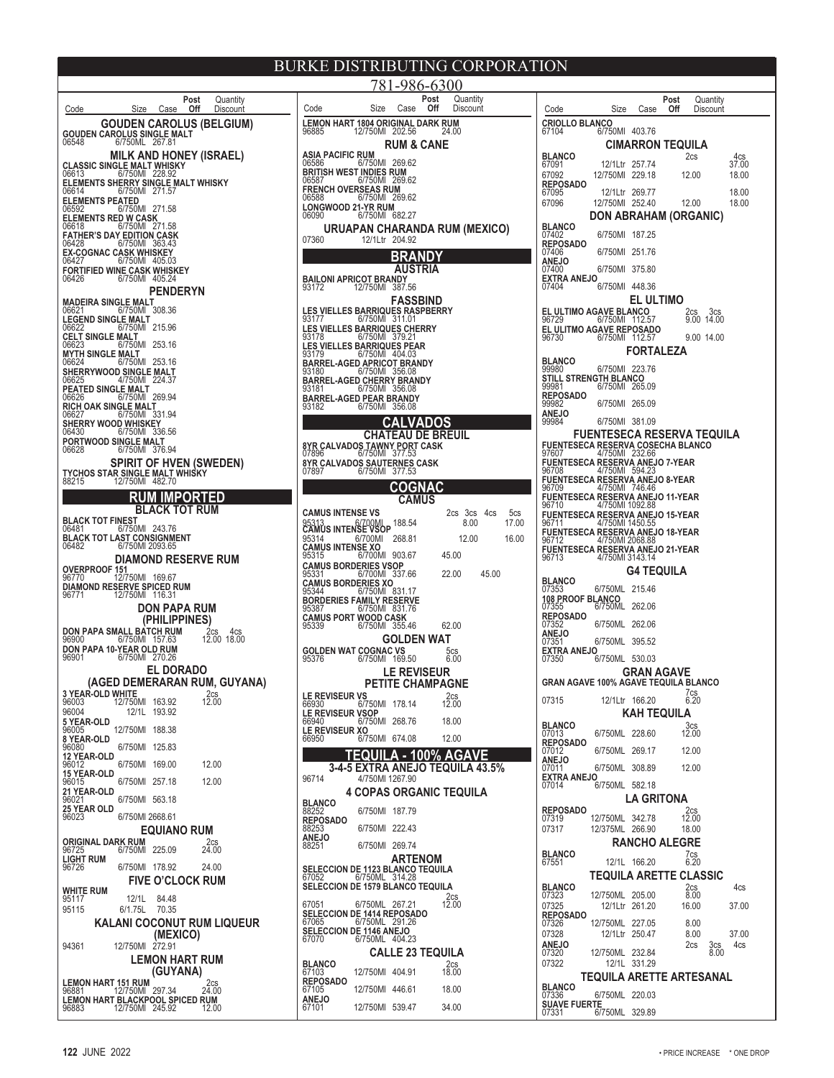**GOUDEN CAROLUS (BELGIUM) GOUDEN CAROLUS SINGLE MALT** 06548 6/750ML 267.81 **MILK AND HONEY (ISRAEL) CLASSIC SINGLE MALT WHISKY** 06613 6/750Ml 228.92 **ELEMENTS SHERRY SINGLE MALT WHISKY** 06614 6/750Ml 271.57 **ELEMENTS PEATED<br>06592 6/750Ml 271.58 ELEMENTS RED W CASK** 06618 6/750Ml 271.58 **FATHER'S DAY EDITION CASK** 06428 6/750Ml 363.43 **EX-COGNAC CASK WHISKEY** 06427 6/750Ml 405.03 **FORTIFIED WINE CASK WHISKEY** 06426 6/750Ml 405.24 **PENDERYN MADEIRA SINGLE MALT**<br>06621 6/750MI 308.36 06621 6/750Ml 308.36 **LEGEND SINGLE MALT** 06622 6/750Ml 215.96 **CELT SINGLE MALT** 06623 6/750Ml 253.16 **MYTH SINGLE MALT** 06624 6/750Ml 253.16 **SHERRYWOOD SINGLE MALT**<br>06625 4/750Ml 224.37 **PEATED SINGLE MALT** 06626 6/750Ml 269.94 **RICH OAK SINGLE MALT** 06627 6/750Ml 331.94 **SHERRY WOOD WHISKEY** 06430 6/750Ml 336.56 **PORTWOOD SINGLE MALT** 06628 6/750Ml 376.94 **SPIRIT OF HVEN (SWEDEN) TYCHOS STAR SINGLE MALT WHISKY** 88215 12/750Ml 482.70 **RUM IMPORTED BLACK TOT RUM BLACK TOT FINEST** 06481 6/750Ml 243.76 **BLACK TOT LAST CONSIGNMENT** 06482 6/750Ml 2093.65 **DIAMOND RESERVE RUM OVERPROOF 151** 96770 12/750Ml 169.67 **DIAMOND RESERVE SPICED RUM** 96771 12/750Ml 116.31 **DON PAPA RUM (PHILIPPINES) DON PAPA SMALL BATCH RUM** 2cs 4cs<br>96900 6/750Ml 157.63 12.00 18.00 **DON PAPA 10-YEAR OLD RUM** 96901 6/750Ml 270.26 **EL DORADO (AGED DEMERARAN RUM, GUYANA) 3 YEAR-OLD WHITE** 2cs 96003 12/750Ml 163.92 12.00 96004 12/1L 193.92 **5 YEAR-OLD** 96005 12/750Ml 188.38 **8 YEAR-OLD** 6/750Ml 125.83 **12 YEAR-OLD** 96012 6/750Ml 169.00 12.00 **15 YEAR-OLD**<br>96015 6/750Ml 257.18 12.00 **21 YEAR-OLD**<br>96021 6/750Ml 563.18 **25 YEAR OLD**<br>96023 96023 6/750Ml 2668.61 **EQUIANO RUM ORIGINAL DARK RUM** 225.09 2cs<br>96725 6/750Ml 225.09 24.00 6/750Ml 225.09 **LIGHT RUM**<br>96726 96726 6/750Ml 178.92 24.00 **FIVE O'CLOCK RUM WHITE RUM**<br>95117 95117<br>95117 12/1L 84.48<br>95115 6/1.75L 70.35 6/1.75L 70.35 **KALANI COCONUT RUM LIQUEUR (MEXICO)** 94361 12/750Ml 272.91 **LEMON HART RUM (GUYANA) LEMON HART 151 RUM<br>96881 12/750Ml 297.34 24.00<br><b>LEMON HART BLACKPOOL SPICED RUM**<br>96883 12/750Ml 245.92 12.00 **Post** Quantity<br>**Off** Discount Code **Size Case Off** Discount

**LEMON HART 1804 ORIGINAL DARK RUM**<br>96885 12/750ML 202 56 24 00 12/750Ml 202.56 **RUM & CANE ASIA PACIFIC RUM**<br>06586 6/750Ml 269.62 **BRITISH WEST INDIES RUM**<br>06587 **6/750MI** 269.62 06587 6/750Ml 269.62 **FRENCH OVERSEAS RUM** 06588 6/750Ml 269.62 **LONGWOOD 21-YR RUM** 06090 6/750Ml 682.27 **URUAPAN CHARANDA RUM (MEXICO)**<br>07360 12/1Ltr 204.92 07360 12/1Ltr 204.92 **BRANDY AUSTRIA BAILONI APRICOT BRANDY** 93172 12/750Ml 387.56 **FASSBIND LES VIELLES BARRIQUES RASPBERRY** 93177 6/750Ml 311.01 **LES VIELLES BARRIQUES CHERRY** 93178 6/750Ml 379.21 **LES VIELLES BARRIQUES PEAR** 93179 6/750Ml 404.03 **BARREL-AGED APRICOT BRANDY** 93180 6/750Ml 356.08 **BARREL-AGED CHERRY BRANDY** 93181 6/750Ml 356.08 **BARREL-AGED PEAR BRANDY** 93182 6/750Ml 356.08 **CALVADOS CHATEAU DE BREUIL 8YR CALVADOS TAWNY PORT CASK** 07896 6/750Ml 377.53 **8YR CALVADOS SAUTERNES CASK** 07897 6/750Ml 377.53 **COGNAC CAMUS CAMUS INTENSE VS** 2cs 3cs 4cs 5cs<br>95313 6/700MI 188.54 8.00 17.00 95313 6/700Ml 188.54 8.00 17.00<br>**CAMUS INTENSE VSOP** 188.54 8.00 17.00<br>95314 6/700Ml 268.81 12.00 16.00 95314 6/700Ml 268.81 12.00 16.00 **CAMUS INTENSE XO** 95315 6/700Ml 903.67 45.00 **CAMUS BORDERIES VSOP** 95331 6/700Ml 337.66 22.00 45.00 **CAMUS BORDERIES XO** 95344 6/750Ml 831.17 **BORDERIES FAMILY RESERVE**<br>95387 6/750MI 831.76 95387 6/750Ml 831.76 **CAMUS PORT WOOD CASK** 95339 6/750Ml 355.46 62.00 **GOLDEN WAT GOLDEN WAT COGNAC VS** 5cs<br>95376 6/750Ml 169.50 6.00 **LE REVISEUR PETITE CHAMPAGNE LE REVISEUR VS** 2cs 66930 6/750Ml 178.14 12.00 **LE REVISEUR VSOP** 66940 6/750Ml 268.76 18.00 **LE REVISEUR XO** 66950 6/750Ml 674.08 12.00 **TEQUILA - 100% AGAVE 3-4-5 EXTRA ANEJO TEQUILA 43.5%** 96714 4/750Ml 1267.90 **4 COPAS ORGANIC TEQUILA BLANCO** 88252 6/750Ml 187.79 **REPOSADO** 88253 6/750Ml 222.43 **ANEJO**<br>88251 6/750Ml 269.74 **ARTENOM SELECCION DE 1123 BLANCO TEQUILA** 67052 6/750ML 314.28 **SELECCION DE 1579 BLANCO TEQUILA**  $^{2cs}_{12.00}$ 67051 6/750ML 267.21 12.00 **SELECCION DE 1414 REPOSADO** 67065 6/750ML 291.26 **SELECCION DE 1146 ANEJO** 67070 6/750ML 404.23 **CALLE 23 TEQUILA BLANCO** 2cs 67103 12/750Ml 404.91 18.00 **REPOSADO**<br>67105 12/750Ml 446.61 18.00 **ANEJO** 67101 12/750Ml 539.47 34.00  $781 - 986 - 6300$ **Post** Quantity Code Size Case **Off** Discount

| Code                                                                              | Size                          | Case                 | Post<br>Off | Quantity<br>Discount   |              |
|-----------------------------------------------------------------------------------|-------------------------------|----------------------|-------------|------------------------|--------------|
| <b>CRIOLLO BLANCO</b>                                                             |                               |                      |             |                        |              |
| 67104                                                                             | 6/750MI                       | 403.76               |             |                        |              |
|                                                                                   |                               | CIMARRON TEQUILA     |             |                        |              |
| <b>BLANCO</b><br>67091                                                            | 12/1Ltr                       | 257.74               |             | 2cs                    | 4cs<br>37.00 |
| 67092                                                                             | 12/750MI                      | 229.18               |             | 12.00                  | 18.00        |
| <b>REPOSADO</b><br>67095                                                          | 12/1Ltr                       | 269.77               |             |                        | 18.00        |
| 67096                                                                             | 12/750MI                      | 252.40               |             | 12.00                  | 18.00        |
| <b>BLANCO</b>                                                                     | DON ABRAHAM (ORGANIC)         |                      |             |                        |              |
| 07402                                                                             | 6/750MI                       | 187.25               |             |                        |              |
| <b>REPOSADO</b><br>07406                                                          | 6/750MI                       | 251.76               |             |                        |              |
| <b>ANEJO</b><br>07400                                                             | 6/750MI                       | 375.80               |             |                        |              |
| <b>EXTRA ANEJO</b>                                                                |                               |                      |             |                        |              |
| 07404                                                                             | 6/750MI                       | 448.36               |             |                        |              |
| EL ULTIMO AGAVE BLANCO                                                            |                               | EL ULTIMO            |             | 2cs<br>3cs             |              |
| 96729                                                                             | 6/750MI                       | 112.57               |             | 14.00<br>9.00          |              |
| EL ULITMO AGAVE REPOSADO<br>96730                                                 | 6/750MI                       | 112.57               |             | 9.00 14.00             |              |
|                                                                                   |                               | FORTALEZA            |             |                        |              |
| <b>BLANCO</b><br>99980                                                            | 6/750MI                       | 223.76               |             |                        |              |
| <b>STILL STRENGTH BLANCO</b><br>99981                                             | 6/750MI                       | 265.09               |             |                        |              |
| <b>REPOSADO</b>                                                                   |                               | 265.09               |             |                        |              |
| 99982<br>ANEJO                                                                    | 6/750MI                       |                      |             |                        |              |
| 99984                                                                             | 6/750MI                       | 381.09               |             |                        |              |
|                                                                                   | FUENTESECA RESERVA TEQUILA    |                      |             |                        |              |
| FUENTESECA RESERVA COSECHA BLANCO<br>97607               4/750Ml    232.66        |                               |                      |             |                        |              |
| FUENTESECA RESERVA ANEJO 7-YEAR<br>96708               4/750Ml   594.23           |                               |                      |             |                        |              |
| FUENTESECA RESERVA ANEJO 8-YEAR<br>96709                                          | 4/750MI                       | 746.46               |             |                        |              |
| FUENTESECA RESERVA ANEJO 11-YEAR<br>96710                                         | 4/750MI 1092.88               |                      |             |                        |              |
| FUENTESECA RESERVA ANEJO 15-YEAR<br>96711                                         | 4/750MI 1450.55               |                      |             |                        |              |
| FUENTESECA RESERVA ANEJO 18-YEAR                                                  |                               |                      |             |                        |              |
| 96712<br>FUENTESECA RESERVA ANEJO 21-YEAR<br>96713                4/750Ml 3143.14 | 4/750MI 2068.88               |                      |             |                        |              |
|                                                                                   |                               |                      |             |                        |              |
| <b>BLANCO</b>                                                                     |                               | G4 TEQUILA           |             |                        |              |
| 07353<br><b>108 PROOF BLANCO</b>                                                  | 6/750ML                       | 215.46               |             |                        |              |
| 07355                                                                             | 6/750ML                       | 262.06               |             |                        |              |
| <b>REPOSADO</b><br>07352                                                          | 6/750ML                       | 262.06               |             |                        |              |
| ANEJO<br>07351                                                                    | 6/750ML                       | 395.52               |             |                        |              |
| <b>EXTRA ANEJO</b><br>07350                                                       | 6/750ML                       | 530.03               |             |                        |              |
|                                                                                   |                               | <b>GRAN AGAVE</b>    |             |                        |              |
| GRAN AGAVE 100% AGAVE TEQUILA BLANCO                                              |                               |                      |             | 7cs                    |              |
| 07315                                                                             | 12/1Ltr                       | 166.20               |             | 6.20                   |              |
|                                                                                   |                               | KAH TEQUILA          |             |                        |              |
| <b>BLANCO</b><br>07013                                                            | 6/750ML                       | 228.60               |             | $3cs$ <sub>12.00</sub> |              |
| <b>REPOSADO</b><br>07012                                                          | 6/750ML                       | 269.17               |             | 12.00                  |              |
| <b>ANEJO</b><br>07011                                                             | 6/750ML                       | 308.89               |             | 12.00                  |              |
| EXTRA ANEJO                                                                       |                               |                      |             |                        |              |
| 07014                                                                             | 6/750ML<br>L                  | 582.18<br>A GRITONA. |             |                        |              |
| <b>REPOSADO</b>                                                                   |                               |                      |             | 2cs                    |              |
| 07319<br>07317                                                                    | 12/750ML<br>12/375ML          | 342.78<br>266.90     |             | 12.00<br>18.00         |              |
|                                                                                   |                               | RANCHO ALEGRE        |             |                        |              |
| <b>BLANCO</b>                                                                     |                               |                      |             | 7cs<br>6.20            |              |
| 67551                                                                             | 12/1L                         | 166.20               |             |                        |              |
| <b>BLANCO</b>                                                                     | <b>TEQUILA ARETTE CLASSIC</b> |                      |             | 2cs                    | 4cs          |
| 07323                                                                             | 12/750ML                      | 205.00               |             | 8.00                   |              |
| 07325<br><b>REPOSADO</b>                                                          | 12/1Ltr                       | 261.20               |             | 16.00                  | 37.00        |
| 07326<br>07328                                                                    | 12/750ML<br>12/1Ltr           | 227.05<br>250.47     |             | 8.00<br>8.00           | 37.00        |
| <b>ANEJO</b>                                                                      |                               |                      |             | 2cs<br>3cs             | 4cs          |
| 07320<br>07322                                                                    | 12/750ML<br>12/1L             | 232.84<br>331.29     |             | 8.00                   |              |
|                                                                                   | TEQUILA ARETTE ARTESANAL      |                      |             |                        |              |
| <b>BLANCO</b><br>07336                                                            | 6/750ML                       | 220.03               |             |                        |              |
| <b>SUAVE FUERTE</b>                                                               |                               |                      |             |                        |              |
| 07331                                                                             | 6/750ML                       | 329.89               |             |                        |              |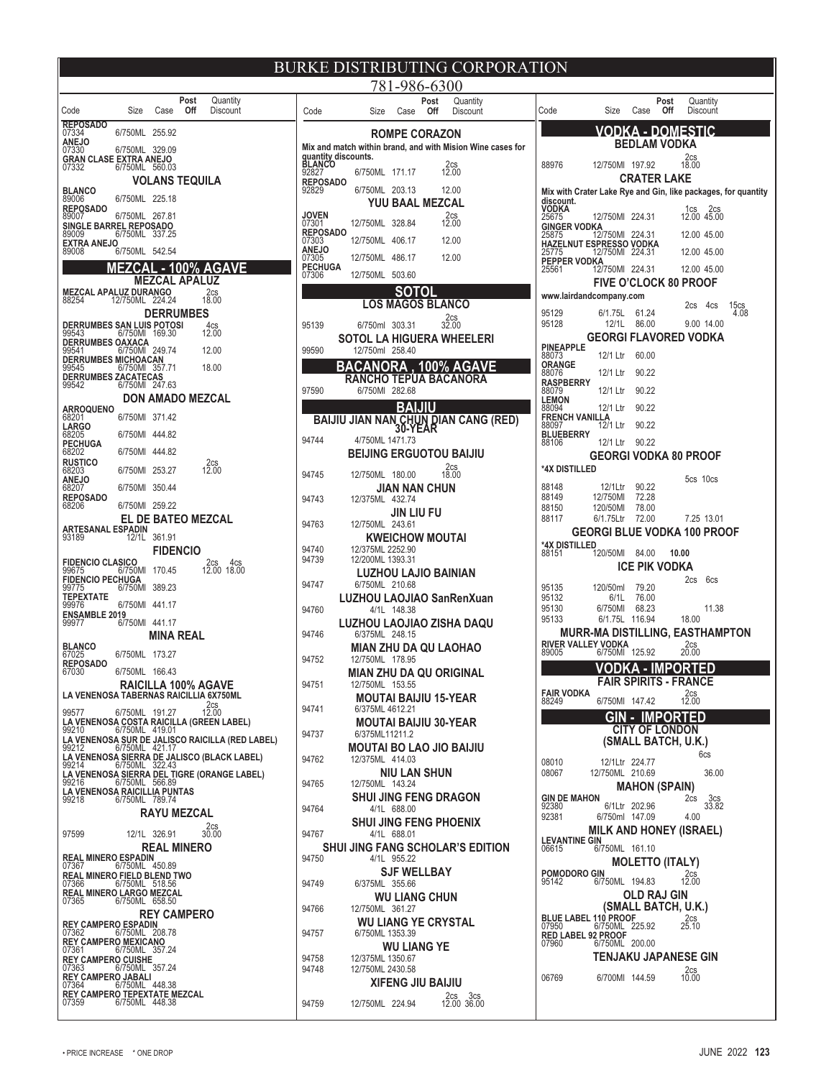|                                                                   |                         |                             |             |                                                                                                                                                          | ľ |
|-------------------------------------------------------------------|-------------------------|-----------------------------|-------------|----------------------------------------------------------------------------------------------------------------------------------------------------------|---|
| Code                                                              | Size                    | Case                        | Post<br>Off | Quantity<br>Discount                                                                                                                                     |   |
| <b>REPOSADO</b><br>07334                                          | 6/750ML                 | 255.92                      |             |                                                                                                                                                          |   |
| ANEJO<br>07330                                                    | 6/750ML                 | 329.09                      |             |                                                                                                                                                          |   |
| GRAN CLASE EXTRA ANEJO<br>07332                                   | 6/750ML                 | 560.03                      |             |                                                                                                                                                          |   |
| <b>BLANCO</b><br>89006                                            | 6/750ML                 | VOLANS TEQUILA<br>225.18    |             |                                                                                                                                                          |   |
| <b>REPOSADO</b><br>89007                                          | 6/750ML                 | 267.81                      |             |                                                                                                                                                          |   |
| 89009<br>EXTRA ANEJO                                              |                         |                             |             |                                                                                                                                                          |   |
| 89008                                                             | 6/750ML<br><b>EZCAL</b> | 542.54                      |             | . - 100% AGAVE                                                                                                                                           |   |
|                                                                   |                         | MEZCAL APALUZ               |             |                                                                                                                                                          |   |
| MEZCAL APALUZ DURANGO<br>88254                                    | 12/750ML                | 224.24                      |             | 2cs<br>18.00                                                                                                                                             |   |
| <b>DERRUMBES SAN LUIS POTOSI</b>                                  |                         | <b>DERRUMBES</b>            |             | 4cs<br>12.00                                                                                                                                             |   |
| 99543<br>DERRUMBES OAXACA<br>99541                                | 6/750MI<br>6/750MI      | 169.30<br>249.74            |             | 12.00                                                                                                                                                    |   |
| <b>DERRUMBES MICHOACAN</b><br>99545                               | 6/750MI                 | 357.71                      |             | 18.00                                                                                                                                                    |   |
| DERRUMBES ZACATECAS<br>99542                                      | 6/750M                  | 247.63                      |             |                                                                                                                                                          |   |
| ARROQUENO<br>68201                                                | 6/750MI                 | 371.42                      |             | DON AMADO MEZCAL                                                                                                                                         |   |
| <b>LARGO</b><br>68205                                             | 6/750MI                 | 444.82                      |             |                                                                                                                                                          |   |
| <b>PECHUGA</b><br>68202                                           | 6/750MI                 | 444.82                      |             |                                                                                                                                                          |   |
| <b>RUSTICO</b><br>68203<br>ANEJO                                  | 6/750MI                 | 253.27                      |             | 2cs<br>12.00                                                                                                                                             |   |
| 68207<br><b>REPOSADO</b>                                          | 6/750MI                 | 350.44                      |             |                                                                                                                                                          |   |
| 68206                                                             | 6/750MI                 | 259.22                      |             | <b>EL DE BATEO MEZCAL</b>                                                                                                                                |   |
| 93189                                                             |                         | 361.91                      |             |                                                                                                                                                          |   |
| <b>FIDENCIO CLASICO</b>                                           |                         | <b>FIDENCIO</b>             |             | 2cs<br>4cs                                                                                                                                               |   |
| 99675<br><b>FIDENCIO PECHUGA</b><br>99775                         | 6/750MI<br>6/750MI      | 170.45<br>389.23            |             | 12.00 18.00                                                                                                                                              |   |
| TEPEXTATE<br>99976                                                | 6/750MI                 | 441.17                      |             |                                                                                                                                                          |   |
| <u>ENSA</u> MBLE 2019<br>99977                                    | 6/750MI                 | 441.17                      |             |                                                                                                                                                          |   |
| <b>BLANCO</b><br>67025                                            | 6/750ML                 | MINA REAL<br>173.27         |             |                                                                                                                                                          |   |
| <b>REPOSADO</b><br>67030                                          | 6/750ML                 | 166.43                      |             |                                                                                                                                                          |   |
| LA VENENOSA TABERNAS RAICILLIA 6X750ML                            |                         |                             |             | RAICILLA 100% AGAVE                                                                                                                                      |   |
| 99577                                                             | 6/750ML                 | 191.27                      |             | $2cs$ <sub>12.00</sub>                                                                                                                                   |   |
| 99210                                                             | 6/750ML 419.01          |                             |             | LA VENENOSA COSTA RAICILLA (GREEN LABEL)                                                                                                                 |   |
|                                                                   |                         |                             |             | LA VENENOSA SUR DE JALISCO RAICILLA (RED LABEL)<br>99212 ______ 6/750ML 421.17<br>LA VENENOSA SIERRA DE JALISCO (BLACK LABEL)<br>99214    6/750ML 322.43 |   |
| 99216                                                             | 6/750ML 566.89          |                             |             | LA VENENOSA SIERRA DEL TIGRE (ORANGE LABEL)                                                                                                              |   |
| LA VENENOSA RAICILLIA PUNTAS<br>99218                             | 6/750ML 789.74          |                             |             |                                                                                                                                                          |   |
|                                                                   |                         | <b>RAYU MEZCAL</b>          |             | 2cs<br>30.00                                                                                                                                             |   |
| 97599                                                             |                         | 12/1L 326.91<br>REAL MINERO |             |                                                                                                                                                          |   |
| <b>REAL MINERO ESPADIN</b><br>07367                               | 6/750ML                 | 450.89                      |             |                                                                                                                                                          |   |
| REAL MINERO FIELD BLEND TWO<br>07366<br>REAL MINERO LARGO MEZCAL  | 6/750ML 518.56          |                             |             |                                                                                                                                                          |   |
| 07365                                                             | 6/750ML 658.50          | <b>REY CAMPERO</b>          |             |                                                                                                                                                          |   |
| <b>REY CAMPERO ESPADIN</b><br>07362                               | 6/750ML                 | 208.78                      |             |                                                                                                                                                          |   |
| <b>REY CAMPERO MEXICANO</b><br>07361<br><b>REY CAMPERO CUISHE</b> | 6/750ML                 | 357.24                      |             |                                                                                                                                                          |   |
| 07363<br>REY CAMPERO JABALI<br>07364 6/750ML                      | 6/750ML                 | 357.24                      |             |                                                                                                                                                          |   |
| REY CAMPERO TEPEXTATE MEZCAL<br>07359                             | 6/750ML 448.38          | 448.38                      |             |                                                                                                                                                          |   |

|    |                                               | <b>BURKE DISTRIBUTING CORPORATION</b>                      |                          |
|----|-----------------------------------------------|------------------------------------------------------------|--------------------------|
|    |                                               | 781-986-6300                                               |                          |
|    | Code                                          | Post<br>Quantity<br>Off<br>Size<br>Discount<br>Case        | Code                     |
|    |                                               | <b>ROMPE CORAZON</b>                                       |                          |
|    |                                               | Mix and match within brand, and with Mision Wine cases for |                          |
|    | guantity discounts.<br><b>BLANCO</b><br>92827 | $2cs$ <sub>12.00</sub><br>6/750ML<br>171.17                | 88976                    |
|    | <b>REPOSADO</b><br>92829                      | 6/750ML<br>203.13<br>12.00                                 | Mix with                 |
|    | <b>JOVEN</b>                                  | YUU BAAL MEZCAL                                            | discount<br>VODKA        |
|    | 07301                                         | 2cs<br>328.84<br>12.00<br>12/750ML                         | 25675<br>GINGER          |
|    | <b>REPOSADO</b><br>07303                      | 12/750ML<br>406.17<br>12.00                                | 25875<br><b>HAZELN</b>   |
|    | ANEJO<br>07305                                | 12/750ML<br>486.17<br>12.00                                | 25775<br><b>PEPPER</b>   |
|    | PECHUGA<br>07306                              | 12/750ML<br>503.60                                         | 25561                    |
|    |                                               | SOTOL                                                      | www.lair                 |
|    |                                               | <b>LOS MAGOS BLANCO</b>                                    | 95129                    |
|    | 95139                                         | $2cs$ <sub>32.00</sub><br>6/750ml 303.31                   | 95128                    |
|    | 99590                                         | SOTOL LA HIGUERA WHEELERI<br>12/750ml 258.40               | <b>PINEAPP</b>           |
|    |                                               | <b>BACANORA</b><br>. 100% AGA                              | 88073<br>ORANGE          |
|    |                                               | RANCHO TEPUA BACANORA                                      | 88076<br><b>RASPBE</b>   |
|    | 97590                                         | 6/750MI 282.68                                             | 88079<br><b>LEMON</b>    |
|    |                                               | BAIJIU<br>BAIJIU JIAN NAN CHUN DIAN CANG (RED)             | 88094<br><u>Fren</u> ch  |
|    | 94744                                         | <b>30-YEAR</b><br>4/750ML 1471.73                          | 88097<br><b>BLUEBE</b>   |
|    |                                               | BEIJING ERGUOTOU BAIJIU                                    | 88106                    |
|    | 94745                                         | 2cs<br>18.00<br>12/750ML 180.00                            | *4X DIST                 |
|    |                                               | JIAN NAN CHUN                                              | 88148                    |
|    | 94743                                         | 12/375ML 432.74                                            | 88149<br>88150           |
|    | 94763                                         | JIN LIU FU<br>12/750ML 243.61                              | 88117                    |
|    |                                               | <b>KWEICHOW MOUTAI</b>                                     |                          |
|    | 94740<br>94739                                | 12/375ML 2252.90<br>12/200ML 1393.31                       | *4X DIST<br>88151        |
|    |                                               | LUZHOU LAJIO BAINIAN                                       |                          |
|    | 94747                                         | 6/750ML 210.68                                             | 95135                    |
|    | 94760                                         | LUZHOU LAOJIAO SanRenXuan<br>4/1L 148.38                   | 95132<br>95130           |
|    | 94746                                         | LUZHOU LAOJIAO ZISHA DAQU<br>6/375ML 248.15                | 95133<br>ΜL              |
|    |                                               | MIAN ZHU DA QU LAOHAO                                      | <b>RIVER V.</b>          |
|    | 94752                                         | 12/750ML 178.95                                            | 89005                    |
|    | 94751                                         | MIAN ZHU DA QU ORIGINAL<br>12/750ML 153.55                 |                          |
|    |                                               | MOUTAI BAIJIU 15-YEAR                                      | <b>FAIR VO</b><br>88249  |
|    | 94741                                         | 6/375ML 4612.21                                            |                          |
|    | 94737                                         | <b>MOUTAI BAIJIU 30-YEAR</b><br>6/375ML11211.2             |                          |
| -) |                                               | MOUTAI BO LAO JIO BAIJIU                                   |                          |
|    | 94762                                         | 12/375ML 414.03<br>NIU LAN SHUN                            | 08010<br>08067           |
|    | 94765                                         | 12/750ML 143.24                                            |                          |
|    | 94764                                         | <b>SHUI JING FENG DRAGON</b><br>4/1L 688.00                | <b>GIN DE N</b><br>92380 |
|    |                                               | <b>SHUI JING FENG PHOENIX</b>                              | 92381                    |
|    | 94767                                         | 4/1L 688.01                                                | <b>LEVANT</b>            |
|    | 94750                                         | <b>SHUI JING FANG SCHOLAR'S EDITION</b><br>4/1L 955.22     | 06615                    |
|    |                                               | <b>SJF WELLBAY</b>                                         | <b>POMODO</b>            |
|    | 94749                                         | 6/375ML 355.66<br><b>WU LIANG CHUN</b>                     | 95142                    |
|    | 94766                                         | 12/750ML 361.27                                            |                          |
|    |                                               | <b>WU LIANG YE CRYSTAL</b><br>6/750ML 1353.39              | <b>BLUE LA</b><br>07950  |
|    | 94757                                         | <b>WU LIANG YE</b>                                         | <b>RED LAE</b><br>07960  |
|    | 94758                                         | 12/375ML 1350.67                                           |                          |
|    | 94748                                         | 12/750ML 2430.58<br><b>XIFENG JIU BAIJIU</b>               | 06769                    |
|    |                                               | 2cs 3cs<br>12.00 36.00<br>12/750ML 224.94                  |                          |
|    | 94759                                         |                                                            |                          |

| IUF                                                           |                                            |                                              |             |                     |                            |      |
|---------------------------------------------------------------|--------------------------------------------|----------------------------------------------|-------------|---------------------|----------------------------|------|
| Code                                                          | Size                                       | Case                                         | Post<br>Off |                     | Quantity<br>Discount       |      |
|                                                               | VODKA                                      |                                              |             | - DOMESTIC          |                            |      |
|                                                               |                                            | BEDLAM VODKA                                 |             |                     |                            |      |
| 88976                                                         | 12/750MI                                   | 197.92                                       |             | 2cs<br>18.00        |                            |      |
| Mix with Crater Lake Rye and Gin, like packages, for quantity |                                            | <b>CRATER LAKE</b>                           |             |                     |                            |      |
| discount.<br>VODKA                                            |                                            |                                              |             |                     | 1cs 2cs<br>12.00 45.00     |      |
| 25675<br><u>GING</u> ER VODKA                                 | 12/750MI                                   | 224.31                                       |             |                     |                            |      |
| 25875<br><b>HAZELNUT ESPRESSO VODKA</b>                       | 12/750MI                                   | 224.31                                       |             |                     | 12.00 45.00                |      |
| 25775<br>PEPPER VODKA<br>25561                                | 12/750MI<br>12/750MI                       | 224.31<br>224.31                             |             |                     | 12.00 45.00<br>12.00 45.00 |      |
|                                                               | FIVE O'CLOCK 80 PROOF                      |                                              |             |                     |                            |      |
| www.lairdandcompany.com                                       |                                            |                                              |             | 2cs                 | 4cs                        | 15cs |
| 95129<br>95128                                                | 6/1.75L<br>12/1L                           | 61.24<br>86.00                               |             |                     | 9.00 14.00                 | 4.08 |
|                                                               | GEORGI FLAVORED VODKA                      |                                              |             |                     |                            |      |
| <b>PINEAPPLE</b><br>88073                                     | 12/1 Ltr                                   | 60.00                                        |             |                     |                            |      |
| ORANGE<br>88076                                               | 12/1 Ltr                                   | 90.22                                        |             |                     |                            |      |
| <b>RASPBERRY</b><br>88079                                     | 12/1 Ltr                                   | 90.22                                        |             |                     |                            |      |
| <b>LEMON</b><br>88094                                         | 12/1 Ltr                                   | 90.22                                        |             |                     |                            |      |
| FRENCH VANIL<br>88097                                         | <b>-LA</b><br>12/1 Ltr                     | 90.22                                        |             |                     |                            |      |
| <b>BLUEBERRY</b><br>88106                                     | 12/1 Ltr                                   | 90.22                                        |             |                     |                            |      |
| *4X DISTILLED                                                 | GEORGI VODKA 80 PROOF                      |                                              |             |                     |                            |      |
| 88148                                                         | 12/1Ltr                                    | 90.22                                        |             | 5cs 10cs            |                            |      |
| 88149                                                         | 12/750MI                                   | 72.28                                        |             |                     |                            |      |
| 88150<br>88117                                                | 120/50MI<br>6/1.75Ltr                      | 78.00<br>72.00                               |             |                     | 7.25 13.01                 |      |
|                                                               | GEORGI BLUE VODKA 100 PROOF                |                                              |             |                     |                            |      |
| *4X DISTILLED<br>88151                                        | 120/50MI                                   | 84.00                                        |             | 10.00               |                            |      |
|                                                               |                                            | ICE PIK VODKA                                |             |                     |                            |      |
| 95135                                                         | 120/50ml                                   | 79.20                                        |             | 2cs                 | 6cs                        |      |
| 95132<br>95130                                                | 6/1L<br>6/750MI                            | 76.00<br>68.23                               |             |                     | 11.38                      |      |
| 95133                                                         | 6/1.75L<br>MURR-MA DISTILLING, EASTHAMPTON | 116.94                                       |             | 18.00               |                            |      |
| RIVER VALLEY VODKA                                            |                                            |                                              |             | 2cs                 |                            |      |
| 89005                                                         | 6/750MI                                    | 125.92<br>Д                                  | PO<br>IM    | 20.00<br>Ŕ1         | D                          |      |
|                                                               | FAIR SPIRITS - FRANCE                      |                                              |             |                     |                            |      |
| FAIR VODKA<br>88249                                           | 6/750MI                                    | 14742                                        |             | $^{2cs}_{12.00}$    |                            |      |
|                                                               | GIN                                        |                                              | <b>IMPO</b> | 3D)                 |                            |      |
|                                                               |                                            | <b>CITY OF LONDON</b><br>(SMALL BATCH, U.K.) |             |                     |                            |      |
| 08010                                                         | 12/1Ltr                                    | 224.77                                       |             |                     | 6cs                        |      |
| 08067                                                         | 12/750ML 210.69                            |                                              |             |                     | 36.00                      |      |
| <b>GIN DE MAHON</b>                                           |                                            | <b>MAHON (SPAIN)</b>                         |             | 2cs                 |                            |      |
| 92380<br>92381                                                | 6/1Ltr<br>6/750ml                          | 202.96<br>147.09                             |             | 4.00                | 3cs<br>33.82               |      |
|                                                               | <b>MILK AND HONEY (ISRAEL)</b>             |                                              |             |                     |                            |      |
| <b>LEVANTINE GIN</b><br>06615                                 | 6/750ML 161.10                             |                                              |             |                     |                            |      |
|                                                               |                                            | <b>MOLETTO (ITALY)</b>                       |             |                     |                            |      |
| <b>POMODORO GIN</b><br>95142                                  | 6/750ML 194.83                             |                                              |             | $^{2cs}_{12.00}$    |                            |      |
|                                                               |                                            | OLD RAJ GIN<br>(SMALL BATCH, U.K.)           |             |                     |                            |      |
| <b>BLUE LABEL 110 PROOF</b><br>07950                          |                                            |                                              |             | 25.10               |                            |      |
| <b>RED LABEL 92 PROOF</b><br>07960                            | 6/750ML<br>6/750ML 200.00                  | 225.92                                       |             |                     |                            |      |
|                                                               | TENJAKU JAPANESE GIN                       |                                              |             |                     |                            |      |
| 06769                                                         | 6/700MI 144.59                             |                                              |             | $\frac{2cs}{10.00}$ |                            |      |
|                                                               |                                            |                                              |             |                     |                            |      |
|                                                               |                                            |                                              |             |                     |                            |      |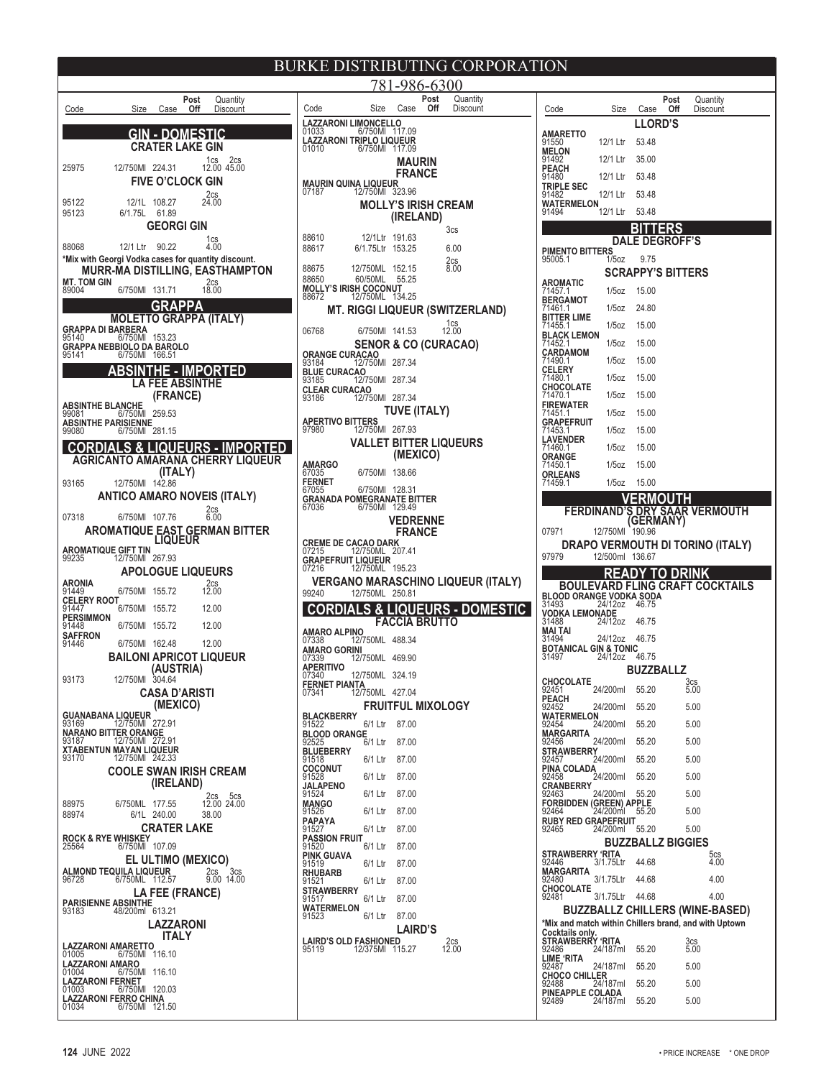| Code                                                         | Size                          | <b>Case</b>                | Post<br>Off | Quantity<br>Discount                               |
|--------------------------------------------------------------|-------------------------------|----------------------------|-------------|----------------------------------------------------|
|                                                              |                               |                            |             |                                                    |
|                                                              |                               | GIN - DOMEST               |             |                                                    |
|                                                              |                               | CRATER LAKE GIN            |             |                                                    |
| 25975                                                        | 12/750MI 224.31               |                            |             | 1cs<br>2cs<br>12.00 45.00                          |
|                                                              |                               | <b>FIVE O'CLOCK GIN</b>    |             |                                                    |
|                                                              |                               |                            |             | 2cs                                                |
| 95122<br>95123                                               | 12/1L<br>6/1.75L              | 108.27<br>61.89            |             | 24.00                                              |
|                                                              |                               | GEORGI GIN                 |             |                                                    |
|                                                              |                               |                            |             | $\begin{array}{c} 1 \text{cs} \\ 4.00 \end{array}$ |
| 88068<br>*Mix with Georgi Vodka cases for quantity discount. | 12/1 Ltr                      | 90.22                      |             |                                                    |
|                                                              |                               |                            |             | MURR-MA DISTILLING, EASTHAMPTON                    |
| <b>MT. TOM GIN</b>                                           |                               |                            |             | 2cs                                                |
| 89004                                                        | 6/750MI                       | 131.71                     |             | 18.00                                              |
|                                                              | <b>MOLETTO GRAPPA (ITALY)</b> | GRAPPA                     |             |                                                    |
| <b>GRAPPA DI BARBERA</b><br>95140 6/750MI                    |                               |                            |             |                                                    |
| <b>GRAPPA NEBBIOLO DA BAROLO</b>                             |                               | 153.23                     |             |                                                    |
| 95141                                                        | 6/750MI                       | 166.51                     |             |                                                    |
|                                                              |                               | Ε.                         | IМ          | <b>PORTED</b>                                      |
|                                                              |                               | A FEE ABSINT <del>HE</del> |             |                                                    |
| <b>ABSINTHE BLANCHE</b>                                      |                               | (FRANCE)                   |             |                                                    |
| 99081                                                        | 6/750MI                       | 259.53                     |             |                                                    |
| <b>ABSINTHE PARISIENNE</b><br>99080                          | 6/750MI                       | 281.15                     |             |                                                    |
| <b>CORDIAL</b>                                               | .S & L                        |                            |             | <u>IQUEURS - IMPORT</u>                            |
|                                                              |                               |                            |             | AGRICANTO AMARANA CHERRY LIQUEUR                   |
|                                                              |                               | (ITALY)                    |             |                                                    |
| 93165                                                        | 12/750MI                      | 142.86                     |             |                                                    |
|                                                              |                               |                            |             | ANTICO AMARO NOVEIS (ITALY)<br>2cs                 |
| 07318                                                        | 6/750MI                       | 107.76                     |             | 6.00                                               |
|                                                              | AROMATIQUE                    |                            |             | EAST GERMAN BITTER<br>LIQUEUR                      |
| <b>AROMATIQUE GIFT TIN</b><br>99235    12/750MI              |                               |                            |             |                                                    |
|                                                              |                               | 267.93                     |             |                                                    |
| ARONIA                                                       |                               | <b>APOLOGUE LIQUEURS</b>   |             |                                                    |
| 91449                                                        | 6/750MI                       | 155.72                     |             | 2cs<br>12.00                                       |
| <b>CELERY ROOT</b><br>91447                                  | 6/750MI                       | 155.72                     |             | 12.00                                              |
| PERSIMMON<br>91448                                           | 6/750MI                       | 155.72                     |             | 12.00                                              |
| SAFFRON<br>91446                                             | 6/750MI                       | 162.48                     |             |                                                    |
|                                                              |                               |                            |             | 12.00<br><b>BAILONI APRICOT LIQUEUR</b>            |
|                                                              |                               | (AUSTRIA)                  |             |                                                    |
| 93173                                                        | 12/750MI                      | 304.64                     |             |                                                    |
|                                                              |                               | <b>CASA D'ARISTI</b>       |             |                                                    |
| <b>GUANABANA LIQUEUR</b>                                     |                               | (MEXICO)                   |             |                                                    |
| 93169                                                        | 12/750MI                      | 272.91                     |             |                                                    |
| NARANO BITTER ORANGE<br>93187                                | 12/750MI 272.91               |                            |             |                                                    |
| XTABENTUN MAYAN LIQUEUR<br>93170                             | 12/750MI 242.33               |                            |             |                                                    |
|                                                              |                               |                            |             | COOLE SWAN IRISH CREAM                             |
|                                                              |                               | (IRELAND)                  |             |                                                    |
| 88975                                                        | 6/750ML                       | 177.55                     |             | 2cs<br>5cs<br>12.00 24.00                          |
| 88974                                                        | 6/1L                          | 240.00                     |             | 38.00                                              |
|                                                              |                               | <b>CRATER LAKE</b>         |             |                                                    |
| <b>ROCK &amp; RYE WHISKEY</b><br>25564                       | 6/750MI                       | 107.09                     |             |                                                    |
|                                                              |                               | <b>EL ULTIMO (MEXICO)</b>  |             |                                                    |
| ALMOND TEQUILA LIQUEUR                                       |                               |                            |             | 3 <sub>cs</sub><br>2cs                             |
| 96728                                                        | 6/750ML                       | 112.57                     |             | 9.00 14.00                                         |
| <b>PARISIENNE ABSINTHE</b>                                   |                               | <b>LA FEE (FRANCE)</b>     |             |                                                    |
| 93183                                                        | 48/200ml 613.21               |                            |             |                                                    |
|                                                              |                               | LAZZARONI<br>ITALY         |             |                                                    |
| LAZZARONI AMARETTO                                           |                               |                            |             |                                                    |
| 01005<br>LAZZARONI AMARO                                     | 6/750MI                       | 116.10                     |             |                                                    |
| 01004                                                        | 6/750MI                       | 116.10                     |             |                                                    |
| <b>LAZZARONI FERNET</b><br>01003                             | 6/750MI                       | 120.03                     |             |                                                    |
| <b>LAZZARONI FERRO CHINA</b><br>01034                        | 6/750MI                       | 121.50                     |             |                                                    |

|                                                                        | ш                           | 11.D V J<br><u>I II</u><br>781-986-6300 |      |                                 |            |
|------------------------------------------------------------------------|-----------------------------|-----------------------------------------|------|---------------------------------|------------|
|                                                                        |                             |                                         | Post | Quantity                        |            |
| Code<br><b>LAZZARONI LIMONCELLO</b>                                    | Size                        | Case                                    | Off  | Discount                        |            |
| 01033<br>LAZZARONI TRIPLO LIQUEUR                                      | 6/750MI                     | 117.09                                  |      |                                 |            |
| 01010                                                                  | 6/750MI                     | 117.09                                  |      |                                 |            |
|                                                                        |                             | <b>MAURIN</b><br><b>FRANCE</b>          |      |                                 |            |
| MAURIN QUINA LIQUEUR<br>07187                                          | 12/750MI                    | 323.96                                  |      |                                 |            |
|                                                                        | <b>MOLLY'S IRISH CREAM</b>  |                                         |      |                                 |            |
|                                                                        |                             | (IRELAND)                               |      | 3 <sub>cs</sub>                 |            |
| 88610<br>88617                                                         | 12/1Ltr 191.63<br>6/1.75Ltr | 153.25                                  |      | 6.00                            |            |
| 88675                                                                  | 12/750ML                    | 152.15                                  |      | 2cs<br>8.00                     |            |
| 88650                                                                  | 60/50ML                     | 55.25                                   |      |                                 |            |
| <b>MOLLY'S IRISH COCONUT</b><br>88672                                  | 12/750ML                    | 134.25                                  |      |                                 |            |
|                                                                        |                             |                                         |      | MT. RIGGI LIQUEUR (SWITZERLAND) |            |
| 06768                                                                  | 6/750MI 141.53              |                                         |      | $12.00$                         |            |
| <b>ORANGE CURACAO</b>                                                  |                             |                                         |      | <b>SENOR &amp; CO (CURACAO)</b> |            |
| 93184<br><b>BLUE CURACAO</b>                                           | 12/750MI                    | 287.34                                  |      |                                 |            |
| 93185<br><b>CLEAR CURACAO</b>                                          | 12/750MI                    | 287.34                                  |      |                                 |            |
| 93186                                                                  | 12/750MI                    | 287.34<br>TUVE (ITALY)                  |      |                                 |            |
| <b>APERTIVO BITTERS</b><br>97980                                       | 12/750MI                    | 267.93                                  |      |                                 |            |
|                                                                        |                             |                                         |      | VALLET BITTER LIQUEURS          |            |
| AMARGO                                                                 |                             | (MEXICO)                                |      |                                 |            |
| 67035<br><b>FERNET</b>                                                 | 6/750MI                     | 138.66                                  |      |                                 |            |
| 67055<br><b>GRANADA POMEGRANATE BITTER</b>                             | 6/750MI                     | 128.31                                  |      |                                 |            |
| 67036                                                                  | 6/750MI                     | 129.49                                  |      |                                 |            |
|                                                                        |                             | <b>VEDRENNE</b><br><b>FRANCE</b>        |      |                                 |            |
| <b>CREME DE CACAO DARK</b><br>07215                                    | 12/750ML                    | 207.41                                  |      |                                 |            |
| <b>GRAPEFRUIT LIQUEUR</b><br>07216                                     | 12/750ML                    | 195.23                                  |      |                                 |            |
| <b>VERGANO MARASCHINO LIQUEUR (ITALY)</b>                              |                             |                                         |      |                                 |            |
| 99240                                                                  | 12/750ML                    | 250.81<br><b>LIQUEL</b>                 |      |                                 | - DOMESTIC |
|                                                                        |                             | <b>FACCIA BRUT</b>                      | RS   |                                 |            |
| AMARO ALPINO<br>07338                                                  | 12/750ML                    | 488.34                                  |      |                                 |            |
| AMARO GORINI<br>07339                                                  | 12/750ML                    | 469.90                                  |      |                                 |            |
| <b>APERITIVO</b><br>07340                                              | 12/750ML 324.19             |                                         |      |                                 |            |
| FERNET PIANTA<br>07341                                                 | 12/750ML                    | 427.04                                  |      |                                 |            |
|                                                                        |                             | <b>FRUITFUL MIXOLOGY</b>                |      |                                 |            |
| <b>BLACKBERRY</b><br>91522<br><b>BLOOD ORANGE</b>                      | 6/1 Ltr                     | 87.00                                   |      |                                 |            |
| 92525<br><b>BLUEBERRY</b>                                              | 6/1 Ltr                     | 87.00                                   |      |                                 |            |
| 91518<br><b>COCONUT</b>                                                | 6/1 Ltr                     | 87.00                                   |      |                                 |            |
| 91528<br><b>JALAPENO</b>                                               | 6/1 Ltr                     | 87.00                                   |      |                                 |            |
| 91524<br><b>MANGO</b>                                                  | 6/1 Ltr                     | 87.00                                   |      |                                 |            |
| 91526<br><b>PAPAYA</b>                                                 | 6/1 Ltr                     | 87.00                                   |      |                                 |            |
| 91527<br><b>PASSION FRUIT</b>                                          | 6/1 Ltr                     | 87.00                                   |      |                                 |            |
| 91520<br>PINK GUAVA                                                    | 6/1 Ltr                     | 87.00                                   |      |                                 |            |
| 91519<br><b>RHUBARB</b>                                                | 6/1 Ltr                     | 87.00                                   |      |                                 |            |
| 91521<br><b>STRAWBERRY</b><br>91517                                    | 6/1 Ltr                     | 87.00                                   |      |                                 |            |
| WATERMELON                                                             | 6/1 Ltr                     | 87.00                                   |      |                                 |            |
| 91523                                                                  | 6/1 Ltr                     | 87.00<br><b>LAIRD'S</b>                 |      |                                 |            |
| <b>AIRD'S OLD FASHIONED</b><br>}5119                12/375MI   11<br>l |                             |                                         |      | 2cs<br>12.00                    |            |
| 95119                                                                  |                             | 115.27                                  |      |                                 |            |
|                                                                        |                             |                                         |      |                                 |            |
|                                                                        |                             |                                         |      |                                 |            |

| Code                                                                                            | Size      | Case           | Post<br>Off              | Quantity<br>Discount             |  |  |
|-------------------------------------------------------------------------------------------------|-----------|----------------|--------------------------|----------------------------------|--|--|
|                                                                                                 |           | <b>LLORD'S</b> |                          |                                  |  |  |
| <b>AMARETTO</b><br>91550                                                                        | 12/1 Ltr  | 53.48          |                          |                                  |  |  |
| <b>MELON</b><br>91492                                                                           | 12/1 Ltr  |                |                          |                                  |  |  |
| <b>PEACH</b>                                                                                    |           | 35.00          |                          |                                  |  |  |
| 91480<br><b>TRIPLE SEC</b>                                                                      | 12/1 Ltr  | 53.48          |                          |                                  |  |  |
| 91482<br>WATERMELON                                                                             | 12/1 Ltr  | 53.48          |                          |                                  |  |  |
| 91494                                                                                           | 12/1 Ltr  | 53.48          |                          |                                  |  |  |
|                                                                                                 |           |                | ERS                      |                                  |  |  |
| <b>PIMENTO BITTERS</b>                                                                          | DAI       | E              | <b>DEGROFF'S</b>         |                                  |  |  |
| 95005.1                                                                                         | $1/5$ oz  | 9.75           |                          |                                  |  |  |
| AROMATIC                                                                                        |           |                | <b>SCRAPPY'S BITTERS</b> |                                  |  |  |
| 71457.1<br><b>BERGAMOT</b>                                                                      | $1/5$ oz  | 15.00          |                          |                                  |  |  |
| 1461.1                                                                                          | 1/5oz     | 24.80          |                          |                                  |  |  |
| BITTER LIME<br>71455.1                                                                          | $1/5$ oz  | 15.00          |                          |                                  |  |  |
| <b>BLACK LEMON</b><br>71452.1                                                                   | 1/5oz     | 15.00          |                          |                                  |  |  |
| <b>CARDAMOM</b><br>71490.1                                                                      | $1/5$ oz  | 15.00          |                          |                                  |  |  |
| CELERY<br>714801<br>1480.1                                                                      | $1/5$ oz  | 15.00          |                          |                                  |  |  |
| CHOCOLATE<br>71470.1                                                                            | $1/5$ oz  | 15.00          |                          |                                  |  |  |
| <b>FIREWATER</b><br>71451.1                                                                     | $1/5$ oz  | 15.00          |                          |                                  |  |  |
| GRAPEFRUIT                                                                                      |           |                |                          |                                  |  |  |
| 1453.1<br>AVENDER                                                                               | 1/5oz     | 15.00          |                          |                                  |  |  |
| 71460.1<br>ORANGE                                                                               | $1/5$ oz  | 15.00          |                          |                                  |  |  |
| 71450.1                                                                                         | $1/5$ oz  | 15.00          |                          |                                  |  |  |
| <b>ORLEANS</b><br>71459.1                                                                       | $1/5$ oz  | 15.00          |                          |                                  |  |  |
|                                                                                                 |           |                |                          |                                  |  |  |
| FERDINAND                                                                                       |           | GERI           | Δ                        | AR VERMOUTH                      |  |  |
| 07971                                                                                           | 12/750MI  | 190.96         |                          |                                  |  |  |
|                                                                                                 |           |                |                          | DRAPO VERMOUTH DI TORINO (ITALY) |  |  |
| 97979                                                                                           | 12/500ml  | 136.67         |                          |                                  |  |  |
| BOUL                                                                                            |           |                | 0                        | VARD FLING CRAFT COCKTAILS       |  |  |
| BLOOD ORANGE VODKA SODA<br>31493                                                                | 24/12oz   | 46.75          |                          |                                  |  |  |
| VODKA LEMONADE                                                                                  |           |                |                          |                                  |  |  |
| 31488<br>MAI TAI                                                                                | 24/12oz   | 46.75          |                          |                                  |  |  |
| 31494<br><b>BOTANICAL GIN &amp; TONIC</b>                                                       | 24/12oz   | 46.75          |                          |                                  |  |  |
| 31497                                                                                           | 24/12oz   | 46.75          |                          |                                  |  |  |
| <b>CHOCOLATE</b>                                                                                |           | BUZZBALLZ      |                          | 3 <sub>cs</sub>                  |  |  |
| 92451<br>PEACH                                                                                  | 24/200ml  | 55.20          |                          | 5.00                             |  |  |
| 92452<br><b>WATERMELON</b>                                                                      | 24/200ml  | 55.20          |                          | 5.00                             |  |  |
| 92454                                                                                           | 24/200ml  | 55.20          |                          | 5.00                             |  |  |
| MARGARITA<br>92456                                                                              | 24/200ml  | 55.20          |                          | 5.00                             |  |  |
| <u> STRA</u> WBERRY<br>92457                                                                    | 24/200ml  | 55.20          |                          | 5.00                             |  |  |
| PINA COLADA<br>92458                                                                            | 24/200ml  | 55.20          |                          | 5.00                             |  |  |
| CRANBERRY<br>92463                                                                              | 24/200ml  | 55.20          |                          | 5.00                             |  |  |
| FORBIDDEN (GREEN) APPLE<br>92464                                                                | 24/200ml  | 55.20          |                          | 5.00                             |  |  |
| <b>RUBY RED GRAPEFRUIT</b><br>92465                                                             |           |                |                          |                                  |  |  |
|                                                                                                 | 24/200ml  | 55.20          | <b>BUZZBALLZ BIGGIES</b> | 5.00                             |  |  |
| STRAWBERRY 'RITA                                                                                |           |                |                          | 5cs                              |  |  |
| 92446<br>MARGARITA                                                                              | 3/1.75Ltr | 44.68          |                          | 4.00                             |  |  |
| 92480<br><b>CHOCOLATE</b>                                                                       | 3/1.75Ltr | 44.68          |                          | 4.00                             |  |  |
| 92481                                                                                           | 3/1.75Ltr | 44.68          |                          | 4.00                             |  |  |
| <b>BUZZBALLZ CHILLERS (WINE-BASED)</b><br>*Mix and match within Chillers brand, and with Uptown |           |                |                          |                                  |  |  |
| Cocktails only.<br>STRAWBERRY 'RITA                                                             |           |                |                          |                                  |  |  |
| 92486                                                                                           | 24/187ml  | 55.20          |                          | 3cs<br>5.00                      |  |  |
| LIME 'RITA<br>92487                                                                             | 24/187ml  | 55.20          |                          | 5.00                             |  |  |
| <b>CHOCO CHILLER</b><br>92488                                                                   | 24/187ml  | 55.20          |                          | 5.00                             |  |  |
| PINEAPPLE COLADA                                                                                |           | 55.20          |                          | 5.00                             |  |  |
| 92489                                                                                           | 24/187ml  |                |                          |                                  |  |  |